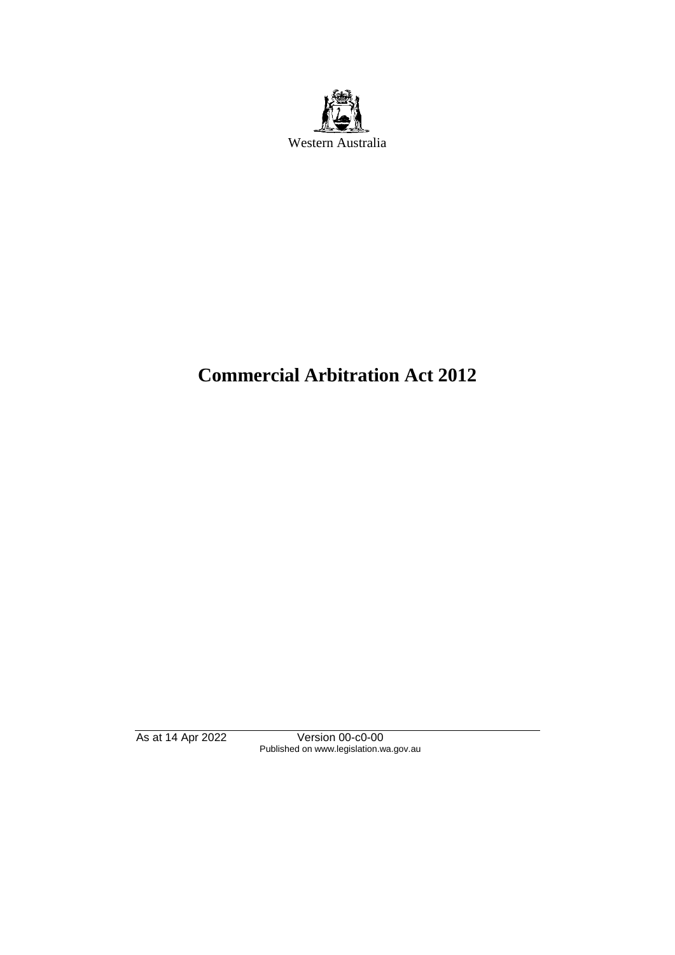

# **Commercial Arbitration Act 2012**

As at 14 Apr 2022 Version 00-c0-00 Published on www.legislation.wa.gov.au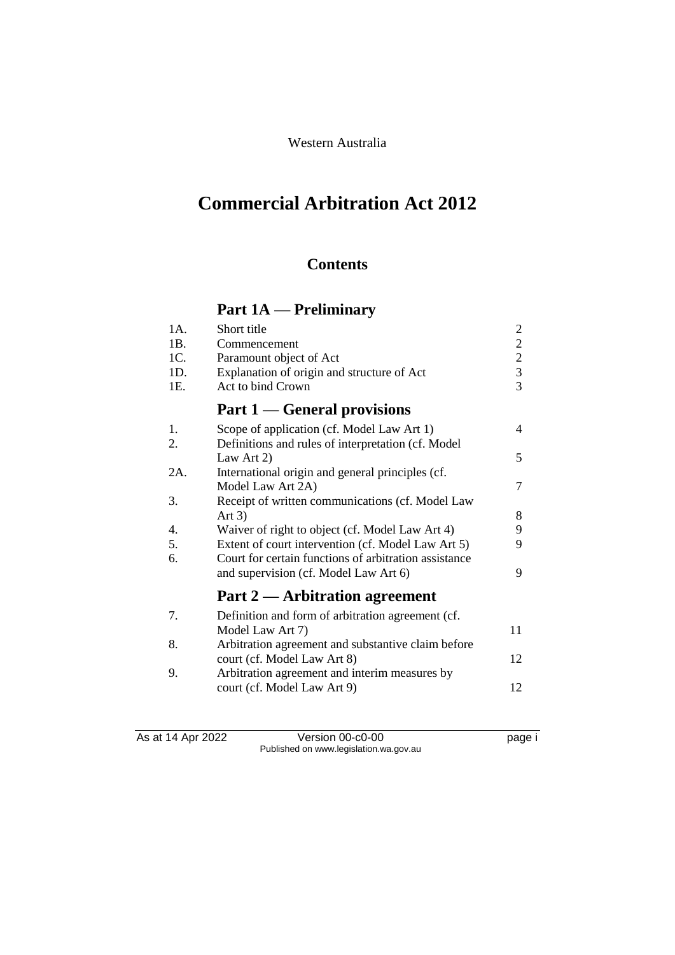# Western Australia

# **Commercial Arbitration Act 2012**

# **Contents**

# **Part 1A — Preliminary**

| 1A. | Short title                                           | $\overline{c}$ |
|-----|-------------------------------------------------------|----------------|
| 1B. | Commencement                                          | $\overline{c}$ |
| 1C. | Paramount object of Act                               | $\frac{2}{3}$  |
| 1D. | Explanation of origin and structure of Act            |                |
| 1E. | Act to bind Crown                                     | $\overline{3}$ |
|     | <b>Part 1 — General provisions</b>                    |                |
| 1.  | Scope of application (cf. Model Law Art 1)            | 4              |
| 2.  | Definitions and rules of interpretation (cf. Model    |                |
|     | Law Art 2)                                            | 5              |
| 2A. | International origin and general principles (cf.      |                |
|     | Model Law Art 2A)                                     | 7              |
| 3.  | Receipt of written communications (cf. Model Law      |                |
|     | Art $3)$                                              | 8              |
| 4.  | Waiver of right to object (cf. Model Law Art 4)       | 9              |
| 5.  | Extent of court intervention (cf. Model Law Art 5)    | 9              |
| 6.  | Court for certain functions of arbitration assistance |                |
|     | and supervision (cf. Model Law Art 6)                 | 9              |
|     | Part 2 — Arbitration agreement                        |                |
| 7.  | Definition and form of arbitration agreement (cf.     |                |
|     | Model Law Art 7)                                      | 11             |
| 8.  | Arbitration agreement and substantive claim before    |                |
|     | court (cf. Model Law Art 8)                           | 12             |
| 9.  | Arbitration agreement and interim measures by         |                |
|     | court (cf. Model Law Art 9)                           | 12             |
|     |                                                       |                |

As at 14 Apr 2022 Version 00-c0-00 page i Published on www.legislation.wa.gov.au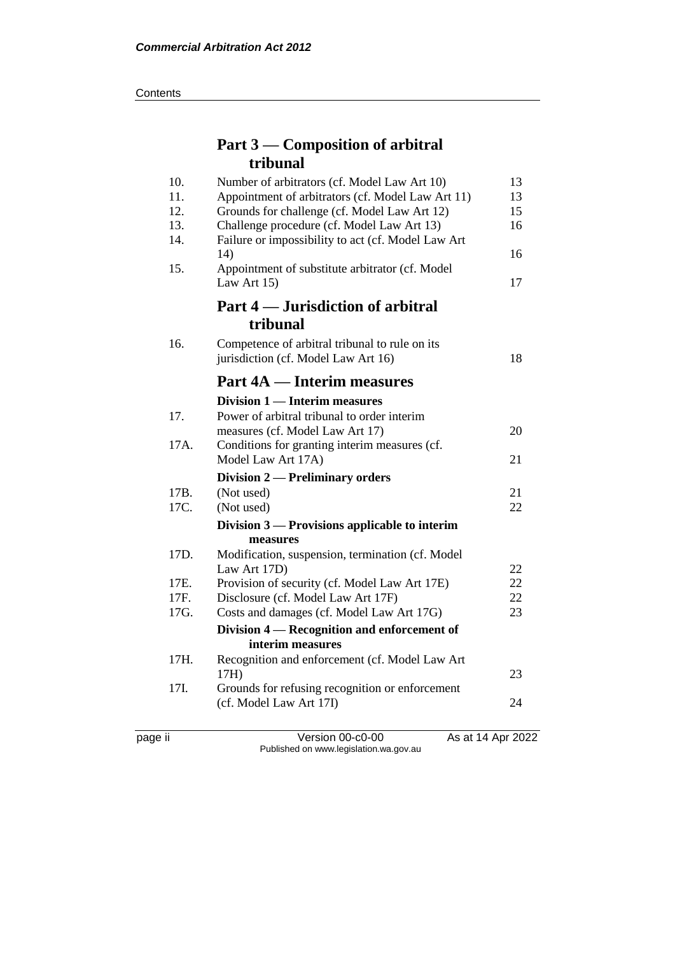#### **Contents**

# **Part 3 — Composition of arbitral tribunal**

| 10.<br>11. | Number of arbitrators (cf. Model Law Art 10)<br>Appointment of arbitrators (cf. Model Law Art 11) | 13<br>13 |
|------------|---------------------------------------------------------------------------------------------------|----------|
| 12.        | Grounds for challenge (cf. Model Law Art 12)                                                      | 15       |
| 13.        | Challenge procedure (cf. Model Law Art 13)                                                        | 16       |
| 14.        | Failure or impossibility to act (cf. Model Law Art                                                |          |
|            | 14)                                                                                               | 16       |
| 15.        | Appointment of substitute arbitrator (cf. Model<br>Law Art 15)                                    | 17       |
|            | Part 4 — Jurisdiction of arbitral                                                                 |          |
|            | tribunal                                                                                          |          |
| 16.        | Competence of arbitral tribunal to rule on its                                                    |          |
|            | jurisdiction (cf. Model Law Art 16)                                                               | 18       |
|            | <b>Part 4A — Interim measures</b>                                                                 |          |
|            | Division 1 — Interim measures                                                                     |          |
| 17.        | Power of arbitral tribunal to order interim                                                       |          |
|            | measures (cf. Model Law Art 17)                                                                   | 20       |
| 17A.       | Conditions for granting interim measures (cf.                                                     |          |
|            | Model Law Art 17A)                                                                                | 21       |
|            | Division 2 — Preliminary orders                                                                   |          |
| 17B.       | (Not used)                                                                                        | 21       |
| 17C.       | (Not used)                                                                                        | 22       |
|            | Division $3$ — Provisions applicable to interim                                                   |          |
|            | measures                                                                                          |          |
| 17D.       | Modification, suspension, termination (cf. Model                                                  |          |
|            | Law Art 17D)                                                                                      | 22       |
| 17E.       | Provision of security (cf. Model Law Art 17E)                                                     | 22       |
| 17F.       | Disclosure (cf. Model Law Art 17F)                                                                | 22       |
| 17G.       | Costs and damages (cf. Model Law Art 17G)                                                         | 23       |
|            | Division 4 – Recognition and enforcement of                                                       |          |
|            | interim measures                                                                                  |          |
| 17H.       | Recognition and enforcement (cf. Model Law Art                                                    | 23       |
| 17I.       | 17H)<br>Grounds for refusing recognition or enforcement                                           |          |
|            | (cf. Model Law Art 17I)                                                                           | 24       |
|            |                                                                                                   |          |
|            |                                                                                                   |          |

page ii Version 00-c0-00 As at 14 Apr 2022 Published on www.legislation.wa.gov.au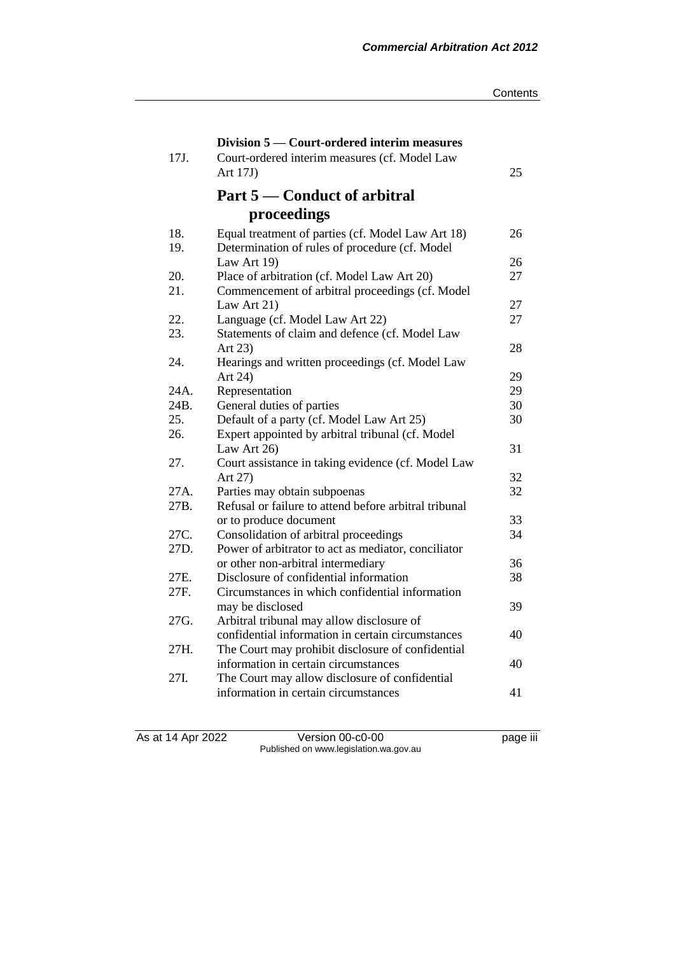|             | Division 5 — Court-ordered interim measures                                                   |          |
|-------------|-----------------------------------------------------------------------------------------------|----------|
| 17J.        | Court-ordered interim measures (cf. Model Law                                                 |          |
|             | Art $17J$                                                                                     | 25       |
|             | Part 5 — Conduct of arbitral                                                                  |          |
|             | proceedings                                                                                   |          |
| 18.         | Equal treatment of parties (cf. Model Law Art 18)                                             | 26       |
| 19.         | Determination of rules of procedure (cf. Model                                                |          |
|             | Law Art 19)                                                                                   | 26       |
| 20.         | Place of arbitration (cf. Model Law Art 20)                                                   | 27       |
| 21.         | Commencement of arbitral proceedings (cf. Model                                               |          |
|             | Law Art 21)                                                                                   | 27       |
| 22.         | Language (cf. Model Law Art 22)                                                               | 27       |
| 23.         | Statements of claim and defence (cf. Model Law                                                |          |
|             | Art 23)                                                                                       | 28       |
| 24.         | Hearings and written proceedings (cf. Model Law                                               |          |
|             | Art 24)                                                                                       | 29       |
| 24A.        | Representation                                                                                | 29       |
| 24B.<br>25. | General duties of parties                                                                     | 30<br>30 |
| 26.         | Default of a party (cf. Model Law Art 25)<br>Expert appointed by arbitral tribunal (cf. Model |          |
|             | Law Art 26)                                                                                   | 31       |
| 27.         | Court assistance in taking evidence (cf. Model Law                                            |          |
|             | Art 27)                                                                                       | 32       |
| 27A.        | Parties may obtain subpoenas                                                                  | 32       |
| 27B.        | Refusal or failure to attend before arbitral tribunal                                         |          |
|             | or to produce document                                                                        | 33       |
| 27C.        | Consolidation of arbitral proceedings                                                         | 34       |
| 27D.        | Power of arbitrator to act as mediator, conciliator                                           |          |
|             | or other non-arbitral intermediary                                                            | 36       |
| 27E.        | Disclosure of confidential information                                                        | 38       |
| 27F.        | Circumstances in which confidential information                                               |          |
|             | may be disclosed                                                                              | 39       |
| 27G.        | Arbitral tribunal may allow disclosure of                                                     |          |
|             | confidential information in certain circumstances                                             | 40       |
| 27H.        | The Court may prohibit disclosure of confidential                                             |          |
|             | information in certain circumstances                                                          | 40       |
| 27I.        | The Court may allow disclosure of confidential                                                |          |
|             | information in certain circumstances                                                          | 41       |

As at 14 Apr 2022 Version 00-c0-00 page iii Published on www.legislation.wa.gov.au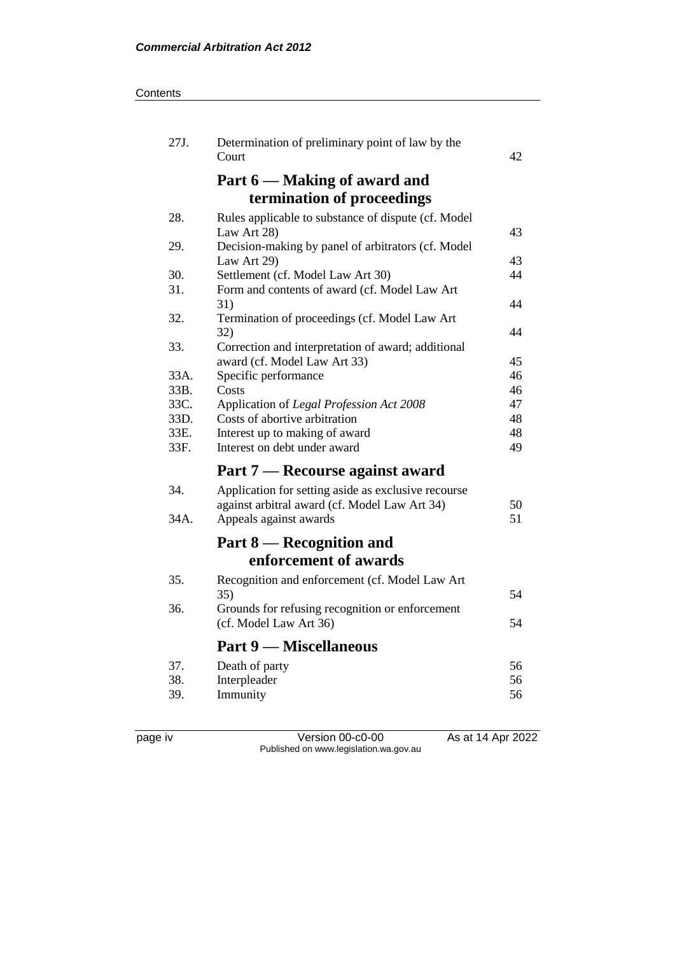#### **Contents**

| 27J. | Determination of preliminary point of law by the<br>Court         | 42 |
|------|-------------------------------------------------------------------|----|
|      | Part 6 — Making of award and                                      |    |
|      | termination of proceedings                                        |    |
| 28.  | Rules applicable to substance of dispute (cf. Model               |    |
|      | Law Art 28)                                                       | 43 |
| 29.  | Decision-making by panel of arbitrators (cf. Model<br>Law Art 29) | 43 |
| 30.  | Settlement (cf. Model Law Art 30)                                 | 44 |
| 31.  | Form and contents of award (cf. Model Law Art                     |    |
|      | 31)                                                               | 44 |
| 32.  | Termination of proceedings (cf. Model Law Art<br>32)              | 44 |
| 33.  | Correction and interpretation of award; additional                |    |
|      | award (cf. Model Law Art 33)                                      | 45 |
| 33A. | Specific performance                                              | 46 |
| 33B. | Costs                                                             | 46 |
| 33C. | Application of Legal Profession Act 2008                          | 47 |
| 33D. | Costs of abortive arbitration                                     | 48 |
| 33E. | Interest up to making of award                                    | 48 |
| 33F. | Interest on debt under award                                      | 49 |
|      | Part 7 — Recourse against award                                   |    |
| 34.  | Application for setting aside as exclusive recourse               |    |
|      | against arbitral award (cf. Model Law Art 34)                     | 50 |
| 34A. | Appeals against awards                                            | 51 |
|      | Part 8 — Recognition and                                          |    |
|      | enforcement of awards                                             |    |
| 35.  | Recognition and enforcement (cf. Model Law Art                    |    |
|      | 35)                                                               | 54 |
| 36.  | Grounds for refusing recognition or enforcement                   |    |
|      | (cf. Model Law Art 36)                                            | 54 |
|      | <b>Part 9 — Miscellaneous</b>                                     |    |
| 37.  | Death of party                                                    | 56 |
| 38.  | Interpleader                                                      | 56 |
| 39.  | Immunity                                                          | 56 |
|      |                                                                   |    |

page iv Version 00-c0-00 As at 14 Apr 2022 Published on www.legislation.wa.gov.au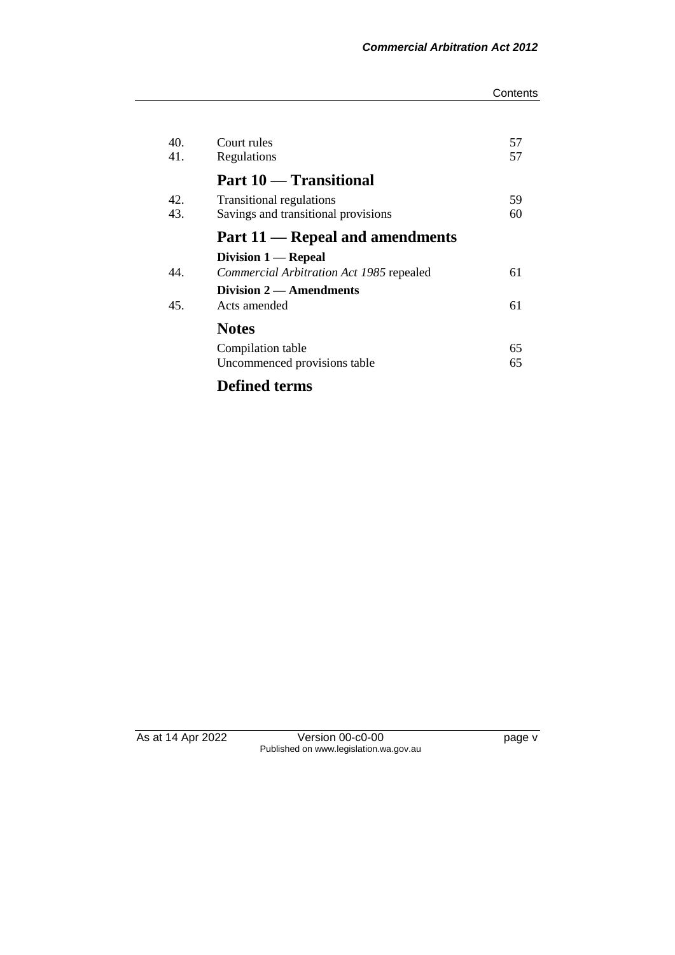#### **Contents**

| 40. | Court rules                              | 57 |
|-----|------------------------------------------|----|
| 41. | Regulations                              | 57 |
|     | Part 10 — Transitional                   |    |
| 42. | <b>Transitional regulations</b>          | 59 |
| 43. | Savings and transitional provisions      | 60 |
|     | Part 11 — Repeal and amendments          |    |
|     | Division $1 -$ Repeal                    |    |
| 44. | Commercial Arbitration Act 1985 repealed | 61 |
|     | Division 2 — Amendments                  |    |
| 45. | Acts amended                             | 61 |
|     | <b>Notes</b>                             |    |
|     | Compilation table                        | 65 |
|     | Uncommenced provisions table             | 65 |
|     |                                          |    |

**Defined terms**

As at 14 Apr 2022 Version 00-c0-00 page v Published on www.legislation.wa.gov.au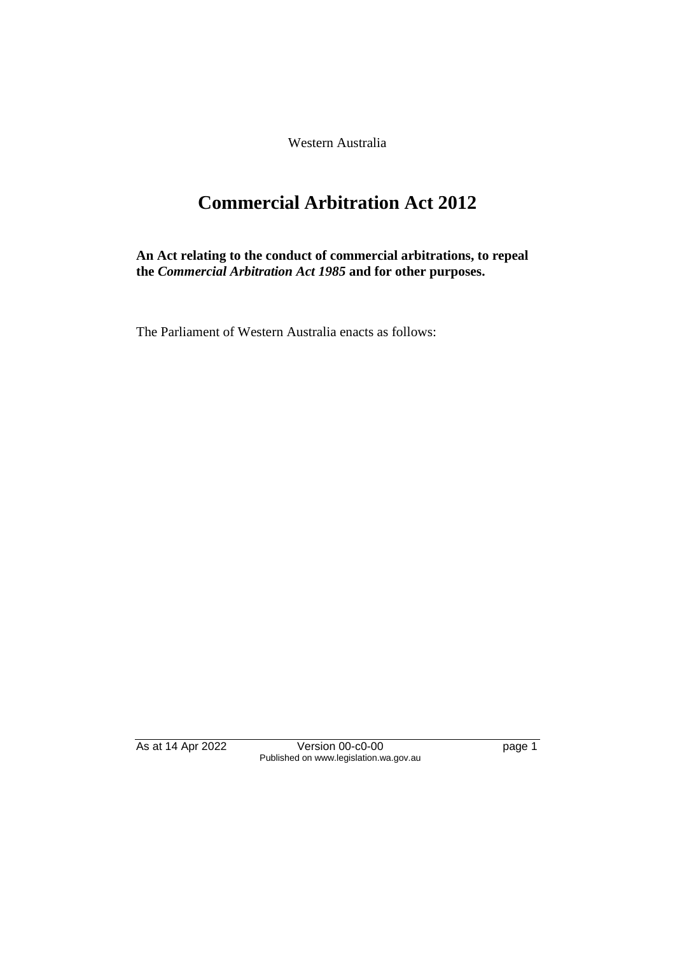Western Australia

# **Commercial Arbitration Act 2012**

**An Act relating to the conduct of commercial arbitrations, to repeal the** *Commercial Arbitration Act 1985* **and for other purposes.**

The Parliament of Western Australia enacts as follows:

As at 14 Apr 2022 Version 00-c0-00 Page 1 Published on www.legislation.wa.gov.au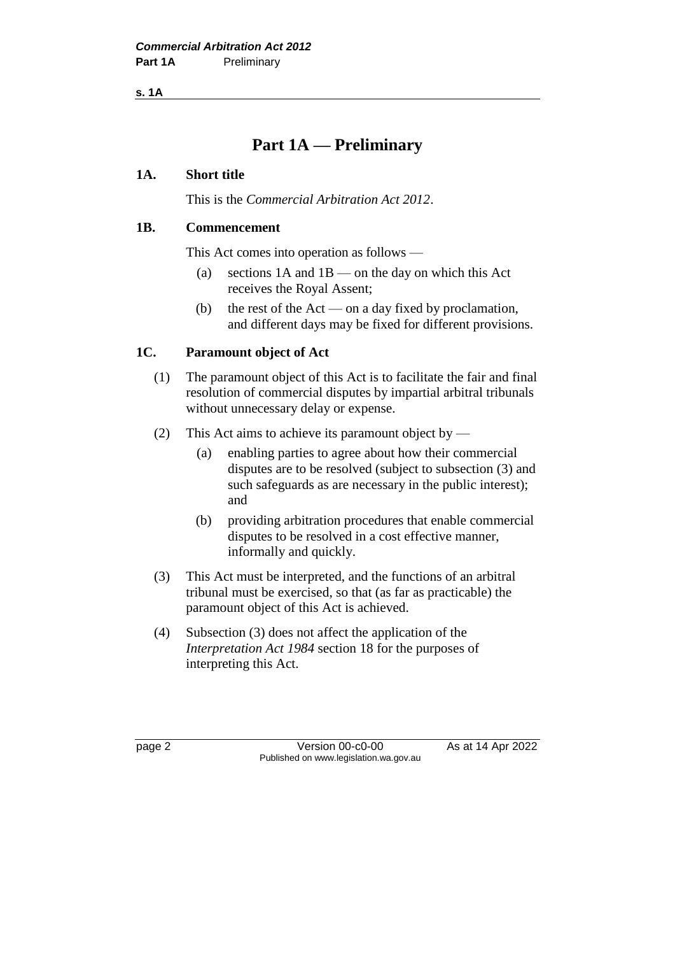**s. 1A**

# **Part 1A — Preliminary**

### **1A. Short title**

This is the *Commercial Arbitration Act 2012*.

### **1B. Commencement**

This Act comes into operation as follows —

- (a) sections  $1A$  and  $1B$  on the day on which this Act receives the Royal Assent;
- (b) the rest of the Act on a day fixed by proclamation, and different days may be fixed for different provisions.

# **1C. Paramount object of Act**

- (1) The paramount object of this Act is to facilitate the fair and final resolution of commercial disputes by impartial arbitral tribunals without unnecessary delay or expense.
- (2) This Act aims to achieve its paramount object by
	- (a) enabling parties to agree about how their commercial disputes are to be resolved (subject to subsection (3) and such safeguards as are necessary in the public interest); and
	- (b) providing arbitration procedures that enable commercial disputes to be resolved in a cost effective manner, informally and quickly.
- (3) This Act must be interpreted, and the functions of an arbitral tribunal must be exercised, so that (as far as practicable) the paramount object of this Act is achieved.
- (4) Subsection (3) does not affect the application of the *Interpretation Act 1984* section 18 for the purposes of interpreting this Act.

page 2 **Version 00-c0-00** As at 14 Apr 2022 Published on www.legislation.wa.gov.au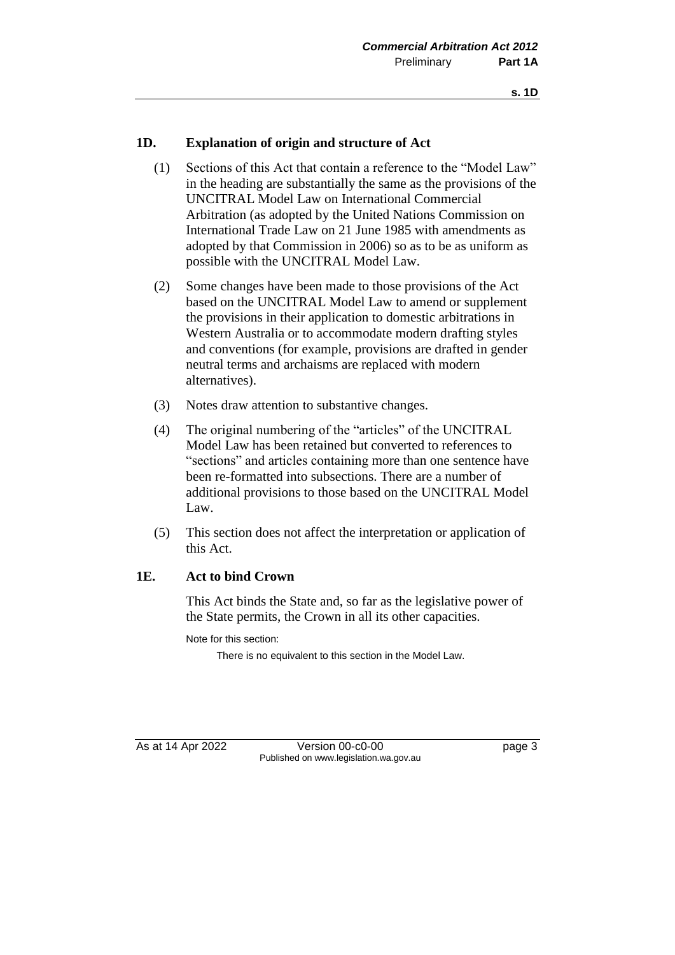#### **1D. Explanation of origin and structure of Act**

- (1) Sections of this Act that contain a reference to the "Model Law" in the heading are substantially the same as the provisions of the UNCITRAL Model Law on International Commercial Arbitration (as adopted by the United Nations Commission on International Trade Law on 21 June 1985 with amendments as adopted by that Commission in 2006) so as to be as uniform as possible with the UNCITRAL Model Law.
- (2) Some changes have been made to those provisions of the Act based on the UNCITRAL Model Law to amend or supplement the provisions in their application to domestic arbitrations in Western Australia or to accommodate modern drafting styles and conventions (for example, provisions are drafted in gender neutral terms and archaisms are replaced with modern alternatives).
- (3) Notes draw attention to substantive changes.
- (4) The original numbering of the "articles" of the UNCITRAL Model Law has been retained but converted to references to "sections" and articles containing more than one sentence have been re-formatted into subsections. There are a number of additional provisions to those based on the UNCITRAL Model Law.
- (5) This section does not affect the interpretation or application of this Act.

#### **1E. Act to bind Crown**

This Act binds the State and, so far as the legislative power of the State permits, the Crown in all its other capacities.

Note for this section:

There is no equivalent to this section in the Model Law.

As at 14 Apr 2022 Version 00-c0-00 Page 3 Published on www.legislation.wa.gov.au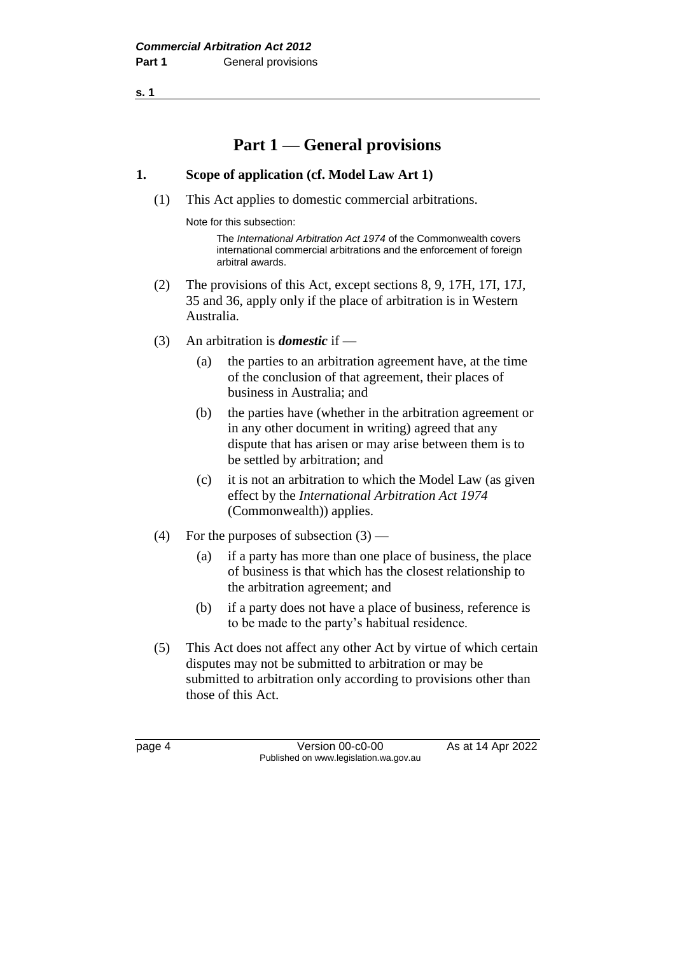# **Part 1 — General provisions**

### **1. Scope of application (cf. Model Law Art 1)**

(1) This Act applies to domestic commercial arbitrations.

Note for this subsection:

The *International Arbitration Act 1974* of the Commonwealth covers international commercial arbitrations and the enforcement of foreign arbitral awards.

- (2) The provisions of this Act, except sections 8, 9, 17H, 17I, 17J, 35 and 36, apply only if the place of arbitration is in Western Australia.
- (3) An arbitration is *domestic* if
	- (a) the parties to an arbitration agreement have, at the time of the conclusion of that agreement, their places of business in Australia; and
	- (b) the parties have (whether in the arbitration agreement or in any other document in writing) agreed that any dispute that has arisen or may arise between them is to be settled by arbitration; and
	- (c) it is not an arbitration to which the Model Law (as given effect by the *International Arbitration Act 1974* (Commonwealth)) applies.
- (4) For the purposes of subsection  $(3)$ 
	- (a) if a party has more than one place of business, the place of business is that which has the closest relationship to the arbitration agreement; and
	- (b) if a party does not have a place of business, reference is to be made to the party's habitual residence.
- (5) This Act does not affect any other Act by virtue of which certain disputes may not be submitted to arbitration or may be submitted to arbitration only according to provisions other than those of this Act.

page 4 Version 00-c0-00 As at 14 Apr 2022 Published on www.legislation.wa.gov.au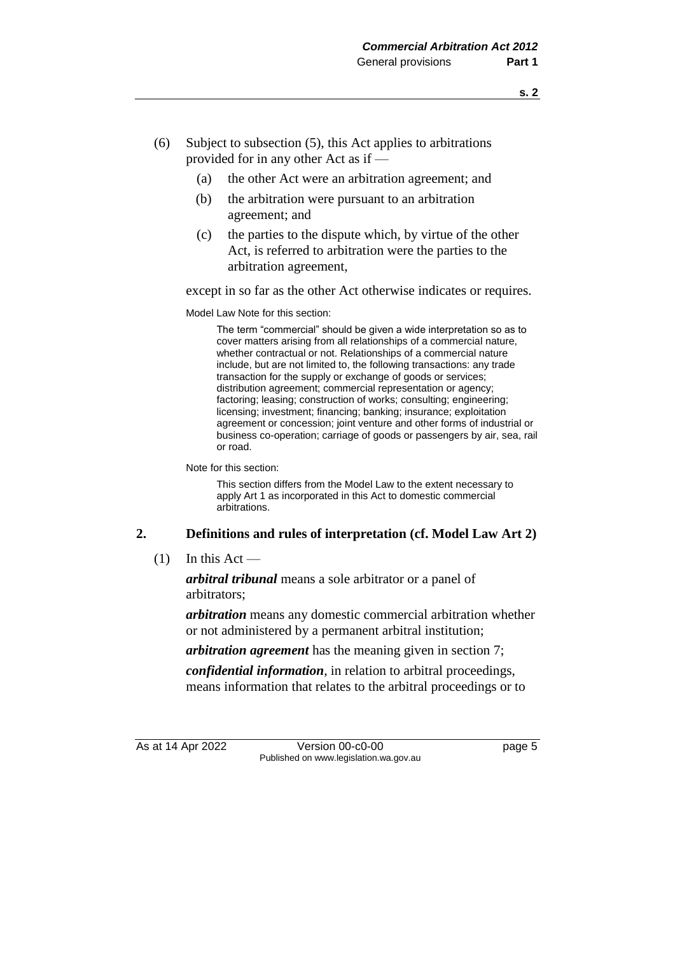- (6) Subject to subsection (5), this Act applies to arbitrations provided for in any other Act as if —
	- (a) the other Act were an arbitration agreement; and
	- (b) the arbitration were pursuant to an arbitration agreement; and
	- (c) the parties to the dispute which, by virtue of the other Act, is referred to arbitration were the parties to the arbitration agreement,

except in so far as the other Act otherwise indicates or requires.

Model Law Note for this section:

The term "commercial" should be given a wide interpretation so as to cover matters arising from all relationships of a commercial nature, whether contractual or not. Relationships of a commercial nature include, but are not limited to, the following transactions: any trade transaction for the supply or exchange of goods or services; distribution agreement; commercial representation or agency; factoring; leasing; construction of works; consulting; engineering; licensing; investment; financing; banking; insurance; exploitation agreement or concession; joint venture and other forms of industrial or business co-operation; carriage of goods or passengers by air, sea, rail or road.

Note for this section:

This section differs from the Model Law to the extent necessary to apply Art 1 as incorporated in this Act to domestic commercial arbitrations.

# **2. Definitions and rules of interpretation (cf. Model Law Art 2)**

 $(1)$  In this Act —

*arbitral tribunal* means a sole arbitrator or a panel of arbitrators;

*arbitration* means any domestic commercial arbitration whether or not administered by a permanent arbitral institution;

*arbitration agreement* has the meaning given in section 7;

*confidential information*, in relation to arbitral proceedings, means information that relates to the arbitral proceedings or to

As at 14 Apr 2022 Version 00-c0-00 page 5 Published on www.legislation.wa.gov.au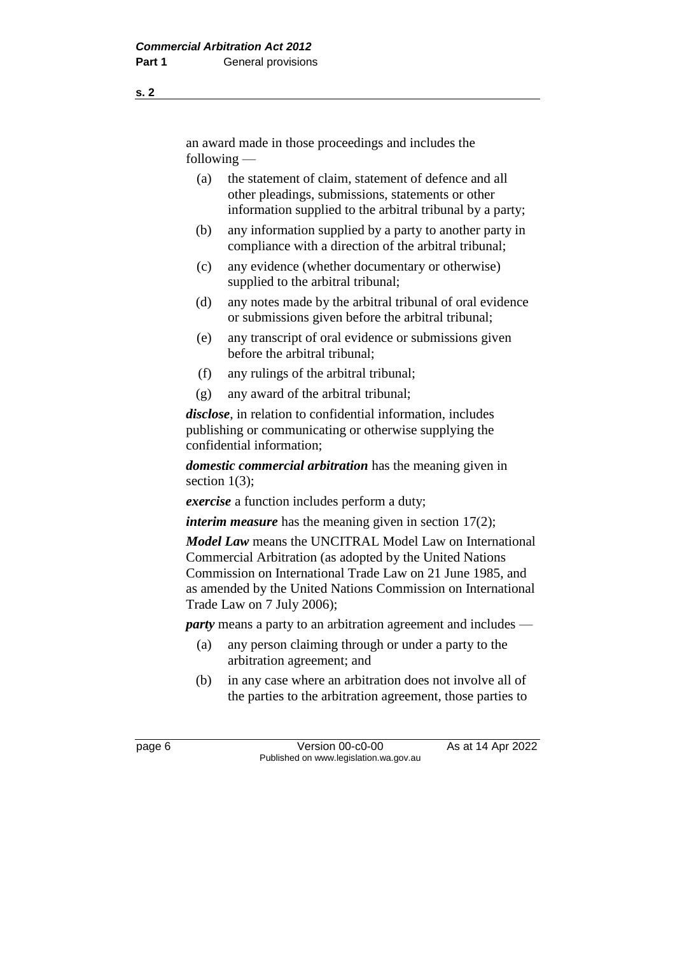an award made in those proceedings and includes the following —

- (a) the statement of claim, statement of defence and all other pleadings, submissions, statements or other information supplied to the arbitral tribunal by a party;
- (b) any information supplied by a party to another party in compliance with a direction of the arbitral tribunal;
- (c) any evidence (whether documentary or otherwise) supplied to the arbitral tribunal;
- (d) any notes made by the arbitral tribunal of oral evidence or submissions given before the arbitral tribunal;
- (e) any transcript of oral evidence or submissions given before the arbitral tribunal;
- (f) any rulings of the arbitral tribunal;
- (g) any award of the arbitral tribunal;

*disclose*, in relation to confidential information, includes publishing or communicating or otherwise supplying the confidential information;

*domestic commercial arbitration* has the meaning given in section  $1(3)$ ;

*exercise* a function includes perform a duty;

*interim measure* has the meaning given in section 17(2);

*Model Law* means the UNCITRAL Model Law on International Commercial Arbitration (as adopted by the United Nations Commission on International Trade Law on 21 June 1985, and as amended by the United Nations Commission on International Trade Law on 7 July 2006);

*party* means a party to an arbitration agreement and includes —

- (a) any person claiming through or under a party to the arbitration agreement; and
- (b) in any case where an arbitration does not involve all of the parties to the arbitration agreement, those parties to

**s. 2**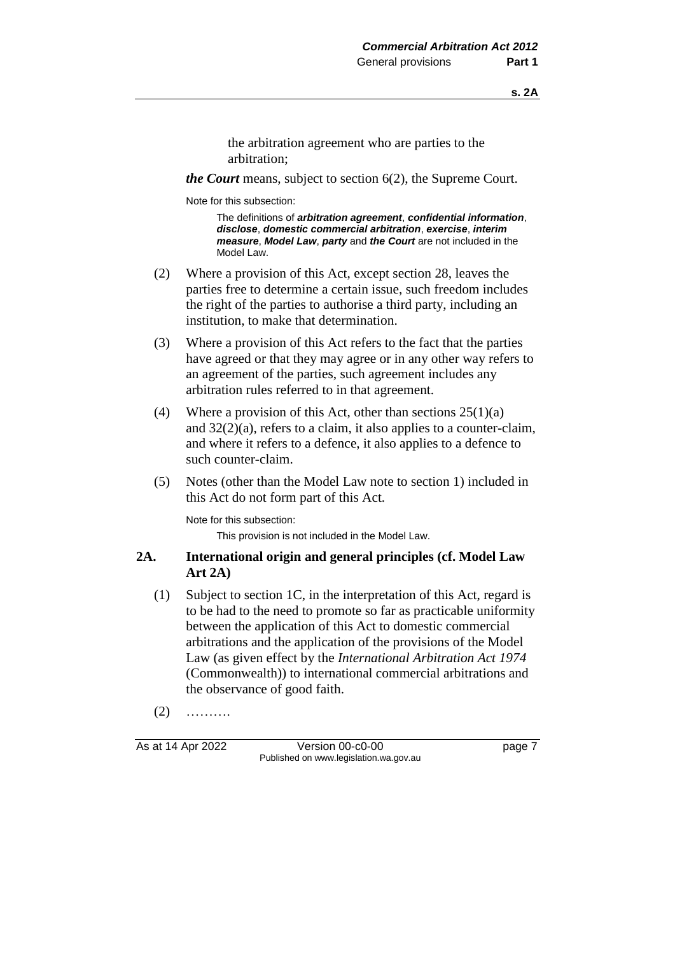the arbitration agreement who are parties to the arbitration;

*the Court* means, subject to section 6(2), the Supreme Court.

Note for this subsection:

The definitions of *arbitration agreement*, *confidential information*, *disclose*, *domestic commercial arbitration*, *exercise*, *interim measure*, *Model Law*, *party* and *the Court* are not included in the Model Law

- (2) Where a provision of this Act, except section 28, leaves the parties free to determine a certain issue, such freedom includes the right of the parties to authorise a third party, including an institution, to make that determination.
- (3) Where a provision of this Act refers to the fact that the parties have agreed or that they may agree or in any other way refers to an agreement of the parties, such agreement includes any arbitration rules referred to in that agreement.
- (4) Where a provision of this Act, other than sections  $25(1)(a)$ and 32(2)(a), refers to a claim, it also applies to a counter-claim, and where it refers to a defence, it also applies to a defence to such counter-claim.
- (5) Notes (other than the Model Law note to section 1) included in this Act do not form part of this Act.

Note for this subsection:

This provision is not included in the Model Law.

#### **2A. International origin and general principles (cf. Model Law Art 2A)**

- (1) Subject to section 1C, in the interpretation of this Act, regard is to be had to the need to promote so far as practicable uniformity between the application of this Act to domestic commercial arbitrations and the application of the provisions of the Model Law (as given effect by the *International Arbitration Act 1974* (Commonwealth)) to international commercial arbitrations and the observance of good faith.
- $(2)$  ………

As at 14 Apr 2022 Version 00-c0-00 Page 7 Published on www.legislation.wa.gov.au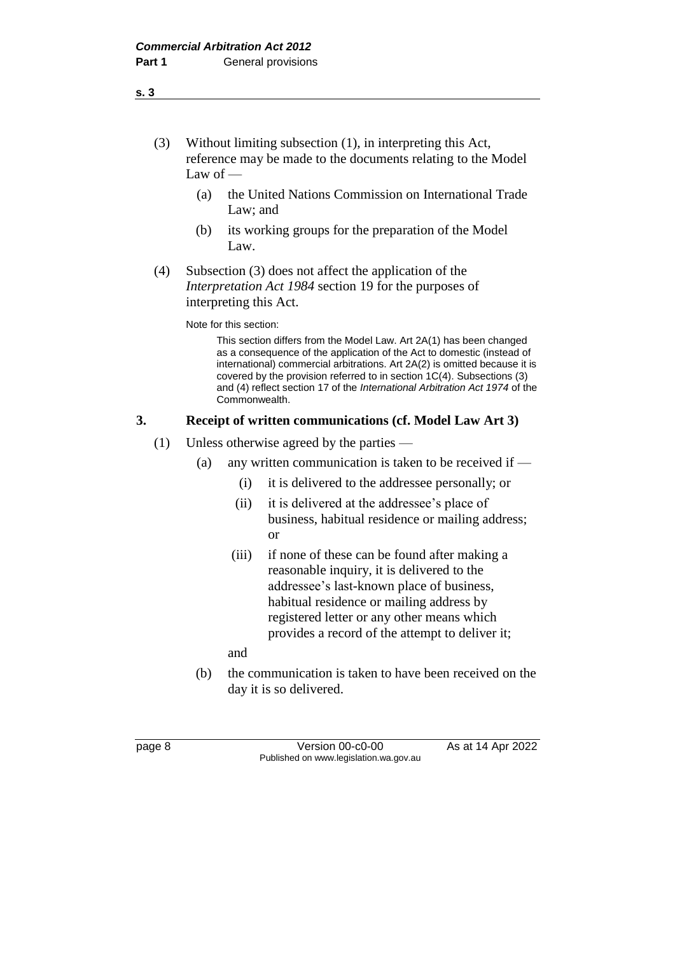### (3) Without limiting subsection (1), in interpreting this Act, reference may be made to the documents relating to the Model Law of —

- (a) the United Nations Commission on International Trade Law; and
- (b) its working groups for the preparation of the Model Law.
- (4) Subsection (3) does not affect the application of the *Interpretation Act 1984* section 19 for the purposes of interpreting this Act.

Note for this section:

This section differs from the Model Law. Art 2A(1) has been changed as a consequence of the application of the Act to domestic (instead of international) commercial arbitrations. Art 2A(2) is omitted because it is covered by the provision referred to in section 1C(4). Subsections (3) and (4) reflect section 17 of the *International Arbitration Act 1974* of the Commonwealth.

# **3. Receipt of written communications (cf. Model Law Art 3)**

- (1) Unless otherwise agreed by the parties
	- (a) any written communication is taken to be received if  $-$ 
		- (i) it is delivered to the addressee personally; or
		- (ii) it is delivered at the addressee's place of business, habitual residence or mailing address; or
		- (iii) if none of these can be found after making a reasonable inquiry, it is delivered to the addressee's last-known place of business, habitual residence or mailing address by registered letter or any other means which provides a record of the attempt to deliver it;

and

(b) the communication is taken to have been received on the day it is so delivered.

page 8 **Version 00-c0-00** As at 14 Apr 2022 Published on www.legislation.wa.gov.au

**s. 3**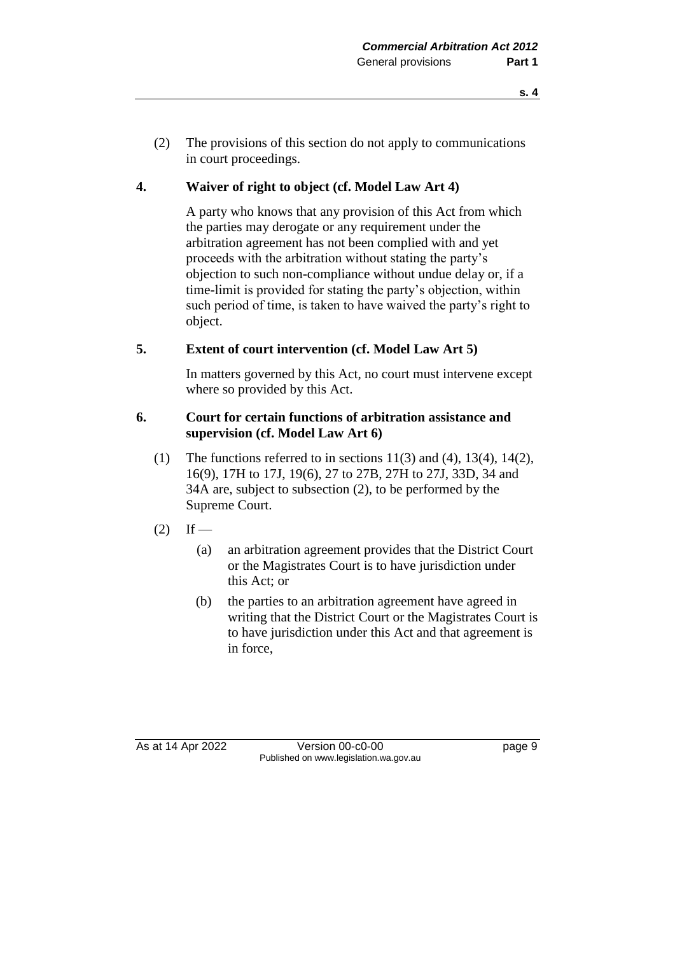(2) The provisions of this section do not apply to communications in court proceedings.

# **4. Waiver of right to object (cf. Model Law Art 4)**

A party who knows that any provision of this Act from which the parties may derogate or any requirement under the arbitration agreement has not been complied with and yet proceeds with the arbitration without stating the party's objection to such non-compliance without undue delay or, if a time-limit is provided for stating the party's objection, within such period of time, is taken to have waived the party's right to object.

# **5. Extent of court intervention (cf. Model Law Art 5)**

In matters governed by this Act, no court must intervene except where so provided by this Act.

#### **6. Court for certain functions of arbitration assistance and supervision (cf. Model Law Art 6)**

- (1) The functions referred to in sections  $11(3)$  and  $(4)$ ,  $13(4)$ ,  $14(2)$ , 16(9), 17H to 17J, 19(6), 27 to 27B, 27H to 27J, 33D, 34 and 34A are, subject to subsection (2), to be performed by the Supreme Court.
- $(2)$  If
	- (a) an arbitration agreement provides that the District Court or the Magistrates Court is to have jurisdiction under this Act; or
	- (b) the parties to an arbitration agreement have agreed in writing that the District Court or the Magistrates Court is to have jurisdiction under this Act and that agreement is in force,

As at 14 Apr 2022 Version 00-c0-00 Page 9 Published on www.legislation.wa.gov.au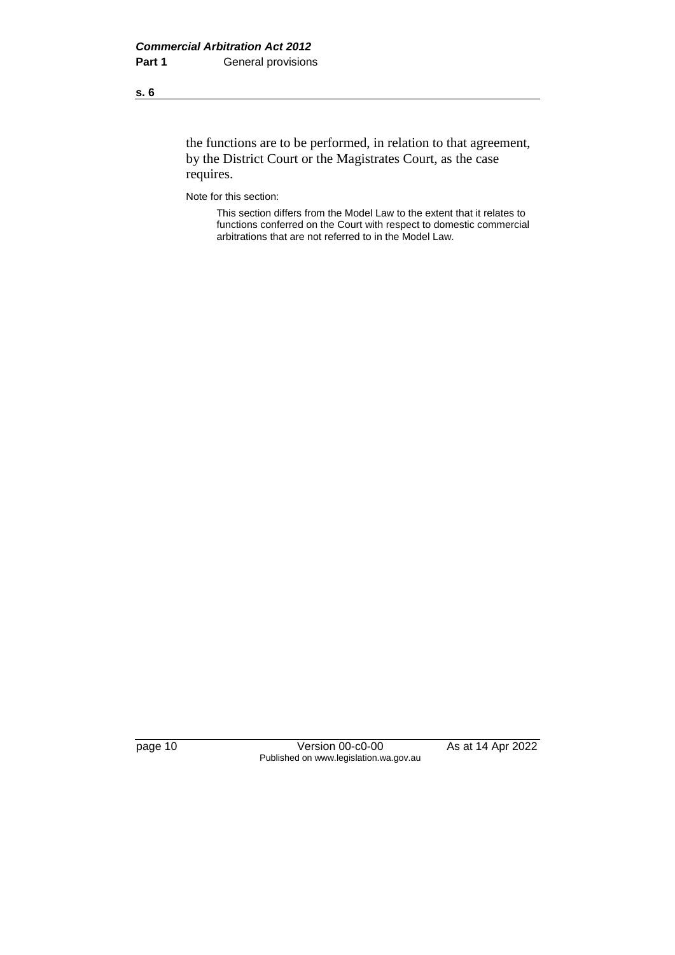the functions are to be performed, in relation to that agreement, by the District Court or the Magistrates Court, as the case requires.

Note for this section:

This section differs from the Model Law to the extent that it relates to functions conferred on the Court with respect to domestic commercial arbitrations that are not referred to in the Model Law.

page 10 Version 00-c0-00 As at 14 Apr 2022 Published on www.legislation.wa.gov.au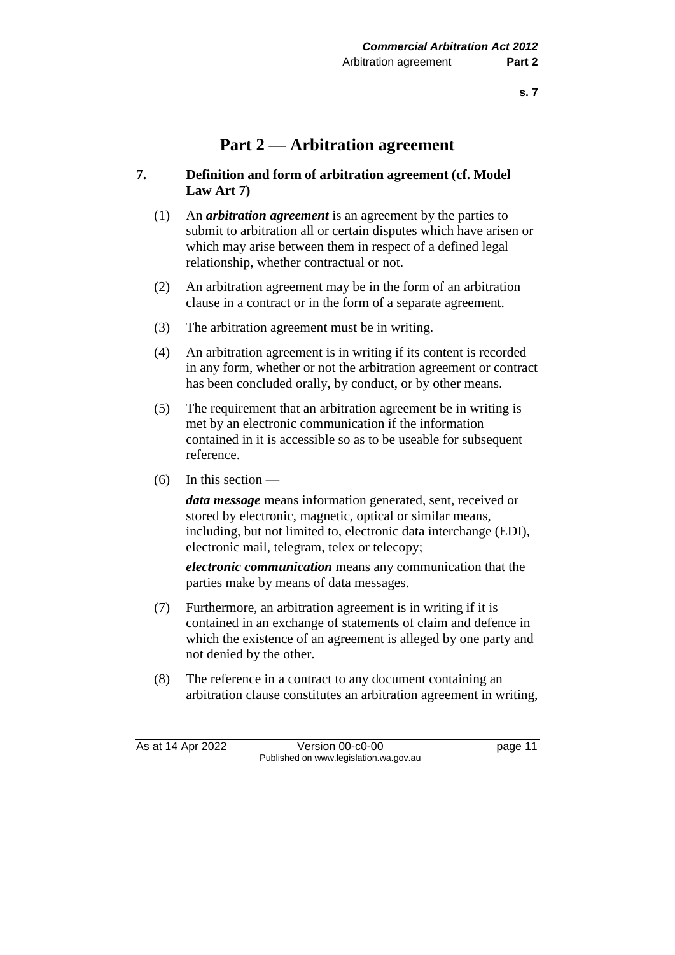# **Part 2 — Arbitration agreement**

### **7. Definition and form of arbitration agreement (cf. Model Law Art 7)**

- (1) An *arbitration agreement* is an agreement by the parties to submit to arbitration all or certain disputes which have arisen or which may arise between them in respect of a defined legal relationship, whether contractual or not.
- (2) An arbitration agreement may be in the form of an arbitration clause in a contract or in the form of a separate agreement.
- (3) The arbitration agreement must be in writing.
- (4) An arbitration agreement is in writing if its content is recorded in any form, whether or not the arbitration agreement or contract has been concluded orally, by conduct, or by other means.
- (5) The requirement that an arbitration agreement be in writing is met by an electronic communication if the information contained in it is accessible so as to be useable for subsequent reference.
- $(6)$  In this section —

*data message* means information generated, sent, received or stored by electronic, magnetic, optical or similar means, including, but not limited to, electronic data interchange (EDI), electronic mail, telegram, telex or telecopy;

*electronic communication* means any communication that the parties make by means of data messages.

- (7) Furthermore, an arbitration agreement is in writing if it is contained in an exchange of statements of claim and defence in which the existence of an agreement is alleged by one party and not denied by the other.
- (8) The reference in a contract to any document containing an arbitration clause constitutes an arbitration agreement in writing,

As at 14 Apr 2022 Version 00-c0-00 page 11 Published on www.legislation.wa.gov.au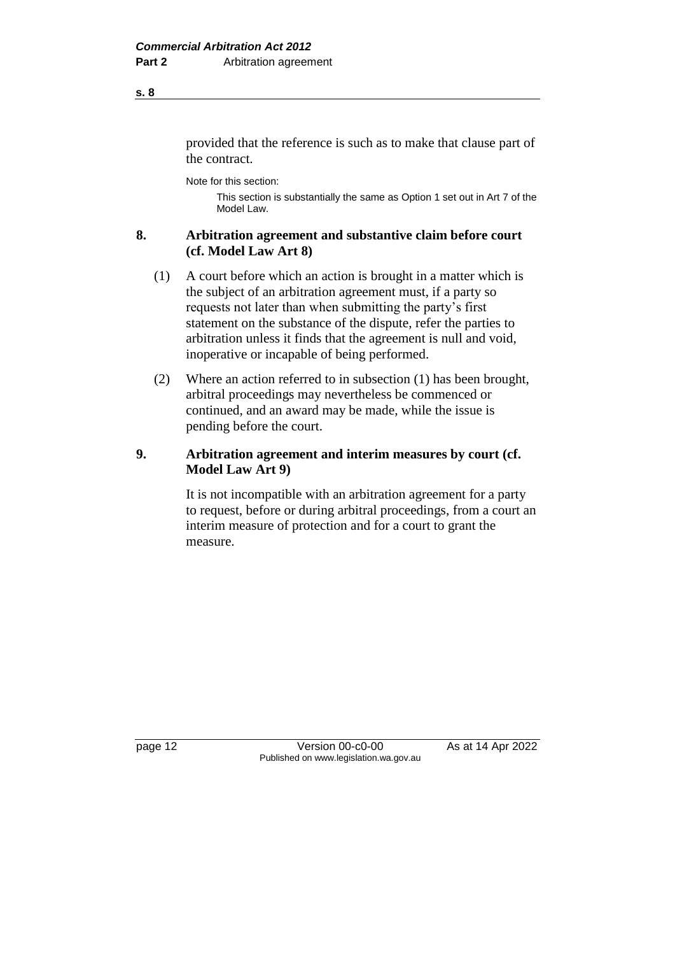provided that the reference is such as to make that clause part of the contract.

Note for this section:

This section is substantially the same as Option 1 set out in Art 7 of the Model Law.

### **8. Arbitration agreement and substantive claim before court (cf. Model Law Art 8)**

- (1) A court before which an action is brought in a matter which is the subject of an arbitration agreement must, if a party so requests not later than when submitting the party's first statement on the substance of the dispute, refer the parties to arbitration unless it finds that the agreement is null and void, inoperative or incapable of being performed.
- (2) Where an action referred to in subsection (1) has been brought, arbitral proceedings may nevertheless be commenced or continued, and an award may be made, while the issue is pending before the court.

# **9. Arbitration agreement and interim measures by court (cf. Model Law Art 9)**

It is not incompatible with an arbitration agreement for a party to request, before or during arbitral proceedings, from a court an interim measure of protection and for a court to grant the measure.

**s. 8**

page 12 **Version 00-c0-00** As at 14 Apr 2022 Published on www.legislation.wa.gov.au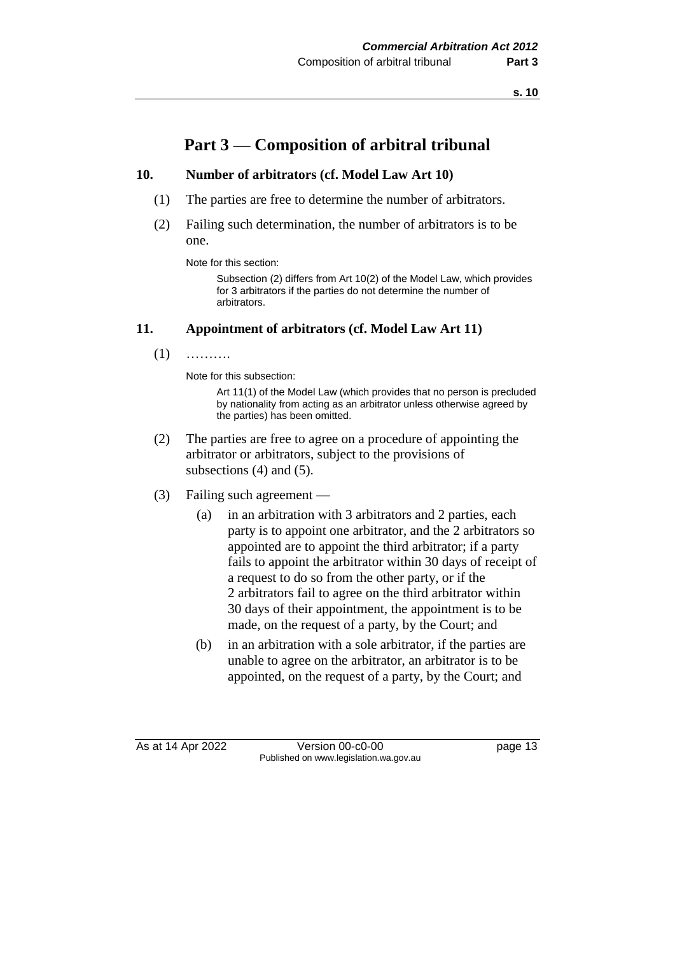# **Part 3 — Composition of arbitral tribunal**

#### **10. Number of arbitrators (cf. Model Law Art 10)**

- (1) The parties are free to determine the number of arbitrators.
- (2) Failing such determination, the number of arbitrators is to be one.

Note for this section:

Subsection (2) differs from Art 10(2) of the Model Law, which provides for 3 arbitrators if the parties do not determine the number of arbitrators.

#### **11. Appointment of arbitrators (cf. Model Law Art 11)**

 $(1)$  ………

Note for this subsection:

Art 11(1) of the Model Law (which provides that no person is precluded by nationality from acting as an arbitrator unless otherwise agreed by the parties) has been omitted.

- (2) The parties are free to agree on a procedure of appointing the arbitrator or arbitrators, subject to the provisions of subsections (4) and (5).
- (3) Failing such agreement
	- (a) in an arbitration with 3 arbitrators and 2 parties, each party is to appoint one arbitrator, and the 2 arbitrators so appointed are to appoint the third arbitrator; if a party fails to appoint the arbitrator within 30 days of receipt of a request to do so from the other party, or if the 2 arbitrators fail to agree on the third arbitrator within 30 days of their appointment, the appointment is to be made, on the request of a party, by the Court; and
	- (b) in an arbitration with a sole arbitrator, if the parties are unable to agree on the arbitrator, an arbitrator is to be appointed, on the request of a party, by the Court; and

As at 14 Apr 2022 Version 00-c0-00 page 13 Published on www.legislation.wa.gov.au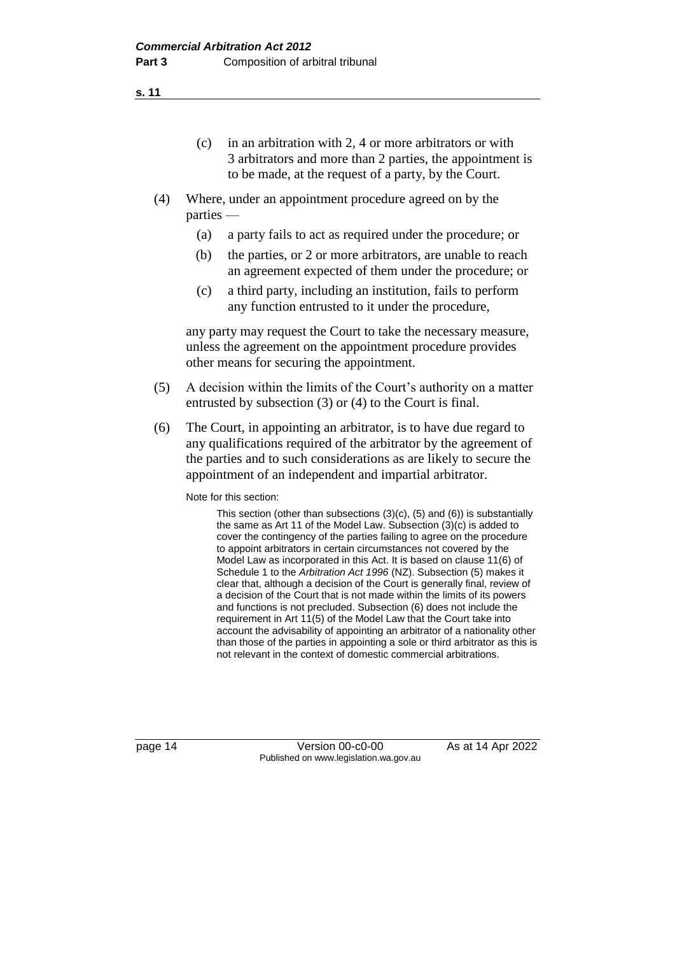- (c) in an arbitration with 2, 4 or more arbitrators or with 3 arbitrators and more than 2 parties, the appointment is to be made, at the request of a party, by the Court.
- (4) Where, under an appointment procedure agreed on by the parties —
	- (a) a party fails to act as required under the procedure; or
	- (b) the parties, or 2 or more arbitrators, are unable to reach an agreement expected of them under the procedure; or
	- (c) a third party, including an institution, fails to perform any function entrusted to it under the procedure,

any party may request the Court to take the necessary measure, unless the agreement on the appointment procedure provides other means for securing the appointment.

- (5) A decision within the limits of the Court's authority on a matter entrusted by subsection (3) or (4) to the Court is final.
- (6) The Court, in appointing an arbitrator, is to have due regard to any qualifications required of the arbitrator by the agreement of the parties and to such considerations as are likely to secure the appointment of an independent and impartial arbitrator.

Note for this section:

This section (other than subsections (3)(c), (5) and (6)) is substantially the same as Art 11 of the Model Law. Subsection (3)(c) is added to cover the contingency of the parties failing to agree on the procedure to appoint arbitrators in certain circumstances not covered by the Model Law as incorporated in this Act. It is based on clause 11(6) of Schedule 1 to the *Arbitration Act 1996* (NZ). Subsection (5) makes it clear that, although a decision of the Court is generally final, review of a decision of the Court that is not made within the limits of its powers and functions is not precluded. Subsection (6) does not include the requirement in Art 11(5) of the Model Law that the Court take into account the advisability of appointing an arbitrator of a nationality other than those of the parties in appointing a sole or third arbitrator as this is not relevant in the context of domestic commercial arbitrations.

page 14 Version 00-c0-00 As at 14 Apr 2022 Published on www.legislation.wa.gov.au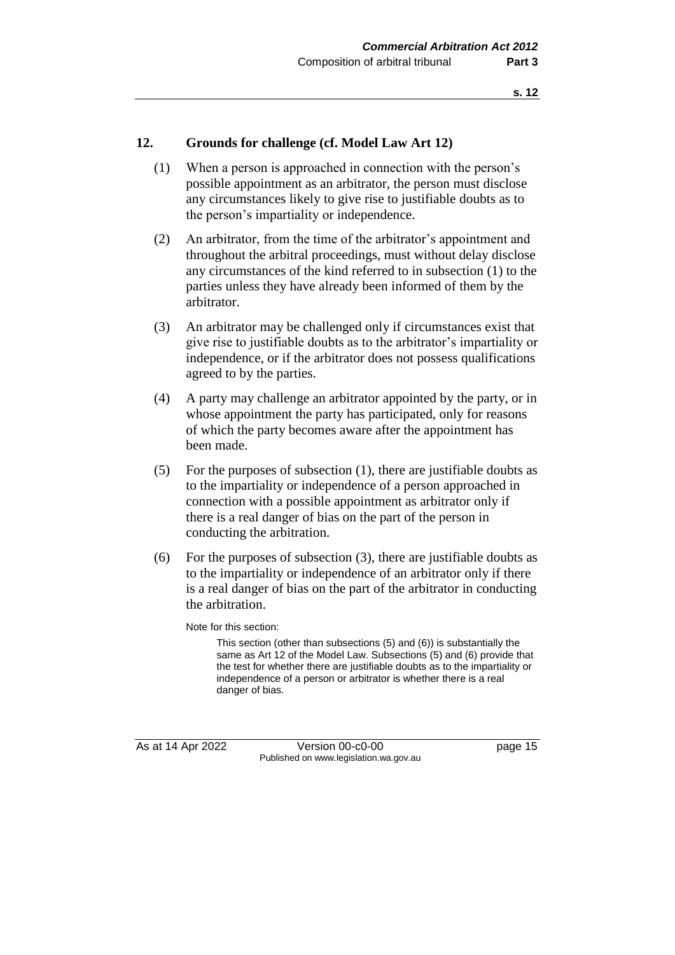#### **12. Grounds for challenge (cf. Model Law Art 12)**

- (1) When a person is approached in connection with the person's possible appointment as an arbitrator, the person must disclose any circumstances likely to give rise to justifiable doubts as to the person's impartiality or independence.
- (2) An arbitrator, from the time of the arbitrator's appointment and throughout the arbitral proceedings, must without delay disclose any circumstances of the kind referred to in subsection (1) to the parties unless they have already been informed of them by the arbitrator.
- (3) An arbitrator may be challenged only if circumstances exist that give rise to justifiable doubts as to the arbitrator's impartiality or independence, or if the arbitrator does not possess qualifications agreed to by the parties.
- (4) A party may challenge an arbitrator appointed by the party, or in whose appointment the party has participated, only for reasons of which the party becomes aware after the appointment has been made.
- (5) For the purposes of subsection (1), there are justifiable doubts as to the impartiality or independence of a person approached in connection with a possible appointment as arbitrator only if there is a real danger of bias on the part of the person in conducting the arbitration.
- (6) For the purposes of subsection (3), there are justifiable doubts as to the impartiality or independence of an arbitrator only if there is a real danger of bias on the part of the arbitrator in conducting the arbitration.

Note for this section:

This section (other than subsections (5) and (6)) is substantially the same as Art 12 of the Model Law. Subsections (5) and (6) provide that the test for whether there are justifiable doubts as to the impartiality or independence of a person or arbitrator is whether there is a real danger of bias.

As at 14 Apr 2022 Version 00-c0-00 page 15 Published on www.legislation.wa.gov.au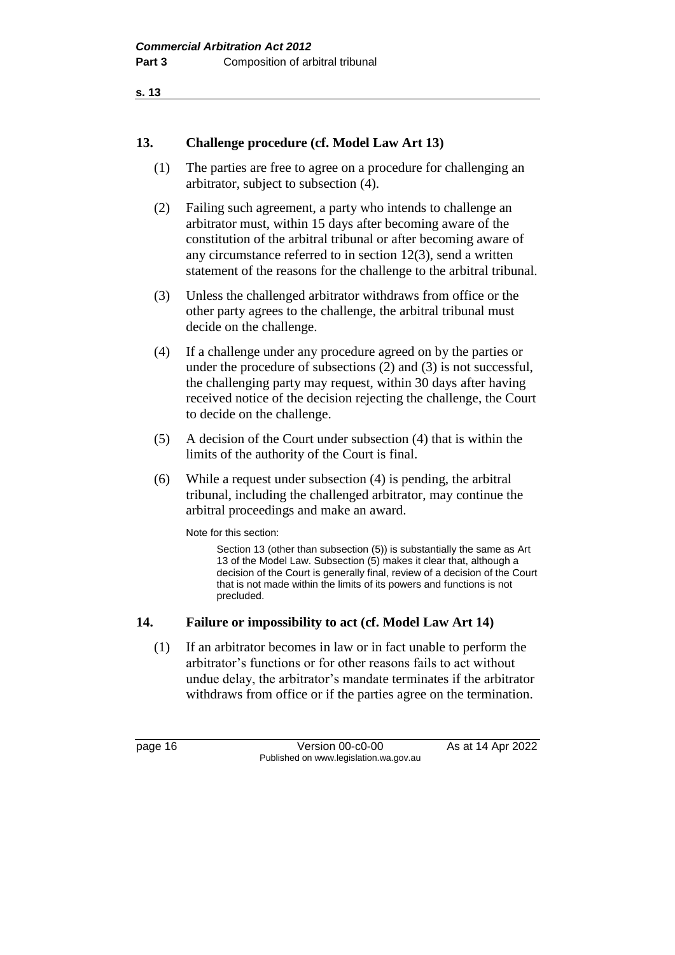#### **13. Challenge procedure (cf. Model Law Art 13)**

- (1) The parties are free to agree on a procedure for challenging an arbitrator, subject to subsection (4).
- (2) Failing such agreement, a party who intends to challenge an arbitrator must, within 15 days after becoming aware of the constitution of the arbitral tribunal or after becoming aware of any circumstance referred to in section 12(3), send a written statement of the reasons for the challenge to the arbitral tribunal.
- (3) Unless the challenged arbitrator withdraws from office or the other party agrees to the challenge, the arbitral tribunal must decide on the challenge.
- (4) If a challenge under any procedure agreed on by the parties or under the procedure of subsections (2) and (3) is not successful, the challenging party may request, within 30 days after having received notice of the decision rejecting the challenge, the Court to decide on the challenge.
- (5) A decision of the Court under subsection (4) that is within the limits of the authority of the Court is final.
- (6) While a request under subsection (4) is pending, the arbitral tribunal, including the challenged arbitrator, may continue the arbitral proceedings and make an award.

Note for this section:

Section 13 (other than subsection (5)) is substantially the same as Art 13 of the Model Law. Subsection (5) makes it clear that, although a decision of the Court is generally final, review of a decision of the Court that is not made within the limits of its powers and functions is not precluded.

#### **14. Failure or impossibility to act (cf. Model Law Art 14)**

(1) If an arbitrator becomes in law or in fact unable to perform the arbitrator's functions or for other reasons fails to act without undue delay, the arbitrator's mandate terminates if the arbitrator withdraws from office or if the parties agree on the termination.

page 16 Version 00-c0-00 As at 14 Apr 2022 Published on www.legislation.wa.gov.au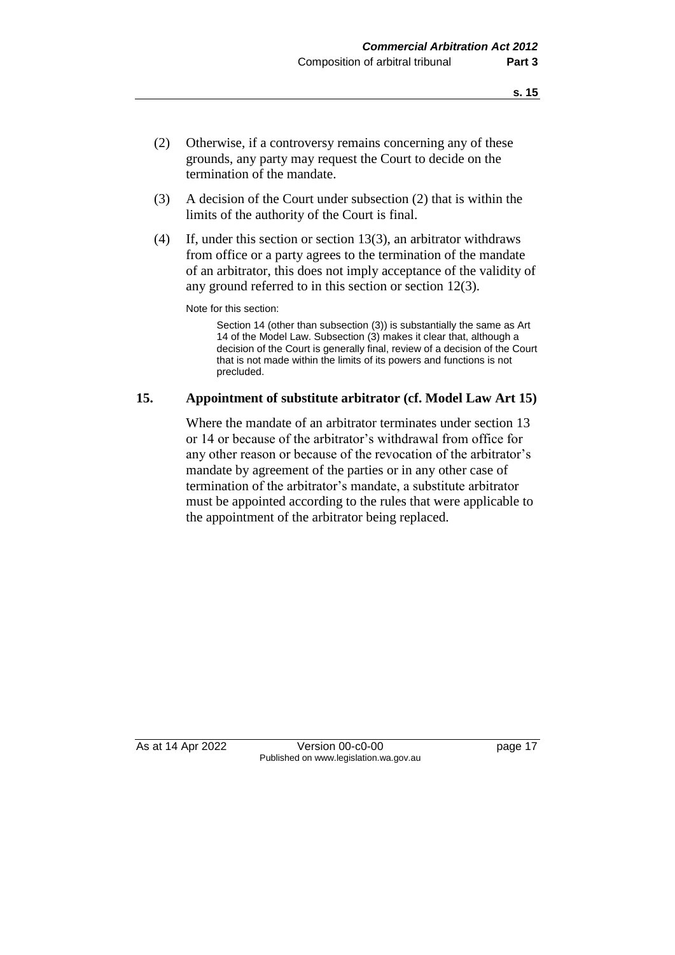- (2) Otherwise, if a controversy remains concerning any of these grounds, any party may request the Court to decide on the termination of the mandate.
- (3) A decision of the Court under subsection (2) that is within the limits of the authority of the Court is final.
- (4) If, under this section or section 13(3), an arbitrator withdraws from office or a party agrees to the termination of the mandate of an arbitrator, this does not imply acceptance of the validity of any ground referred to in this section or section 12(3).

Note for this section:

Section 14 (other than subsection (3)) is substantially the same as Art 14 of the Model Law. Subsection (3) makes it clear that, although a decision of the Court is generally final, review of a decision of the Court that is not made within the limits of its powers and functions is not precluded.

#### **15. Appointment of substitute arbitrator (cf. Model Law Art 15)**

Where the mandate of an arbitrator terminates under section 13 or 14 or because of the arbitrator's withdrawal from office for any other reason or because of the revocation of the arbitrator's mandate by agreement of the parties or in any other case of termination of the arbitrator's mandate, a substitute arbitrator must be appointed according to the rules that were applicable to the appointment of the arbitrator being replaced.

As at 14 Apr 2022 Version 00-c0-00 Published on www.legislation.wa.gov.au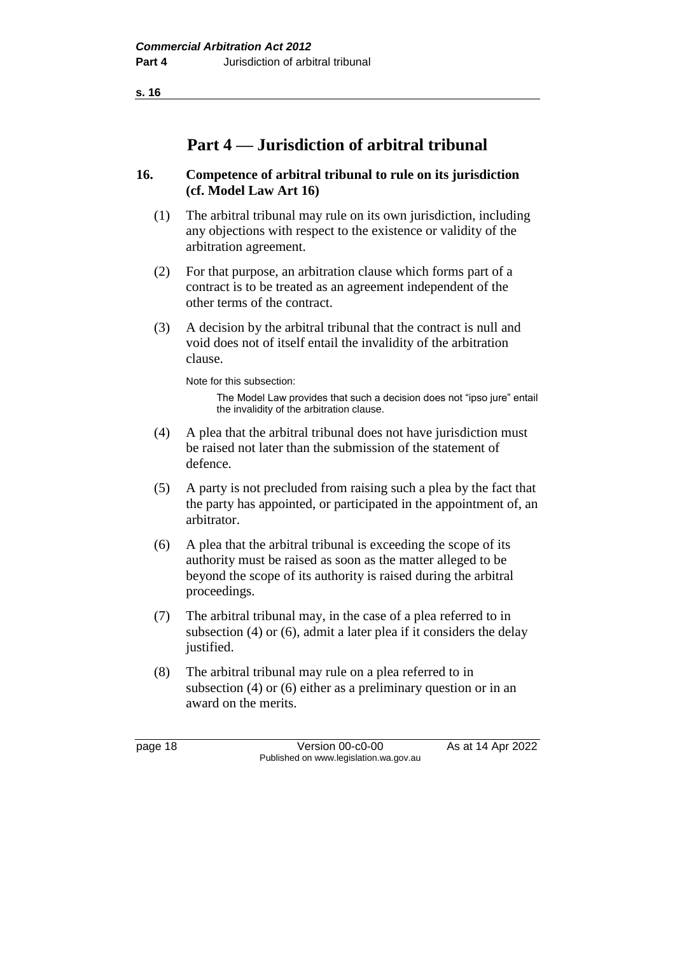# **Part 4 — Jurisdiction of arbitral tribunal**

#### **16. Competence of arbitral tribunal to rule on its jurisdiction (cf. Model Law Art 16)**

- (1) The arbitral tribunal may rule on its own jurisdiction, including any objections with respect to the existence or validity of the arbitration agreement.
- (2) For that purpose, an arbitration clause which forms part of a contract is to be treated as an agreement independent of the other terms of the contract.
- (3) A decision by the arbitral tribunal that the contract is null and void does not of itself entail the invalidity of the arbitration clause.

Note for this subsection:

The Model Law provides that such a decision does not "ipso jure" entail the invalidity of the arbitration clause.

- (4) A plea that the arbitral tribunal does not have jurisdiction must be raised not later than the submission of the statement of defence.
- (5) A party is not precluded from raising such a plea by the fact that the party has appointed, or participated in the appointment of, an arbitrator.
- (6) A plea that the arbitral tribunal is exceeding the scope of its authority must be raised as soon as the matter alleged to be beyond the scope of its authority is raised during the arbitral proceedings.
- (7) The arbitral tribunal may, in the case of a plea referred to in subsection (4) or (6), admit a later plea if it considers the delay justified.
- (8) The arbitral tribunal may rule on a plea referred to in subsection (4) or (6) either as a preliminary question or in an award on the merits.

page 18 **Version 00-c0-00** As at 14 Apr 2022 Published on www.legislation.wa.gov.au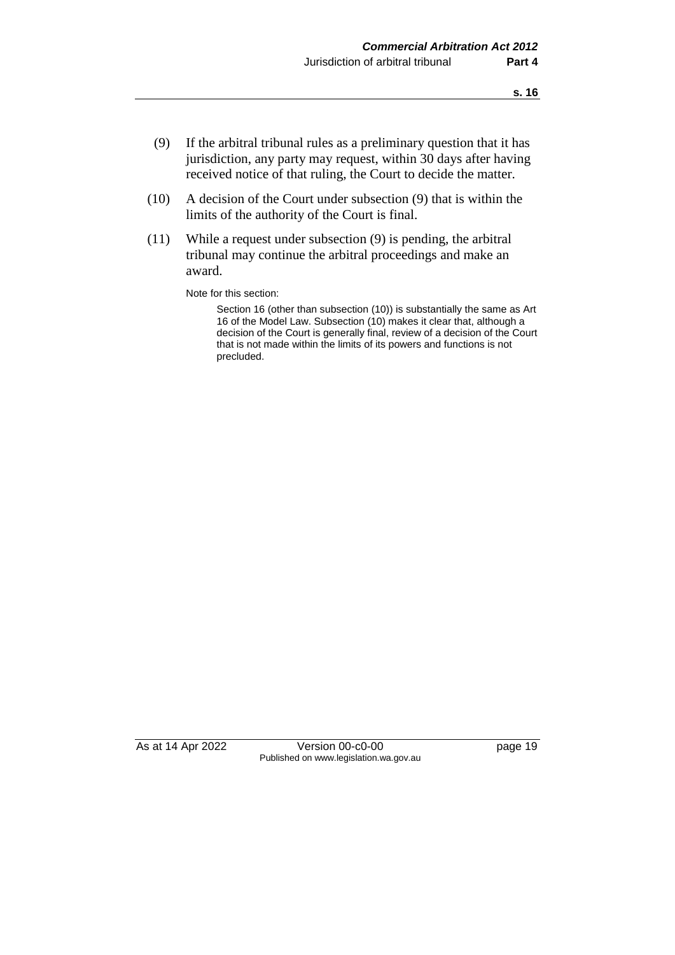- (9) If the arbitral tribunal rules as a preliminary question that it has jurisdiction, any party may request, within 30 days after having received notice of that ruling, the Court to decide the matter.
- (10) A decision of the Court under subsection (9) that is within the limits of the authority of the Court is final.
- (11) While a request under subsection (9) is pending, the arbitral tribunal may continue the arbitral proceedings and make an award.

Note for this section:

Section 16 (other than subsection (10)) is substantially the same as Art 16 of the Model Law. Subsection (10) makes it clear that, although a decision of the Court is generally final, review of a decision of the Court that is not made within the limits of its powers and functions is not precluded.

As at 14 Apr 2022 Version 00-c0-00 page 19 Published on www.legislation.wa.gov.au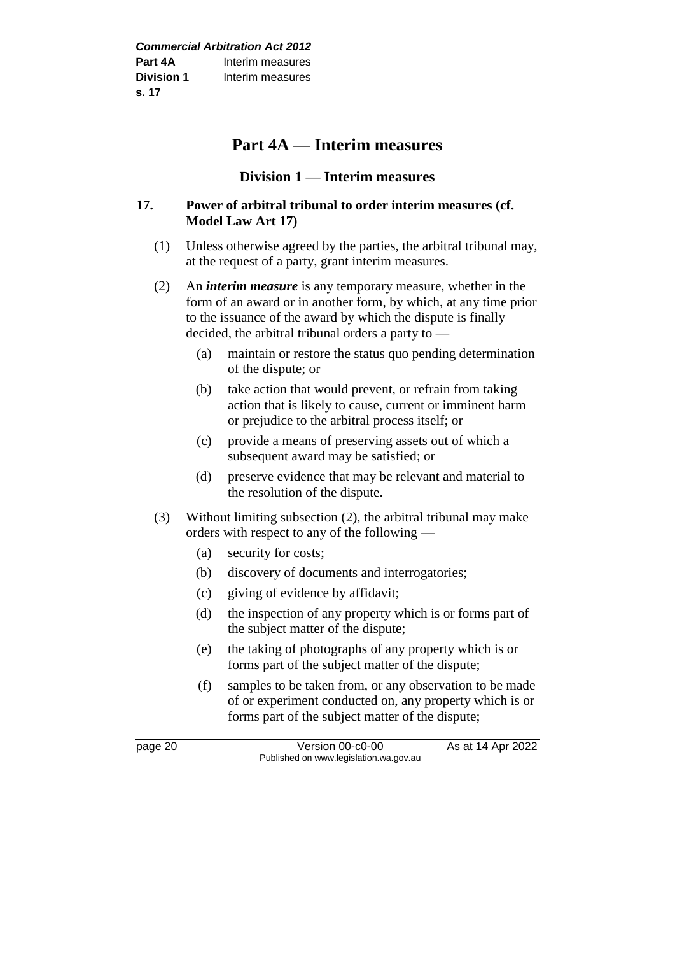# **Part 4A — Interim measures**

#### **Division 1 — Interim measures**

#### **17. Power of arbitral tribunal to order interim measures (cf. Model Law Art 17)**

- (1) Unless otherwise agreed by the parties, the arbitral tribunal may, at the request of a party, grant interim measures.
- (2) An *interim measure* is any temporary measure, whether in the form of an award or in another form, by which, at any time prior to the issuance of the award by which the dispute is finally decided, the arbitral tribunal orders a party to —
	- (a) maintain or restore the status quo pending determination of the dispute; or
	- (b) take action that would prevent, or refrain from taking action that is likely to cause, current or imminent harm or prejudice to the arbitral process itself; or
	- (c) provide a means of preserving assets out of which a subsequent award may be satisfied; or
	- (d) preserve evidence that may be relevant and material to the resolution of the dispute.
- (3) Without limiting subsection (2), the arbitral tribunal may make orders with respect to any of the following —
	- (a) security for costs;
	- (b) discovery of documents and interrogatories;
	- (c) giving of evidence by affidavit;
	- (d) the inspection of any property which is or forms part of the subject matter of the dispute;
	- (e) the taking of photographs of any property which is or forms part of the subject matter of the dispute;
	- (f) samples to be taken from, or any observation to be made of or experiment conducted on, any property which is or forms part of the subject matter of the dispute;

page 20 **Version 00-c0-00** As at 14 Apr 2022 Published on www.legislation.wa.gov.au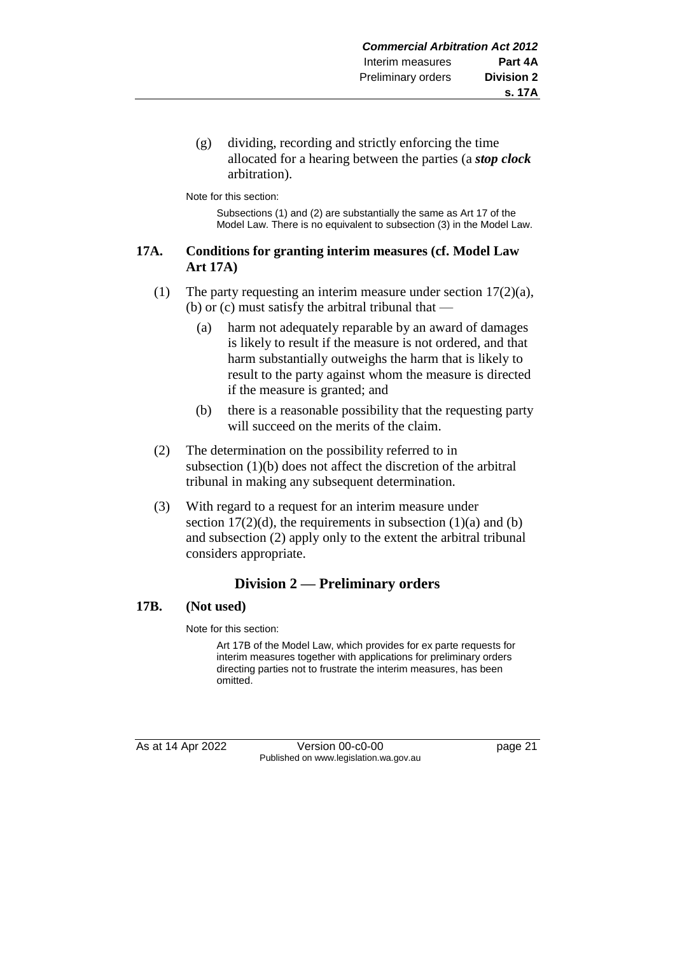(g) dividing, recording and strictly enforcing the time allocated for a hearing between the parties (a *stop clock* arbitration).

Note for this section:

Subsections (1) and (2) are substantially the same as Art 17 of the Model Law. There is no equivalent to subsection (3) in the Model Law.

#### **17A. Conditions for granting interim measures (cf. Model Law Art 17A)**

- (1) The party requesting an interim measure under section  $17(2)(a)$ , (b) or (c) must satisfy the arbitral tribunal that —
	- (a) harm not adequately reparable by an award of damages is likely to result if the measure is not ordered, and that harm substantially outweighs the harm that is likely to result to the party against whom the measure is directed if the measure is granted; and
	- (b) there is a reasonable possibility that the requesting party will succeed on the merits of the claim.
- (2) The determination on the possibility referred to in subsection (1)(b) does not affect the discretion of the arbitral tribunal in making any subsequent determination.
- (3) With regard to a request for an interim measure under section  $17(2)(d)$ , the requirements in subsection  $(1)(a)$  and  $(b)$ and subsection (2) apply only to the extent the arbitral tribunal considers appropriate.

# **Division 2 — Preliminary orders**

#### **17B. (Not used)**

Note for this section:

Art 17B of the Model Law, which provides for ex parte requests for interim measures together with applications for preliminary orders directing parties not to frustrate the interim measures, has been omitted.

As at 14 Apr 2022 Version 00-c0-00 page 21 Published on www.legislation.wa.gov.au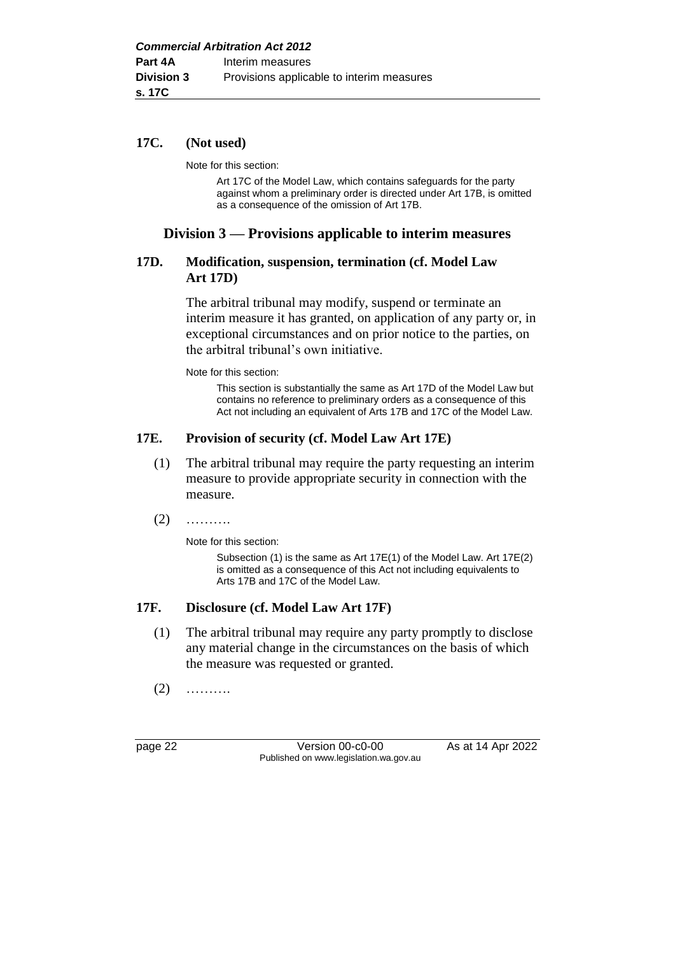#### **17C. (Not used)**

Note for this section:

Art 17C of the Model Law, which contains safeguards for the party against whom a preliminary order is directed under Art 17B, is omitted as a consequence of the omission of Art 17B.

# **Division 3 — Provisions applicable to interim measures**

#### **17D. Modification, suspension, termination (cf. Model Law Art 17D)**

The arbitral tribunal may modify, suspend or terminate an interim measure it has granted, on application of any party or, in exceptional circumstances and on prior notice to the parties, on the arbitral tribunal's own initiative.

Note for this section:

This section is substantially the same as Art 17D of the Model Law but contains no reference to preliminary orders as a consequence of this Act not including an equivalent of Arts 17B and 17C of the Model Law.

#### **17E. Provision of security (cf. Model Law Art 17E)**

- (1) The arbitral tribunal may require the party requesting an interim measure to provide appropriate security in connection with the measure.
- $(2)$  ………

Note for this section:

Subsection (1) is the same as Art 17E(1) of the Model Law. Art 17E(2) is omitted as a consequence of this Act not including equivalents to Arts 17B and 17C of the Model Law.

#### **17F. Disclosure (cf. Model Law Art 17F)**

- (1) The arbitral tribunal may require any party promptly to disclose any material change in the circumstances on the basis of which the measure was requested or granted.
- $(2)$  ………

page 22 Version 00-c0-00 As at 14 Apr 2022 Published on www.legislation.wa.gov.au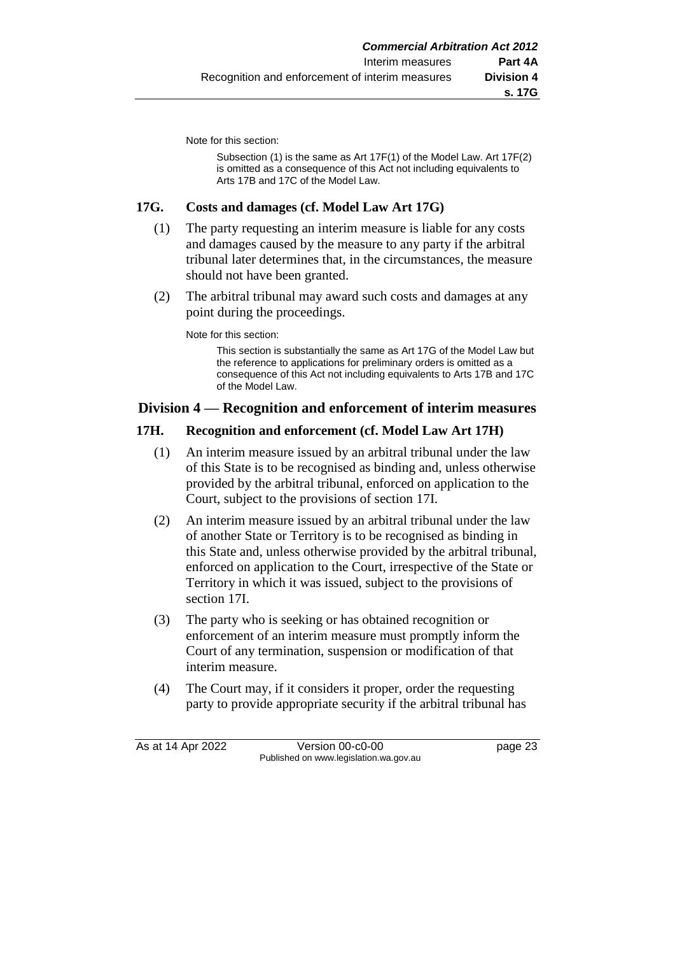Note for this section:

Subsection (1) is the same as Art 17F(1) of the Model Law. Art 17F(2) is omitted as a consequence of this Act not including equivalents to Arts 17B and 17C of the Model Law.

### **17G. Costs and damages (cf. Model Law Art 17G)**

- (1) The party requesting an interim measure is liable for any costs and damages caused by the measure to any party if the arbitral tribunal later determines that, in the circumstances, the measure should not have been granted.
- (2) The arbitral tribunal may award such costs and damages at any point during the proceedings.

Note for this section:

This section is substantially the same as Art 17G of the Model Law but the reference to applications for preliminary orders is omitted as a consequence of this Act not including equivalents to Arts 17B and 17C of the Model Law.

# **Division 4 — Recognition and enforcement of interim measures**

#### **17H. Recognition and enforcement (cf. Model Law Art 17H)**

- (1) An interim measure issued by an arbitral tribunal under the law of this State is to be recognised as binding and, unless otherwise provided by the arbitral tribunal, enforced on application to the Court, subject to the provisions of section 17I.
- (2) An interim measure issued by an arbitral tribunal under the law of another State or Territory is to be recognised as binding in this State and, unless otherwise provided by the arbitral tribunal, enforced on application to the Court, irrespective of the State or Territory in which it was issued, subject to the provisions of section 17I.
- (3) The party who is seeking or has obtained recognition or enforcement of an interim measure must promptly inform the Court of any termination, suspension or modification of that interim measure.
- (4) The Court may, if it considers it proper, order the requesting party to provide appropriate security if the arbitral tribunal has

As at 14 Apr 2022 Version 00-c0-00 page 23 Published on www.legislation.wa.gov.au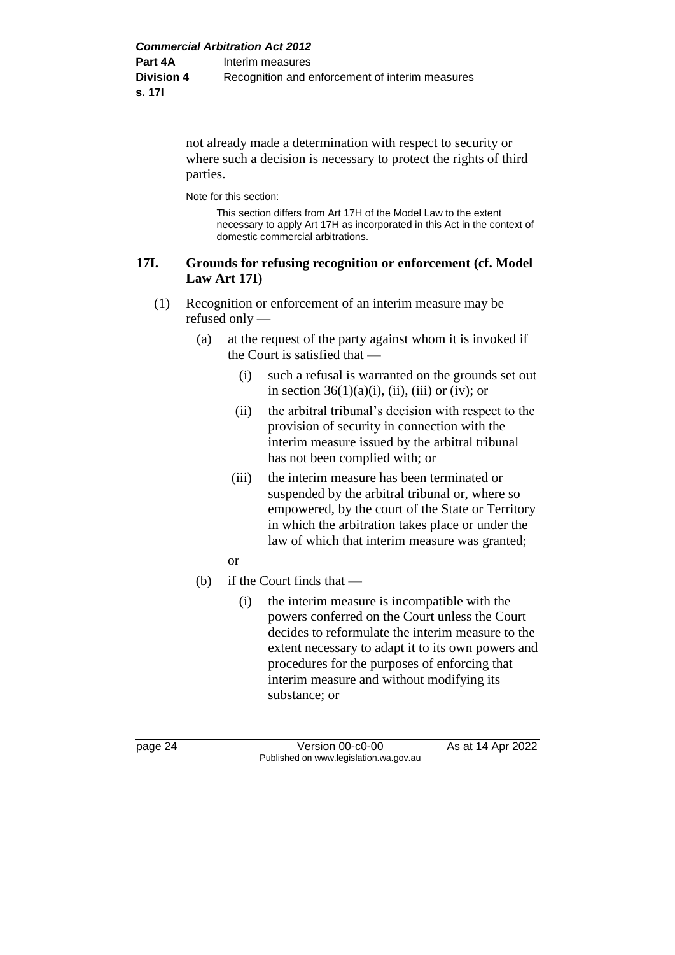not already made a determination with respect to security or where such a decision is necessary to protect the rights of third parties.

Note for this section:

This section differs from Art 17H of the Model Law to the extent necessary to apply Art 17H as incorporated in this Act in the context of domestic commercial arbitrations.

#### **17I. Grounds for refusing recognition or enforcement (cf. Model Law Art 17I)**

- (1) Recognition or enforcement of an interim measure may be refused only —
	- (a) at the request of the party against whom it is invoked if the Court is satisfied that —
		- (i) such a refusal is warranted on the grounds set out in section  $36(1)(a)(i)$ , (ii), (iii) or (iv); or
		- (ii) the arbitral tribunal's decision with respect to the provision of security in connection with the interim measure issued by the arbitral tribunal has not been complied with; or
		- (iii) the interim measure has been terminated or suspended by the arbitral tribunal or, where so empowered, by the court of the State or Territory in which the arbitration takes place or under the law of which that interim measure was granted;
		- or
	- (b) if the Court finds that
		- (i) the interim measure is incompatible with the powers conferred on the Court unless the Court decides to reformulate the interim measure to the extent necessary to adapt it to its own powers and procedures for the purposes of enforcing that interim measure and without modifying its substance; or

page 24 Version 00-c0-00 As at 14 Apr 2022 Published on www.legislation.wa.gov.au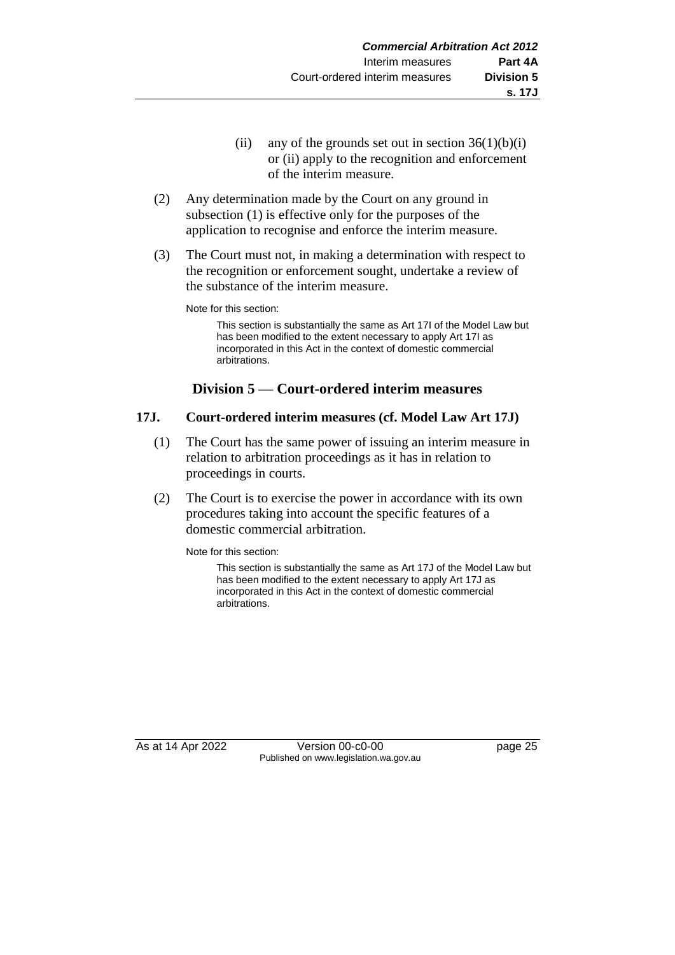- (ii) any of the grounds set out in section  $36(1)(b)(i)$ or (ii) apply to the recognition and enforcement of the interim measure.
- (2) Any determination made by the Court on any ground in subsection (1) is effective only for the purposes of the application to recognise and enforce the interim measure.
- (3) The Court must not, in making a determination with respect to the recognition or enforcement sought, undertake a review of the substance of the interim measure.

Note for this section:

This section is substantially the same as Art 17I of the Model Law but has been modified to the extent necessary to apply Art 17I as incorporated in this Act in the context of domestic commercial arbitrations.

# **Division 5 — Court-ordered interim measures**

#### **17J. Court-ordered interim measures (cf. Model Law Art 17J)**

- (1) The Court has the same power of issuing an interim measure in relation to arbitration proceedings as it has in relation to proceedings in courts.
- (2) The Court is to exercise the power in accordance with its own procedures taking into account the specific features of a domestic commercial arbitration.

Note for this section:

This section is substantially the same as Art 17J of the Model Law but has been modified to the extent necessary to apply Art 17J as incorporated in this Act in the context of domestic commercial arbitrations.

As at 14 Apr 2022 Version 00-c0-00 Published on www.legislation.wa.gov.au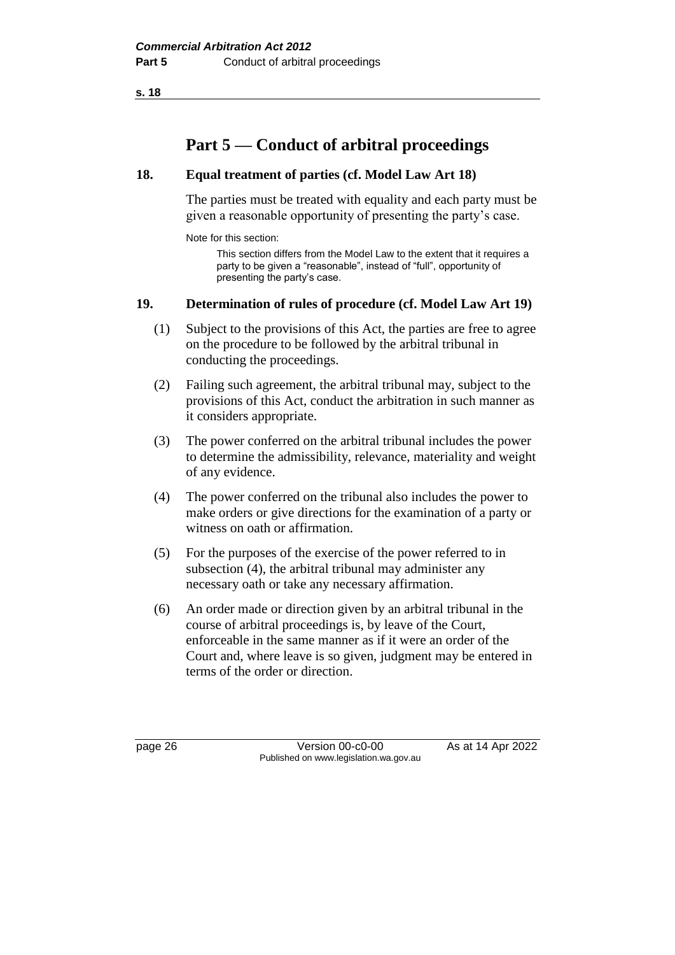# **Part 5 — Conduct of arbitral proceedings**

### **18. Equal treatment of parties (cf. Model Law Art 18)**

The parties must be treated with equality and each party must be given a reasonable opportunity of presenting the party's case.

Note for this section:

This section differs from the Model Law to the extent that it requires a party to be given a "reasonable", instead of "full", opportunity of presenting the party's case.

#### **19. Determination of rules of procedure (cf. Model Law Art 19)**

- (1) Subject to the provisions of this Act, the parties are free to agree on the procedure to be followed by the arbitral tribunal in conducting the proceedings.
- (2) Failing such agreement, the arbitral tribunal may, subject to the provisions of this Act, conduct the arbitration in such manner as it considers appropriate.
- (3) The power conferred on the arbitral tribunal includes the power to determine the admissibility, relevance, materiality and weight of any evidence.
- (4) The power conferred on the tribunal also includes the power to make orders or give directions for the examination of a party or witness on oath or affirmation.
- (5) For the purposes of the exercise of the power referred to in subsection (4), the arbitral tribunal may administer any necessary oath or take any necessary affirmation.
- (6) An order made or direction given by an arbitral tribunal in the course of arbitral proceedings is, by leave of the Court, enforceable in the same manner as if it were an order of the Court and, where leave is so given, judgment may be entered in terms of the order or direction.

page 26 Version 00-c0-00 As at 14 Apr 2022 Published on www.legislation.wa.gov.au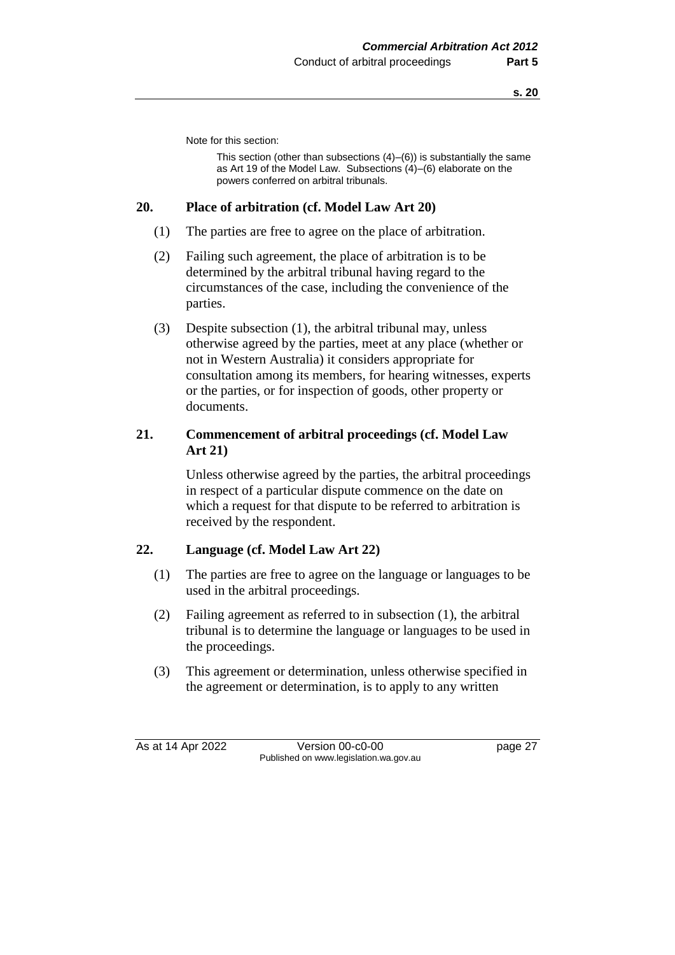Note for this section:

This section (other than subsections (4)–(6)) is substantially the same as Art 19 of the Model Law. Subsections (4)–(6) elaborate on the powers conferred on arbitral tribunals.

#### **20. Place of arbitration (cf. Model Law Art 20)**

- (1) The parties are free to agree on the place of arbitration.
- (2) Failing such agreement, the place of arbitration is to be determined by the arbitral tribunal having regard to the circumstances of the case, including the convenience of the parties.
- (3) Despite subsection (1), the arbitral tribunal may, unless otherwise agreed by the parties, meet at any place (whether or not in Western Australia) it considers appropriate for consultation among its members, for hearing witnesses, experts or the parties, or for inspection of goods, other property or documents.

# **21. Commencement of arbitral proceedings (cf. Model Law Art 21)**

Unless otherwise agreed by the parties, the arbitral proceedings in respect of a particular dispute commence on the date on which a request for that dispute to be referred to arbitration is received by the respondent.

# **22. Language (cf. Model Law Art 22)**

- (1) The parties are free to agree on the language or languages to be used in the arbitral proceedings.
- (2) Failing agreement as referred to in subsection (1), the arbitral tribunal is to determine the language or languages to be used in the proceedings.
- (3) This agreement or determination, unless otherwise specified in the agreement or determination, is to apply to any written

As at 14 Apr 2022 Version 00-c0-00 Page 27 Published on www.legislation.wa.gov.au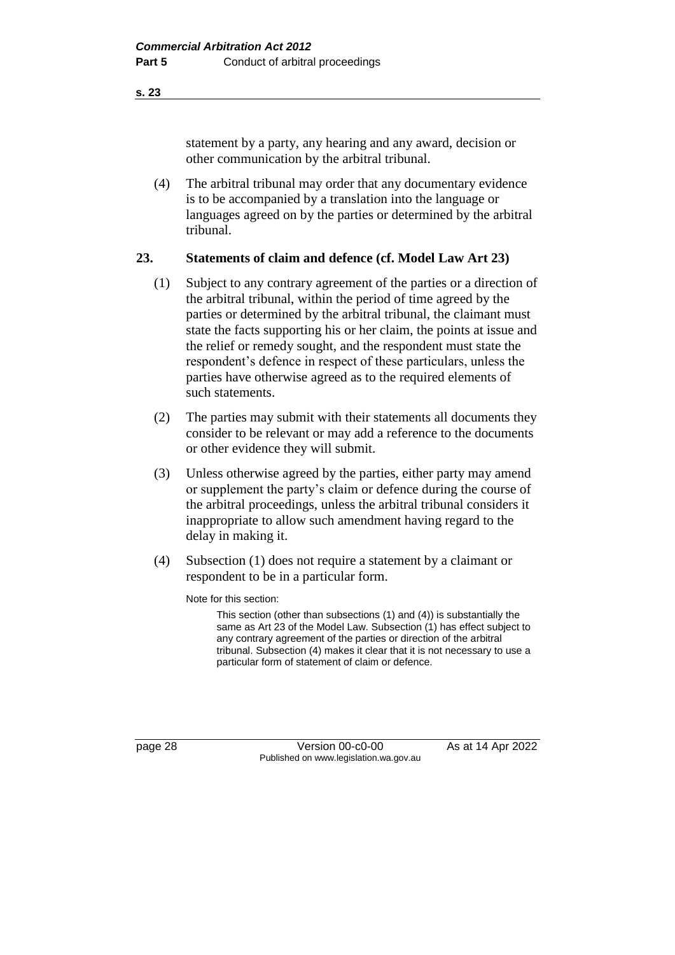statement by a party, any hearing and any award, decision or other communication by the arbitral tribunal.

(4) The arbitral tribunal may order that any documentary evidence is to be accompanied by a translation into the language or languages agreed on by the parties or determined by the arbitral tribunal.

#### **23. Statements of claim and defence (cf. Model Law Art 23)**

- (1) Subject to any contrary agreement of the parties or a direction of the arbitral tribunal, within the period of time agreed by the parties or determined by the arbitral tribunal, the claimant must state the facts supporting his or her claim, the points at issue and the relief or remedy sought, and the respondent must state the respondent's defence in respect of these particulars, unless the parties have otherwise agreed as to the required elements of such statements.
- (2) The parties may submit with their statements all documents they consider to be relevant or may add a reference to the documents or other evidence they will submit.
- (3) Unless otherwise agreed by the parties, either party may amend or supplement the party's claim or defence during the course of the arbitral proceedings, unless the arbitral tribunal considers it inappropriate to allow such amendment having regard to the delay in making it.
- (4) Subsection (1) does not require a statement by a claimant or respondent to be in a particular form.

Note for this section:

This section (other than subsections (1) and (4)) is substantially the same as Art 23 of the Model Law. Subsection (1) has effect subject to any contrary agreement of the parties or direction of the arbitral tribunal. Subsection (4) makes it clear that it is not necessary to use a particular form of statement of claim or defence.

**s. 23**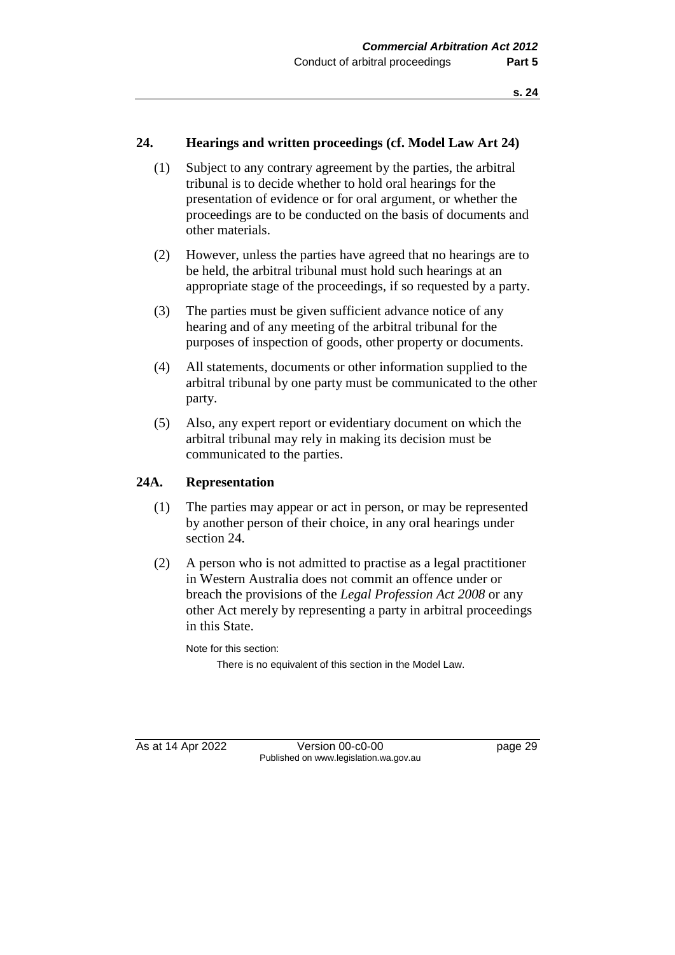### **24. Hearings and written proceedings (cf. Model Law Art 24)**

- (1) Subject to any contrary agreement by the parties, the arbitral tribunal is to decide whether to hold oral hearings for the presentation of evidence or for oral argument, or whether the proceedings are to be conducted on the basis of documents and other materials.
- (2) However, unless the parties have agreed that no hearings are to be held, the arbitral tribunal must hold such hearings at an appropriate stage of the proceedings, if so requested by a party.
- (3) The parties must be given sufficient advance notice of any hearing and of any meeting of the arbitral tribunal for the purposes of inspection of goods, other property or documents.
- (4) All statements, documents or other information supplied to the arbitral tribunal by one party must be communicated to the other party.
- (5) Also, any expert report or evidentiary document on which the arbitral tribunal may rely in making its decision must be communicated to the parties.

#### **24A. Representation**

- (1) The parties may appear or act in person, or may be represented by another person of their choice, in any oral hearings under section 24.
- (2) A person who is not admitted to practise as a legal practitioner in Western Australia does not commit an offence under or breach the provisions of the *Legal Profession Act 2008* or any other Act merely by representing a party in arbitral proceedings in this State.

Note for this section:

There is no equivalent of this section in the Model Law.

As at 14 Apr 2022 Version 00-c0-00 page 29 Published on www.legislation.wa.gov.au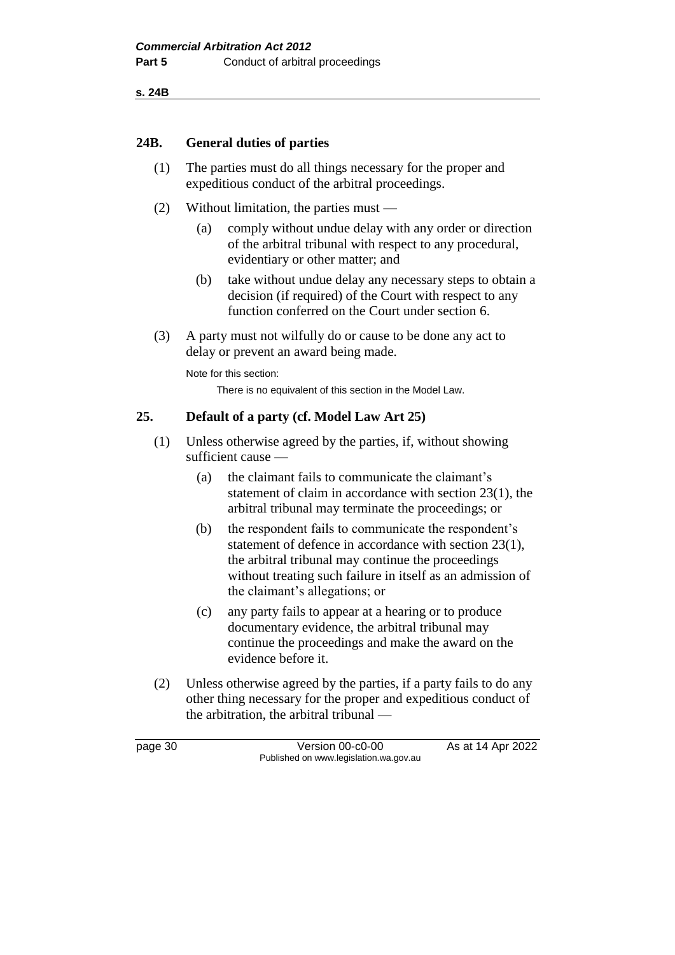**s. 24B**

#### **24B. General duties of parties**

- (1) The parties must do all things necessary for the proper and expeditious conduct of the arbitral proceedings.
- (2) Without limitation, the parties must
	- (a) comply without undue delay with any order or direction of the arbitral tribunal with respect to any procedural, evidentiary or other matter; and
	- (b) take without undue delay any necessary steps to obtain a decision (if required) of the Court with respect to any function conferred on the Court under section 6.
- (3) A party must not wilfully do or cause to be done any act to delay or prevent an award being made.

Note for this section:

There is no equivalent of this section in the Model Law.

#### **25. Default of a party (cf. Model Law Art 25)**

- (1) Unless otherwise agreed by the parties, if, without showing sufficient cause —
	- (a) the claimant fails to communicate the claimant's statement of claim in accordance with section 23(1), the arbitral tribunal may terminate the proceedings; or
	- (b) the respondent fails to communicate the respondent's statement of defence in accordance with section 23(1), the arbitral tribunal may continue the proceedings without treating such failure in itself as an admission of the claimant's allegations; or
	- (c) any party fails to appear at a hearing or to produce documentary evidence, the arbitral tribunal may continue the proceedings and make the award on the evidence before it.
- (2) Unless otherwise agreed by the parties, if a party fails to do any other thing necessary for the proper and expeditious conduct of the arbitration, the arbitral tribunal —

page 30 **Version 00-c0-00** As at 14 Apr 2022 Published on www.legislation.wa.gov.au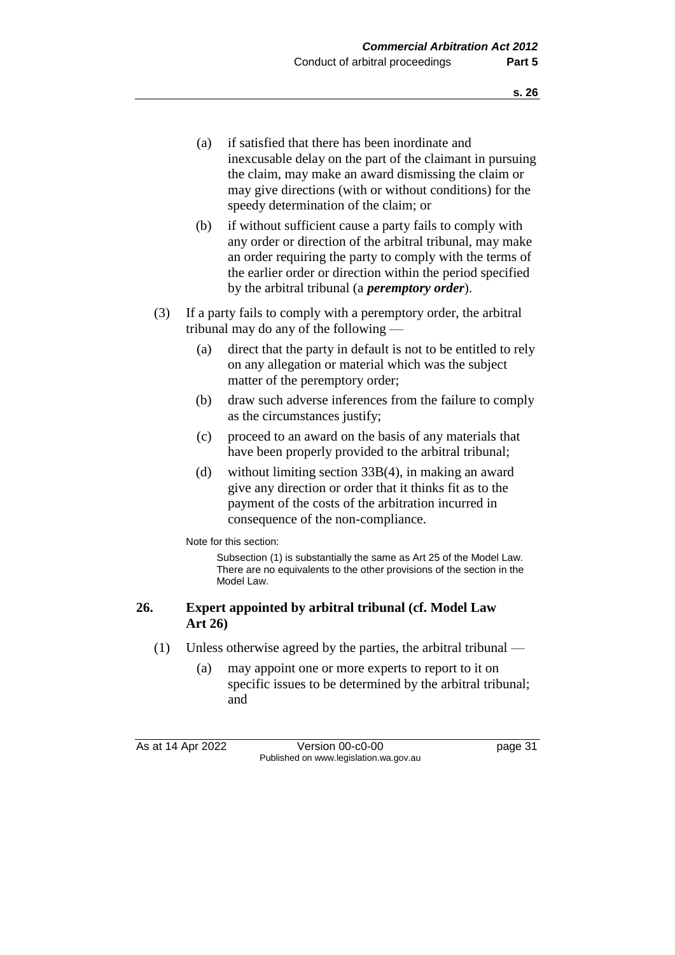- (a) if satisfied that there has been inordinate and inexcusable delay on the part of the claimant in pursuing the claim, may make an award dismissing the claim or may give directions (with or without conditions) for the speedy determination of the claim; or
- (b) if without sufficient cause a party fails to comply with any order or direction of the arbitral tribunal, may make an order requiring the party to comply with the terms of the earlier order or direction within the period specified by the arbitral tribunal (a *peremptory order*).
- (3) If a party fails to comply with a peremptory order, the arbitral tribunal may do any of the following —
	- (a) direct that the party in default is not to be entitled to rely on any allegation or material which was the subject matter of the peremptory order;
	- (b) draw such adverse inferences from the failure to comply as the circumstances justify;
	- (c) proceed to an award on the basis of any materials that have been properly provided to the arbitral tribunal;
	- (d) without limiting section 33B(4), in making an award give any direction or order that it thinks fit as to the payment of the costs of the arbitration incurred in consequence of the non-compliance.

Note for this section:

Subsection (1) is substantially the same as Art 25 of the Model Law. There are no equivalents to the other provisions of the section in the Model Law.

## **26. Expert appointed by arbitral tribunal (cf. Model Law Art 26)**

- (1) Unless otherwise agreed by the parties, the arbitral tribunal
	- (a) may appoint one or more experts to report to it on specific issues to be determined by the arbitral tribunal; and

As at 14 Apr 2022 Version 00-c0-00 Page 31 Published on www.legislation.wa.gov.au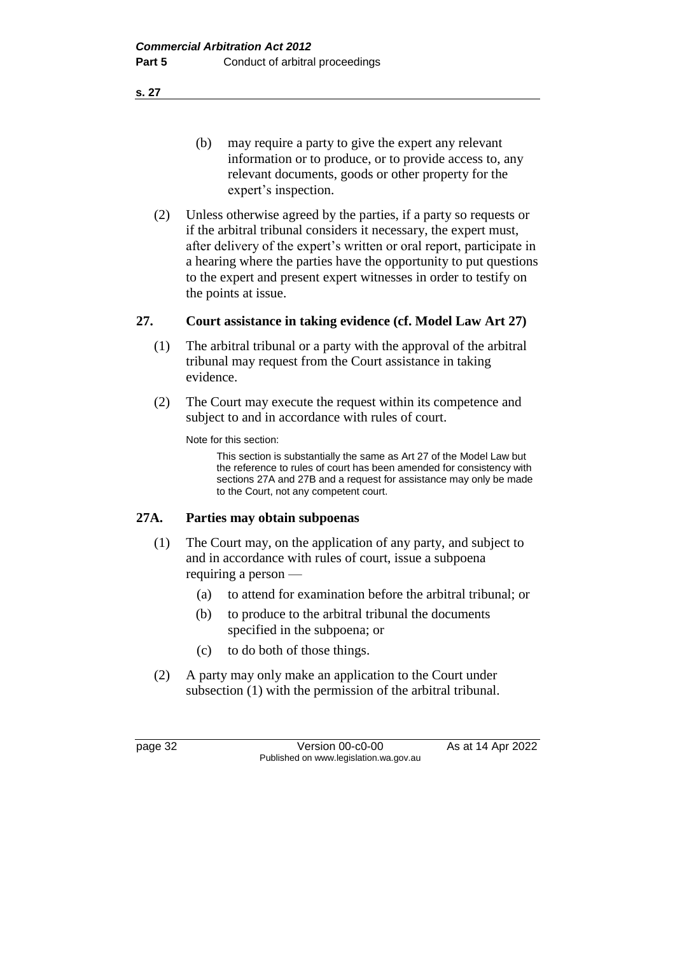**s. 27**

- (b) may require a party to give the expert any relevant information or to produce, or to provide access to, any relevant documents, goods or other property for the expert's inspection.
- (2) Unless otherwise agreed by the parties, if a party so requests or if the arbitral tribunal considers it necessary, the expert must, after delivery of the expert's written or oral report, participate in a hearing where the parties have the opportunity to put questions to the expert and present expert witnesses in order to testify on the points at issue.

## **27. Court assistance in taking evidence (cf. Model Law Art 27)**

- (1) The arbitral tribunal or a party with the approval of the arbitral tribunal may request from the Court assistance in taking evidence.
- (2) The Court may execute the request within its competence and subject to and in accordance with rules of court.

Note for this section:

This section is substantially the same as Art 27 of the Model Law but the reference to rules of court has been amended for consistency with sections 27A and 27B and a request for assistance may only be made to the Court, not any competent court.

## **27A. Parties may obtain subpoenas**

- (1) The Court may, on the application of any party, and subject to and in accordance with rules of court, issue a subpoena requiring a person —
	- (a) to attend for examination before the arbitral tribunal; or
	- (b) to produce to the arbitral tribunal the documents specified in the subpoena; or
	- (c) to do both of those things.
- (2) A party may only make an application to the Court under subsection (1) with the permission of the arbitral tribunal.

page 32 Version 00-c0-00 As at 14 Apr 2022 Published on www.legislation.wa.gov.au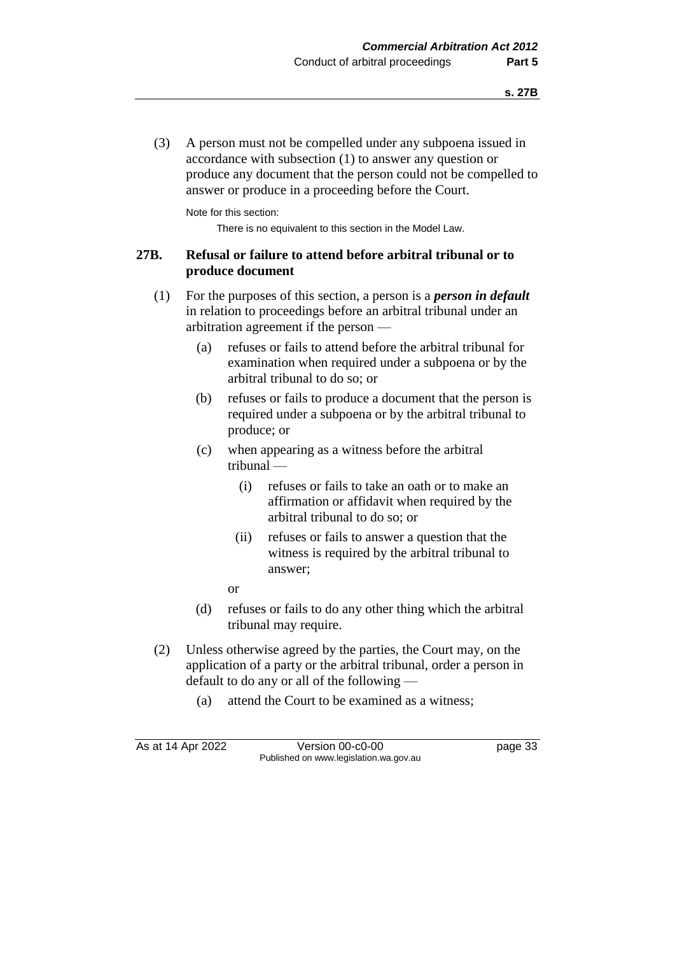(3) A person must not be compelled under any subpoena issued in accordance with subsection (1) to answer any question or produce any document that the person could not be compelled to answer or produce in a proceeding before the Court.

Note for this section:

There is no equivalent to this section in the Model Law.

## **27B. Refusal or failure to attend before arbitral tribunal or to produce document**

- (1) For the purposes of this section, a person is a *person in default* in relation to proceedings before an arbitral tribunal under an arbitration agreement if the person —
	- (a) refuses or fails to attend before the arbitral tribunal for examination when required under a subpoena or by the arbitral tribunal to do so; or
	- (b) refuses or fails to produce a document that the person is required under a subpoena or by the arbitral tribunal to produce; or
	- (c) when appearing as a witness before the arbitral tribunal —
		- (i) refuses or fails to take an oath or to make an affirmation or affidavit when required by the arbitral tribunal to do so; or
		- (ii) refuses or fails to answer a question that the witness is required by the arbitral tribunal to answer;
		- or
	- (d) refuses or fails to do any other thing which the arbitral tribunal may require.
- (2) Unless otherwise agreed by the parties, the Court may, on the application of a party or the arbitral tribunal, order a person in default to do any or all of the following —
	- (a) attend the Court to be examined as a witness;

As at 14 Apr 2022 Version 00-c0-00 page 33 Published on www.legislation.wa.gov.au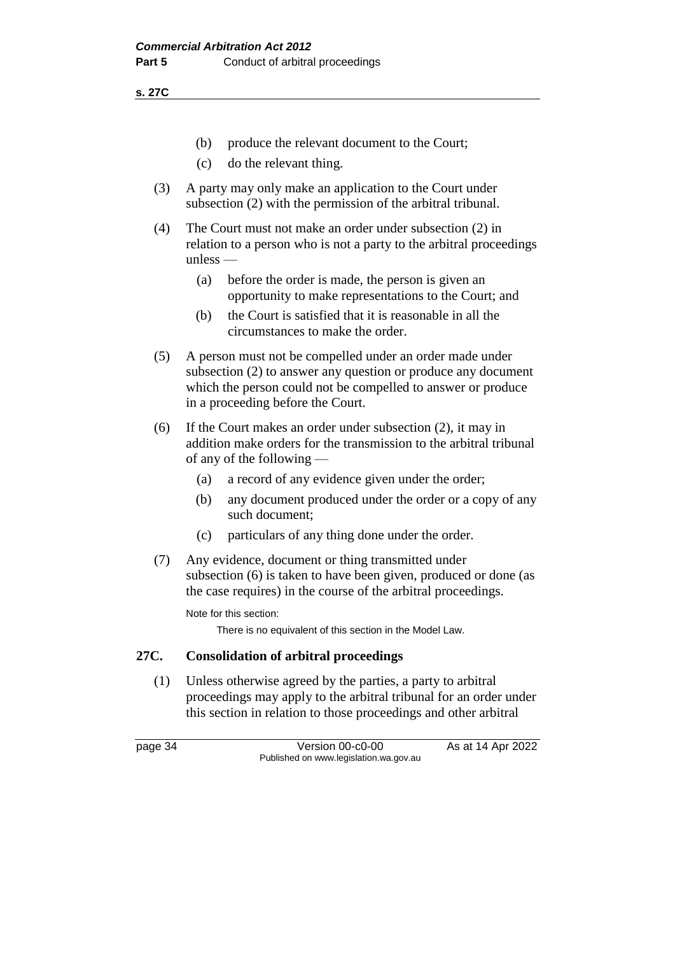**s. 27C**

- (b) produce the relevant document to the Court;
- (c) do the relevant thing.
- (3) A party may only make an application to the Court under subsection (2) with the permission of the arbitral tribunal.
- (4) The Court must not make an order under subsection (2) in relation to a person who is not a party to the arbitral proceedings unless —
	- (a) before the order is made, the person is given an opportunity to make representations to the Court; and
	- (b) the Court is satisfied that it is reasonable in all the circumstances to make the order.
- (5) A person must not be compelled under an order made under subsection (2) to answer any question or produce any document which the person could not be compelled to answer or produce in a proceeding before the Court.
- (6) If the Court makes an order under subsection (2), it may in addition make orders for the transmission to the arbitral tribunal of any of the following —
	- (a) a record of any evidence given under the order;
	- (b) any document produced under the order or a copy of any such document;
	- (c) particulars of any thing done under the order.
- (7) Any evidence, document or thing transmitted under subsection (6) is taken to have been given, produced or done (as the case requires) in the course of the arbitral proceedings.

Note for this section:

There is no equivalent of this section in the Model Law.

#### **27C. Consolidation of arbitral proceedings**

(1) Unless otherwise agreed by the parties, a party to arbitral proceedings may apply to the arbitral tribunal for an order under this section in relation to those proceedings and other arbitral

page 34 Version 00-c0-00 As at 14 Apr 2022 Published on www.legislation.wa.gov.au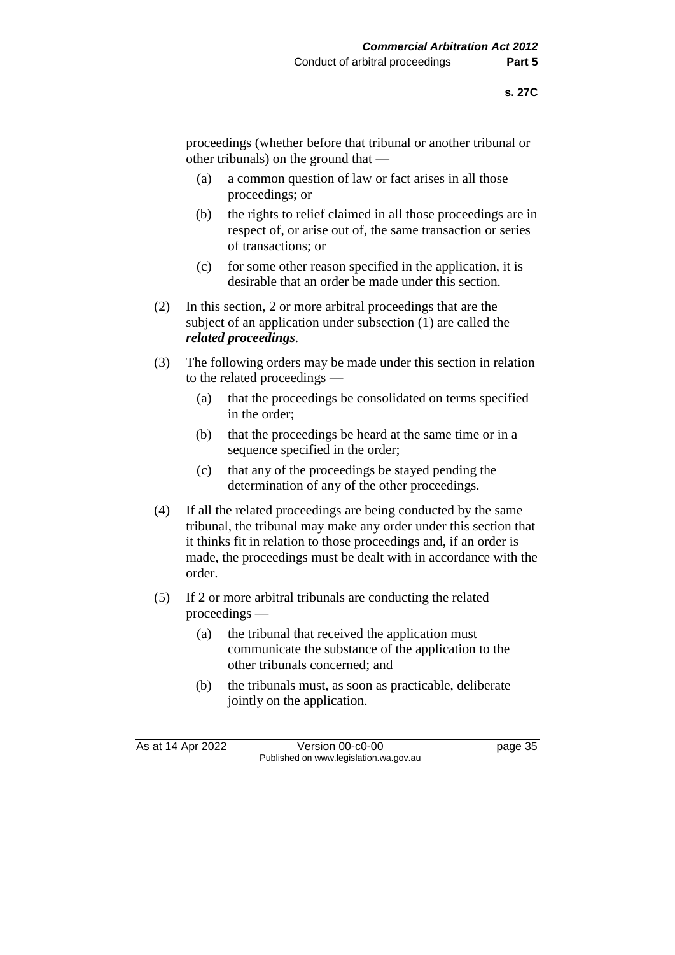proceedings (whether before that tribunal or another tribunal or other tribunals) on the ground that —

- (a) a common question of law or fact arises in all those proceedings; or
- (b) the rights to relief claimed in all those proceedings are in respect of, or arise out of, the same transaction or series of transactions; or
- (c) for some other reason specified in the application, it is desirable that an order be made under this section.
- (2) In this section, 2 or more arbitral proceedings that are the subject of an application under subsection (1) are called the *related proceedings*.
- (3) The following orders may be made under this section in relation to the related proceedings —
	- (a) that the proceedings be consolidated on terms specified in the order;
	- (b) that the proceedings be heard at the same time or in a sequence specified in the order;
	- (c) that any of the proceedings be stayed pending the determination of any of the other proceedings.
- (4) If all the related proceedings are being conducted by the same tribunal, the tribunal may make any order under this section that it thinks fit in relation to those proceedings and, if an order is made, the proceedings must be dealt with in accordance with the order.
- (5) If 2 or more arbitral tribunals are conducting the related proceedings —
	- (a) the tribunal that received the application must communicate the substance of the application to the other tribunals concerned; and
	- (b) the tribunals must, as soon as practicable, deliberate jointly on the application.

As at 14 Apr 2022 Version 00-c0-00 page 35 Published on www.legislation.wa.gov.au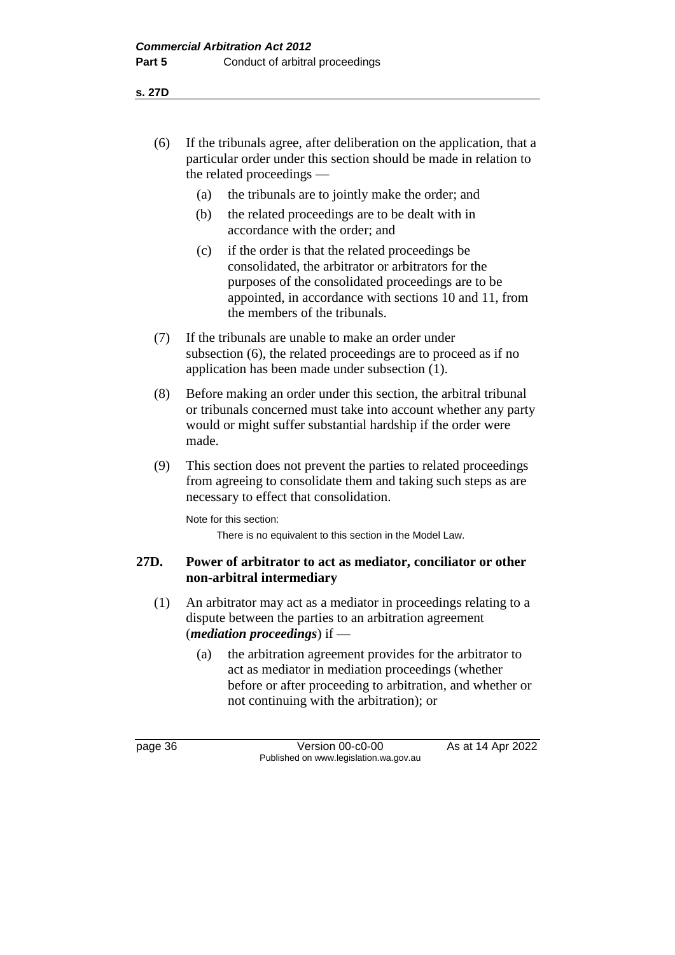**s. 27D**

- (6) If the tribunals agree, after deliberation on the application, that a particular order under this section should be made in relation to the related proceedings —
	- (a) the tribunals are to jointly make the order; and
	- (b) the related proceedings are to be dealt with in accordance with the order; and
	- (c) if the order is that the related proceedings be consolidated, the arbitrator or arbitrators for the purposes of the consolidated proceedings are to be appointed, in accordance with sections 10 and 11, from the members of the tribunals.
- (7) If the tribunals are unable to make an order under subsection (6), the related proceedings are to proceed as if no application has been made under subsection (1).
- (8) Before making an order under this section, the arbitral tribunal or tribunals concerned must take into account whether any party would or might suffer substantial hardship if the order were made.
- (9) This section does not prevent the parties to related proceedings from agreeing to consolidate them and taking such steps as are necessary to effect that consolidation.

Note for this section: There is no equivalent to this section in the Model Law.

## **27D. Power of arbitrator to act as mediator, conciliator or other non-arbitral intermediary**

- (1) An arbitrator may act as a mediator in proceedings relating to a dispute between the parties to an arbitration agreement (*mediation proceedings*) if —
	- (a) the arbitration agreement provides for the arbitrator to act as mediator in mediation proceedings (whether before or after proceeding to arbitration, and whether or not continuing with the arbitration); or

page 36 Version 00-c0-00 As at 14 Apr 2022 Published on www.legislation.wa.gov.au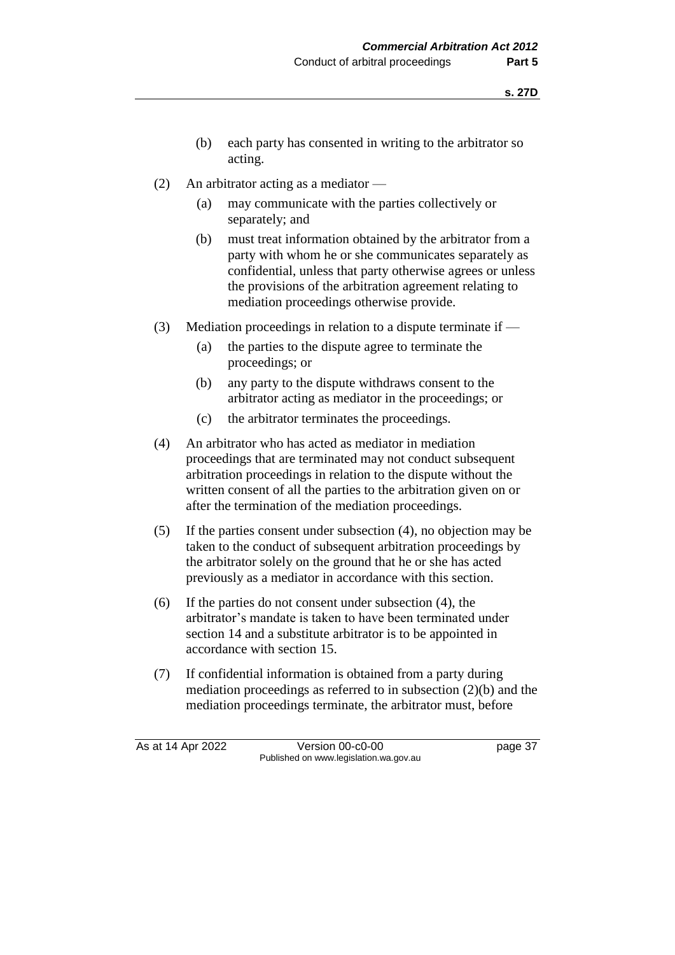- (b) each party has consented in writing to the arbitrator so acting.
- (2) An arbitrator acting as a mediator
	- (a) may communicate with the parties collectively or separately; and
	- (b) must treat information obtained by the arbitrator from a party with whom he or she communicates separately as confidential, unless that party otherwise agrees or unless the provisions of the arbitration agreement relating to mediation proceedings otherwise provide.
- (3) Mediation proceedings in relation to a dispute terminate if
	- (a) the parties to the dispute agree to terminate the proceedings; or
	- (b) any party to the dispute withdraws consent to the arbitrator acting as mediator in the proceedings; or
	- (c) the arbitrator terminates the proceedings.
- (4) An arbitrator who has acted as mediator in mediation proceedings that are terminated may not conduct subsequent arbitration proceedings in relation to the dispute without the written consent of all the parties to the arbitration given on or after the termination of the mediation proceedings.
- (5) If the parties consent under subsection (4), no objection may be taken to the conduct of subsequent arbitration proceedings by the arbitrator solely on the ground that he or she has acted previously as a mediator in accordance with this section.
- (6) If the parties do not consent under subsection (4), the arbitrator's mandate is taken to have been terminated under section 14 and a substitute arbitrator is to be appointed in accordance with section 15.
- (7) If confidential information is obtained from a party during mediation proceedings as referred to in subsection (2)(b) and the mediation proceedings terminate, the arbitrator must, before

As at 14 Apr 2022 Version 00-c0-00 page 37 Published on www.legislation.wa.gov.au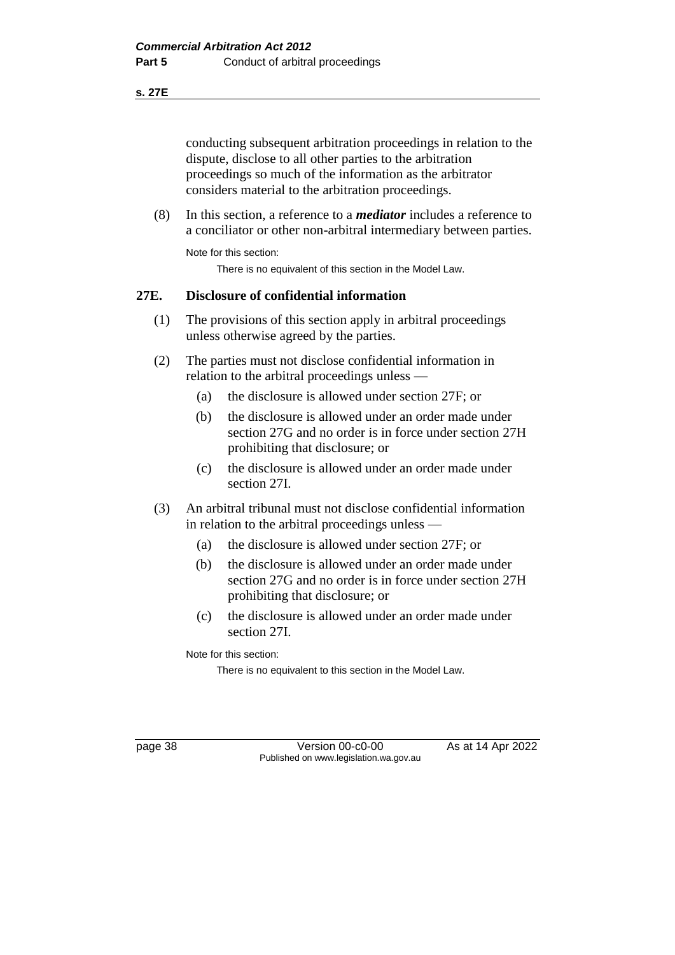#### **s. 27E**

conducting subsequent arbitration proceedings in relation to the dispute, disclose to all other parties to the arbitration proceedings so much of the information as the arbitrator considers material to the arbitration proceedings.

(8) In this section, a reference to a *mediator* includes a reference to a conciliator or other non-arbitral intermediary between parties.

Note for this section:

There is no equivalent of this section in the Model Law.

## **27E. Disclosure of confidential information**

- (1) The provisions of this section apply in arbitral proceedings unless otherwise agreed by the parties.
- (2) The parties must not disclose confidential information in relation to the arbitral proceedings unless —
	- (a) the disclosure is allowed under section 27F; or
	- (b) the disclosure is allowed under an order made under section 27G and no order is in force under section 27H prohibiting that disclosure; or
	- (c) the disclosure is allowed under an order made under section 27I.
- (3) An arbitral tribunal must not disclose confidential information in relation to the arbitral proceedings unless —
	- (a) the disclosure is allowed under section 27F; or
	- (b) the disclosure is allowed under an order made under section 27G and no order is in force under section 27H prohibiting that disclosure; or
	- (c) the disclosure is allowed under an order made under section 27I.

Note for this section:

There is no equivalent to this section in the Model Law.

page 38 Version 00-c0-00 As at 14 Apr 2022 Published on www.legislation.wa.gov.au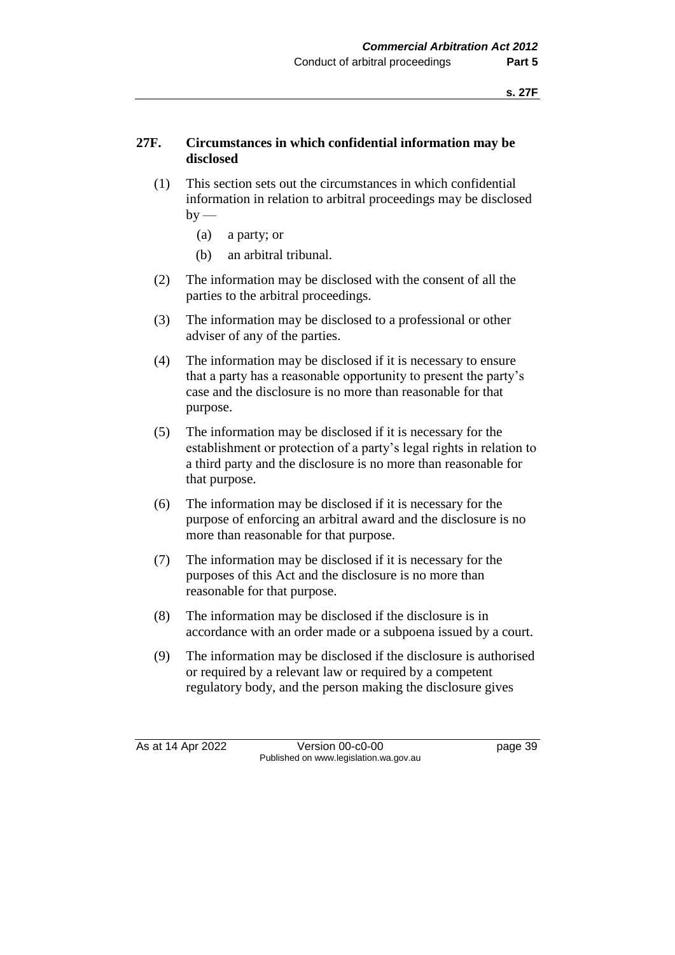## **27F. Circumstances in which confidential information may be disclosed**

- (1) This section sets out the circumstances in which confidential information in relation to arbitral proceedings may be disclosed  $by$  —
	- (a) a party; or
	- (b) an arbitral tribunal.
- (2) The information may be disclosed with the consent of all the parties to the arbitral proceedings.
- (3) The information may be disclosed to a professional or other adviser of any of the parties.
- (4) The information may be disclosed if it is necessary to ensure that a party has a reasonable opportunity to present the party's case and the disclosure is no more than reasonable for that purpose.
- (5) The information may be disclosed if it is necessary for the establishment or protection of a party's legal rights in relation to a third party and the disclosure is no more than reasonable for that purpose.
- (6) The information may be disclosed if it is necessary for the purpose of enforcing an arbitral award and the disclosure is no more than reasonable for that purpose.
- (7) The information may be disclosed if it is necessary for the purposes of this Act and the disclosure is no more than reasonable for that purpose.
- (8) The information may be disclosed if the disclosure is in accordance with an order made or a subpoena issued by a court.
- (9) The information may be disclosed if the disclosure is authorised or required by a relevant law or required by a competent regulatory body, and the person making the disclosure gives

As at 14 Apr 2022 Version 00-c0-00 page 39 Published on www.legislation.wa.gov.au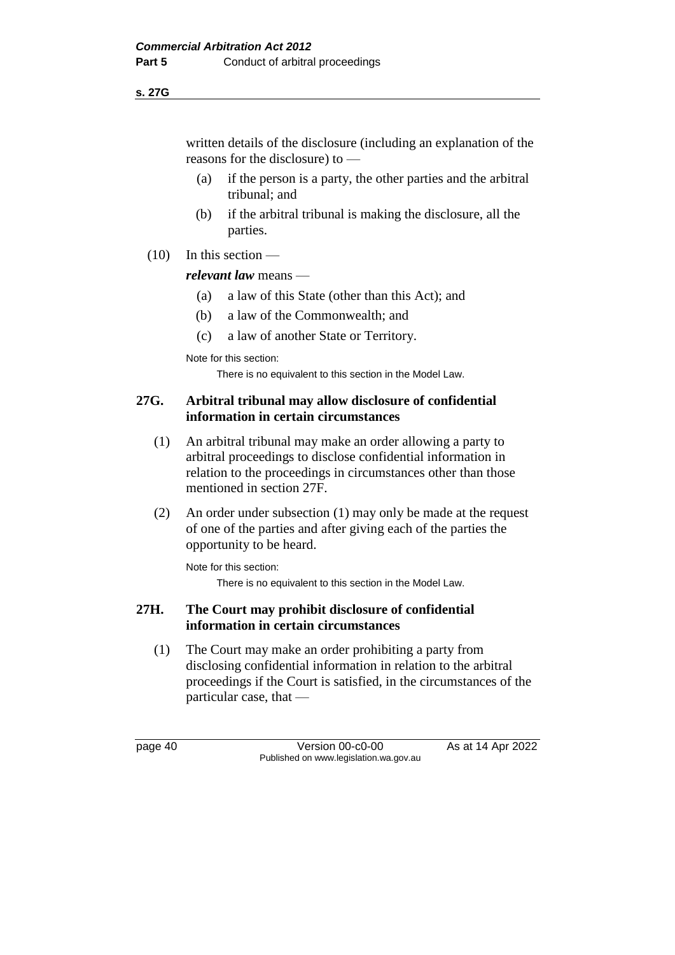#### **s. 27G**

written details of the disclosure (including an explanation of the reasons for the disclosure) to —

- (a) if the person is a party, the other parties and the arbitral tribunal; and
- (b) if the arbitral tribunal is making the disclosure, all the parties.
- $(10)$  In this section —

## *relevant law* means —

- (a) a law of this State (other than this Act); and
- (b) a law of the Commonwealth; and
- (c) a law of another State or Territory.

Note for this section:

There is no equivalent to this section in the Model Law.

## **27G. Arbitral tribunal may allow disclosure of confidential information in certain circumstances**

- (1) An arbitral tribunal may make an order allowing a party to arbitral proceedings to disclose confidential information in relation to the proceedings in circumstances other than those mentioned in section 27F.
- (2) An order under subsection (1) may only be made at the request of one of the parties and after giving each of the parties the opportunity to be heard.

Note for this section:

There is no equivalent to this section in the Model Law.

## **27H. The Court may prohibit disclosure of confidential information in certain circumstances**

(1) The Court may make an order prohibiting a party from disclosing confidential information in relation to the arbitral proceedings if the Court is satisfied, in the circumstances of the particular case, that —

page 40 Version 00-c0-00 As at 14 Apr 2022 Published on www.legislation.wa.gov.au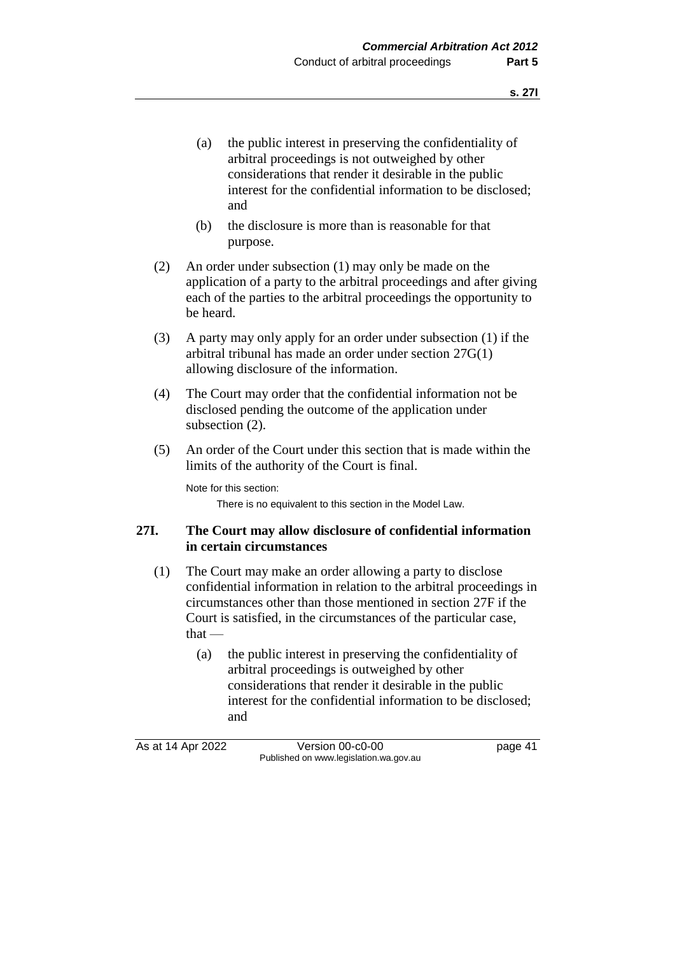- (a) the public interest in preserving the confidentiality of arbitral proceedings is not outweighed by other considerations that render it desirable in the public interest for the confidential information to be disclosed; and
- (b) the disclosure is more than is reasonable for that purpose.
- (2) An order under subsection (1) may only be made on the application of a party to the arbitral proceedings and after giving each of the parties to the arbitral proceedings the opportunity to be heard.
- (3) A party may only apply for an order under subsection (1) if the arbitral tribunal has made an order under section 27G(1) allowing disclosure of the information.
- (4) The Court may order that the confidential information not be disclosed pending the outcome of the application under subsection (2).
- (5) An order of the Court under this section that is made within the limits of the authority of the Court is final.

Note for this section:

There is no equivalent to this section in the Model Law.

## **27I. The Court may allow disclosure of confidential information in certain circumstances**

- (1) The Court may make an order allowing a party to disclose confidential information in relation to the arbitral proceedings in circumstances other than those mentioned in section 27F if the Court is satisfied, in the circumstances of the particular case,  $that -$ 
	- (a) the public interest in preserving the confidentiality of arbitral proceedings is outweighed by other considerations that render it desirable in the public interest for the confidential information to be disclosed; and

As at 14 Apr 2022 Version 00-c0-00 Page 41 Published on www.legislation.wa.gov.au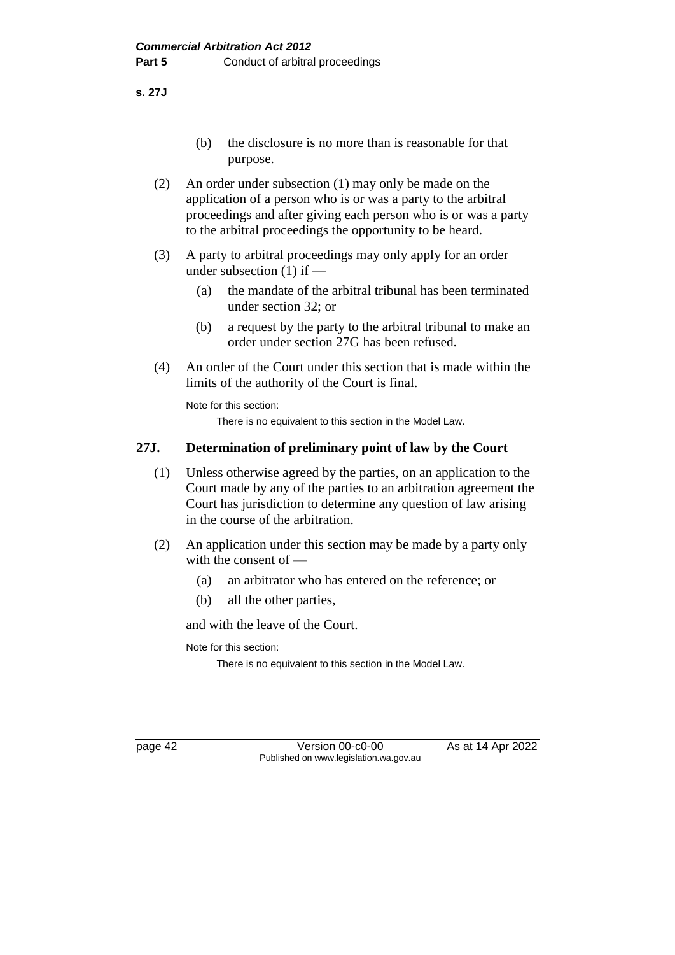**s. 27J**

- (b) the disclosure is no more than is reasonable for that purpose.
- (2) An order under subsection (1) may only be made on the application of a person who is or was a party to the arbitral proceedings and after giving each person who is or was a party to the arbitral proceedings the opportunity to be heard.
- (3) A party to arbitral proceedings may only apply for an order under subsection (1) if —
	- (a) the mandate of the arbitral tribunal has been terminated under section 32; or
	- (b) a request by the party to the arbitral tribunal to make an order under section 27G has been refused.
- (4) An order of the Court under this section that is made within the limits of the authority of the Court is final.

Note for this section:

There is no equivalent to this section in the Model Law.

## **27J. Determination of preliminary point of law by the Court**

- (1) Unless otherwise agreed by the parties, on an application to the Court made by any of the parties to an arbitration agreement the Court has jurisdiction to determine any question of law arising in the course of the arbitration.
- (2) An application under this section may be made by a party only with the consent of —
	- (a) an arbitrator who has entered on the reference; or
	- (b) all the other parties,

and with the leave of the Court.

Note for this section:

There is no equivalent to this section in the Model Law.

page 42 Version 00-c0-00 As at 14 Apr 2022 Published on www.legislation.wa.gov.au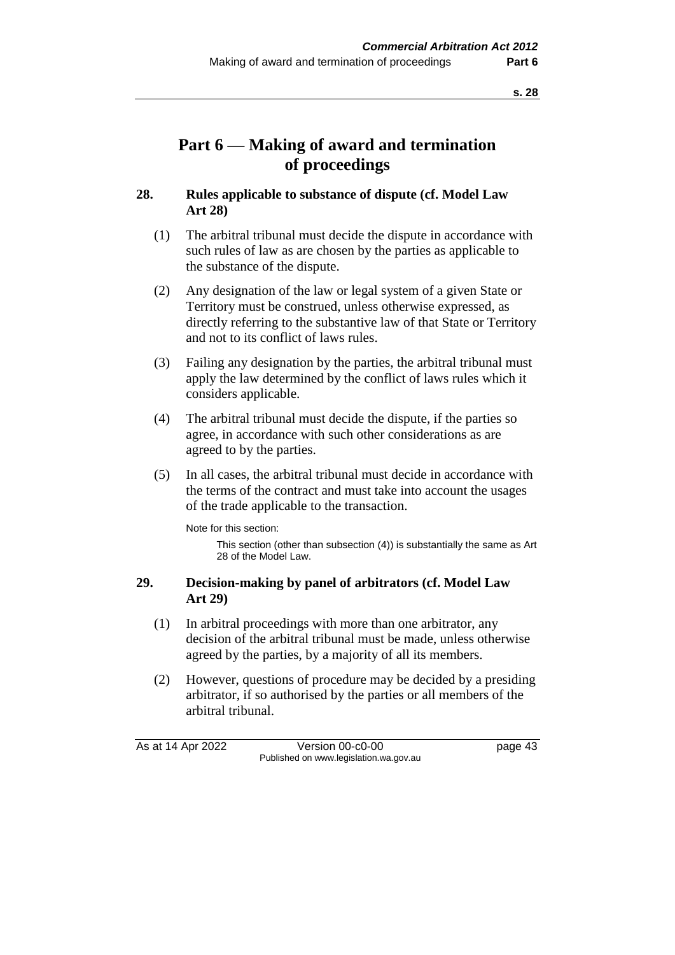# **Part 6 — Making of award and termination of proceedings**

## **28. Rules applicable to substance of dispute (cf. Model Law Art 28)**

- (1) The arbitral tribunal must decide the dispute in accordance with such rules of law as are chosen by the parties as applicable to the substance of the dispute.
- (2) Any designation of the law or legal system of a given State or Territory must be construed, unless otherwise expressed, as directly referring to the substantive law of that State or Territory and not to its conflict of laws rules.
- (3) Failing any designation by the parties, the arbitral tribunal must apply the law determined by the conflict of laws rules which it considers applicable.
- (4) The arbitral tribunal must decide the dispute, if the parties so agree, in accordance with such other considerations as are agreed to by the parties.
- (5) In all cases, the arbitral tribunal must decide in accordance with the terms of the contract and must take into account the usages of the trade applicable to the transaction.

Note for this section:

This section (other than subsection (4)) is substantially the same as Art 28 of the Model Law.

## **29. Decision-making by panel of arbitrators (cf. Model Law Art 29)**

- (1) In arbitral proceedings with more than one arbitrator, any decision of the arbitral tribunal must be made, unless otherwise agreed by the parties, by a majority of all its members.
- (2) However, questions of procedure may be decided by a presiding arbitrator, if so authorised by the parties or all members of the arbitral tribunal.

As at 14 Apr 2022 Version 00-c0-00 Page 43 Published on www.legislation.wa.gov.au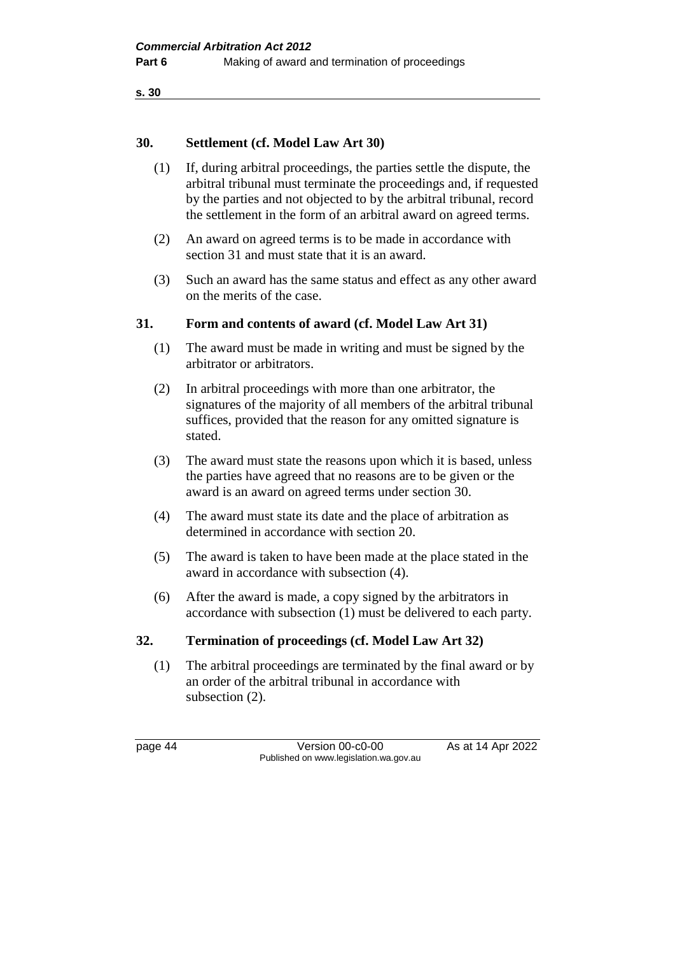```
s. 30
```
## **30. Settlement (cf. Model Law Art 30)**

- (1) If, during arbitral proceedings, the parties settle the dispute, the arbitral tribunal must terminate the proceedings and, if requested by the parties and not objected to by the arbitral tribunal, record the settlement in the form of an arbitral award on agreed terms.
- (2) An award on agreed terms is to be made in accordance with section 31 and must state that it is an award.
- (3) Such an award has the same status and effect as any other award on the merits of the case.

## **31. Form and contents of award (cf. Model Law Art 31)**

- (1) The award must be made in writing and must be signed by the arbitrator or arbitrators.
- (2) In arbitral proceedings with more than one arbitrator, the signatures of the majority of all members of the arbitral tribunal suffices, provided that the reason for any omitted signature is stated.
- (3) The award must state the reasons upon which it is based, unless the parties have agreed that no reasons are to be given or the award is an award on agreed terms under section 30.
- (4) The award must state its date and the place of arbitration as determined in accordance with section 20.
- (5) The award is taken to have been made at the place stated in the award in accordance with subsection (4).
- (6) After the award is made, a copy signed by the arbitrators in accordance with subsection (1) must be delivered to each party.

#### **32. Termination of proceedings (cf. Model Law Art 32)**

(1) The arbitral proceedings are terminated by the final award or by an order of the arbitral tribunal in accordance with subsection (2).

page 44 Version 00-c0-00 As at 14 Apr 2022 Published on www.legislation.wa.gov.au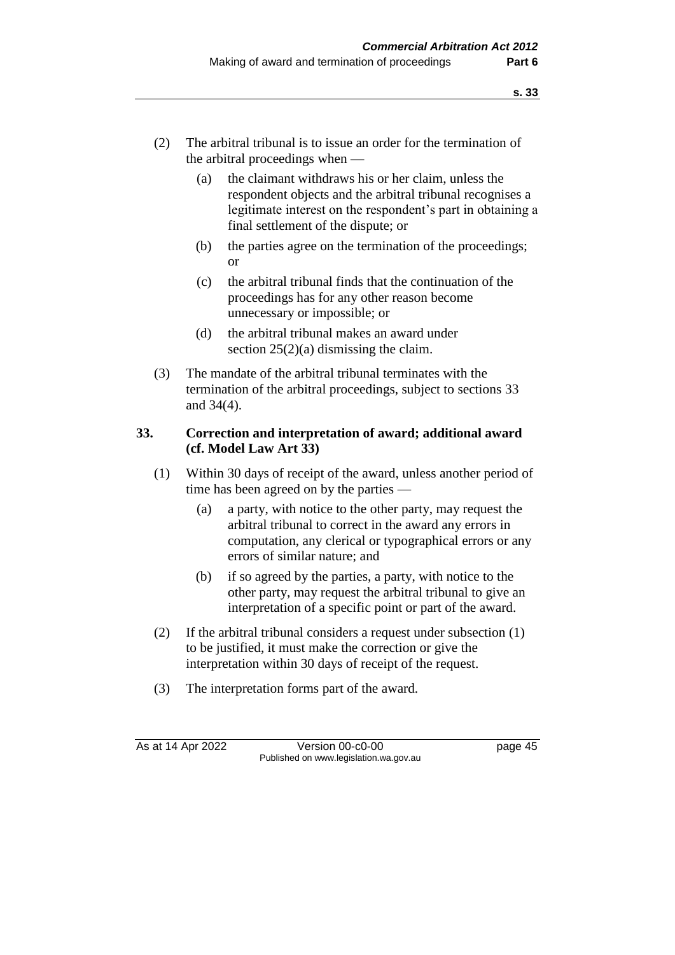- (2) The arbitral tribunal is to issue an order for the termination of the arbitral proceedings when —
	- (a) the claimant withdraws his or her claim, unless the respondent objects and the arbitral tribunal recognises a legitimate interest on the respondent's part in obtaining a final settlement of the dispute; or
	- (b) the parties agree on the termination of the proceedings; or
	- (c) the arbitral tribunal finds that the continuation of the proceedings has for any other reason become unnecessary or impossible; or
	- (d) the arbitral tribunal makes an award under section  $25(2)(a)$  dismissing the claim.
- (3) The mandate of the arbitral tribunal terminates with the termination of the arbitral proceedings, subject to sections 33 and 34(4).

## **33. Correction and interpretation of award; additional award (cf. Model Law Art 33)**

- (1) Within 30 days of receipt of the award, unless another period of time has been agreed on by the parties —
	- (a) a party, with notice to the other party, may request the arbitral tribunal to correct in the award any errors in computation, any clerical or typographical errors or any errors of similar nature; and
	- (b) if so agreed by the parties, a party, with notice to the other party, may request the arbitral tribunal to give an interpretation of a specific point or part of the award.
- (2) If the arbitral tribunal considers a request under subsection (1) to be justified, it must make the correction or give the interpretation within 30 days of receipt of the request.
- (3) The interpretation forms part of the award.

As at 14 Apr 2022 Version 00-c0-00 page 45 Published on www.legislation.wa.gov.au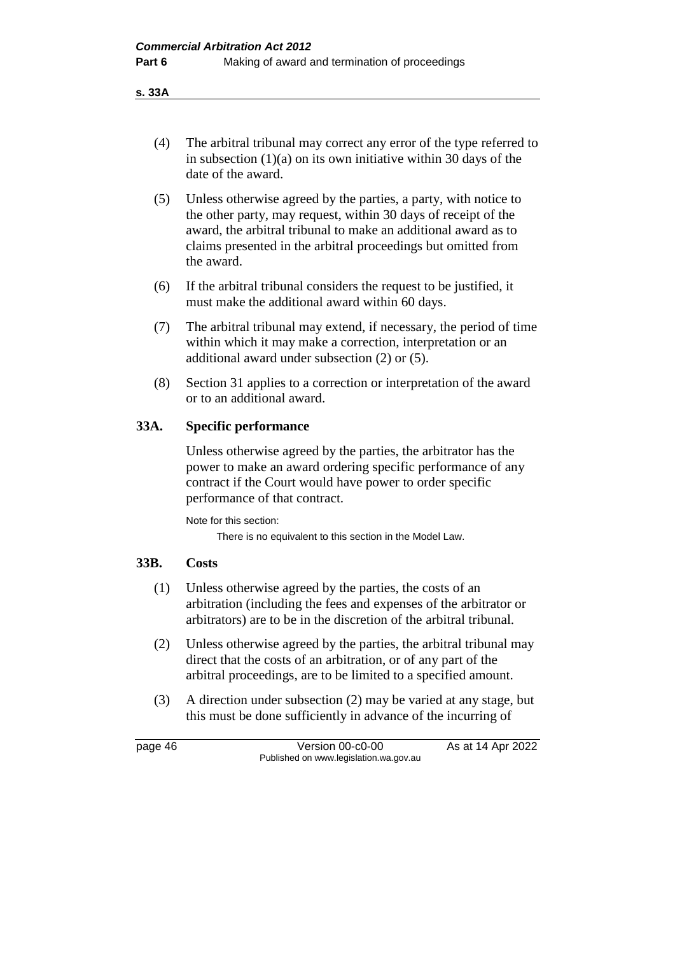**s. 33A**

- (4) The arbitral tribunal may correct any error of the type referred to in subsection (1)(a) on its own initiative within 30 days of the date of the award.
- (5) Unless otherwise agreed by the parties, a party, with notice to the other party, may request, within 30 days of receipt of the award, the arbitral tribunal to make an additional award as to claims presented in the arbitral proceedings but omitted from the award.
- (6) If the arbitral tribunal considers the request to be justified, it must make the additional award within 60 days.
- (7) The arbitral tribunal may extend, if necessary, the period of time within which it may make a correction, interpretation or an additional award under subsection (2) or (5).
- (8) Section 31 applies to a correction or interpretation of the award or to an additional award.

## **33A. Specific performance**

Unless otherwise agreed by the parties, the arbitrator has the power to make an award ordering specific performance of any contract if the Court would have power to order specific performance of that contract.

Note for this section: There is no equivalent to this section in the Model Law.

#### **33B. Costs**

- (1) Unless otherwise agreed by the parties, the costs of an arbitration (including the fees and expenses of the arbitrator or arbitrators) are to be in the discretion of the arbitral tribunal.
- (2) Unless otherwise agreed by the parties, the arbitral tribunal may direct that the costs of an arbitration, or of any part of the arbitral proceedings, are to be limited to a specified amount.
- (3) A direction under subsection (2) may be varied at any stage, but this must be done sufficiently in advance of the incurring of

page 46 Version 00-c0-00 As at 14 Apr 2022 Published on www.legislation.wa.gov.au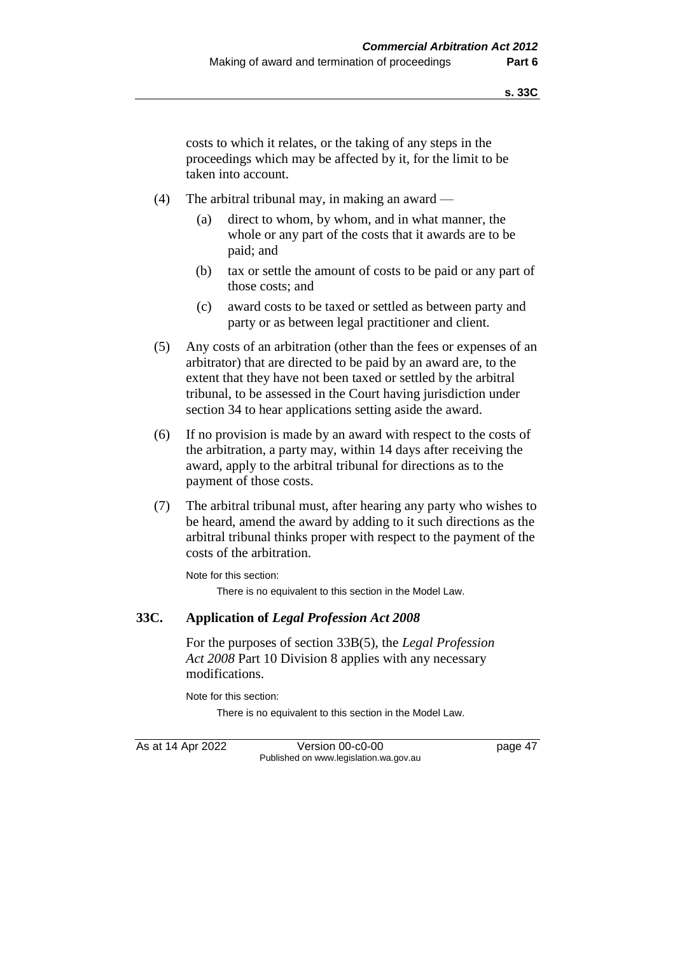costs to which it relates, or the taking of any steps in the proceedings which may be affected by it, for the limit to be taken into account.

- (4) The arbitral tribunal may, in making an award
	- (a) direct to whom, by whom, and in what manner, the whole or any part of the costs that it awards are to be paid; and
	- (b) tax or settle the amount of costs to be paid or any part of those costs; and
	- (c) award costs to be taxed or settled as between party and party or as between legal practitioner and client.
- (5) Any costs of an arbitration (other than the fees or expenses of an arbitrator) that are directed to be paid by an award are, to the extent that they have not been taxed or settled by the arbitral tribunal, to be assessed in the Court having jurisdiction under section 34 to hear applications setting aside the award.
- (6) If no provision is made by an award with respect to the costs of the arbitration, a party may, within 14 days after receiving the award, apply to the arbitral tribunal for directions as to the payment of those costs.
- (7) The arbitral tribunal must, after hearing any party who wishes to be heard, amend the award by adding to it such directions as the arbitral tribunal thinks proper with respect to the payment of the costs of the arbitration.

Note for this section: There is no equivalent to this section in the Model Law.

#### **33C. Application of** *Legal Profession Act 2008*

For the purposes of section 33B(5), the *Legal Profession Act 2008* Part 10 Division 8 applies with any necessary modifications.

Note for this section:

There is no equivalent to this section in the Model Law.

As at 14 Apr 2022 Version 00-c0-00 page 47 Published on www.legislation.wa.gov.au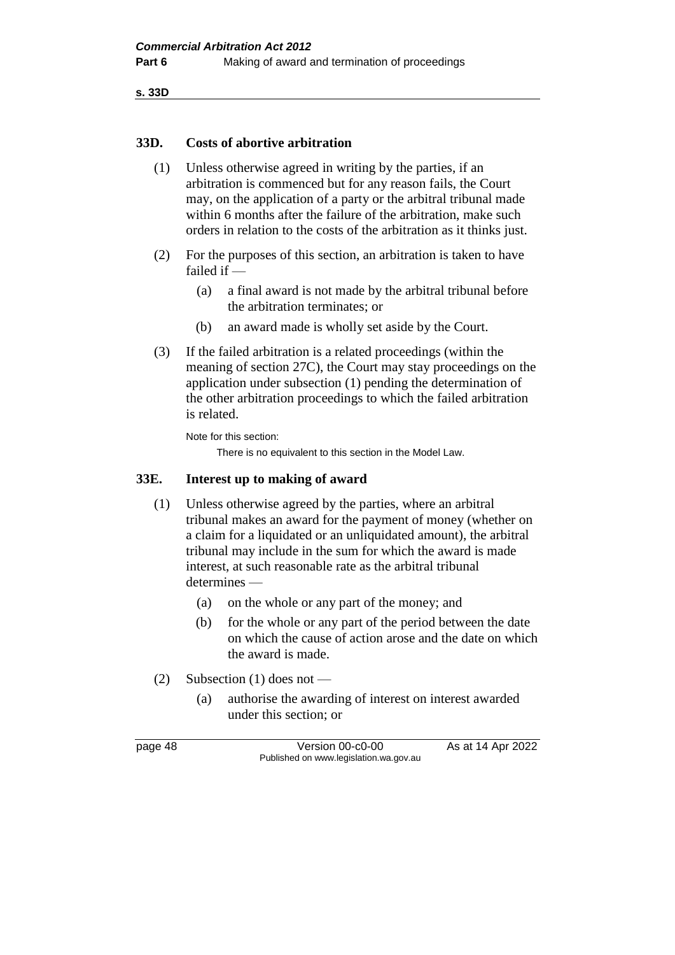**s. 33D**

#### **33D. Costs of abortive arbitration**

- (1) Unless otherwise agreed in writing by the parties, if an arbitration is commenced but for any reason fails, the Court may, on the application of a party or the arbitral tribunal made within 6 months after the failure of the arbitration, make such orders in relation to the costs of the arbitration as it thinks just.
- (2) For the purposes of this section, an arbitration is taken to have failed if —
	- (a) a final award is not made by the arbitral tribunal before the arbitration terminates; or
	- (b) an award made is wholly set aside by the Court.
- (3) If the failed arbitration is a related proceedings (within the meaning of section 27C), the Court may stay proceedings on the application under subsection (1) pending the determination of the other arbitration proceedings to which the failed arbitration is related.

Note for this section:

There is no equivalent to this section in the Model Law.

#### **33E. Interest up to making of award**

- (1) Unless otherwise agreed by the parties, where an arbitral tribunal makes an award for the payment of money (whether on a claim for a liquidated or an unliquidated amount), the arbitral tribunal may include in the sum for which the award is made interest, at such reasonable rate as the arbitral tribunal determines —
	- (a) on the whole or any part of the money; and
	- (b) for the whole or any part of the period between the date on which the cause of action arose and the date on which the award is made.
- (2) Subsection (1) does not
	- (a) authorise the awarding of interest on interest awarded under this section; or

page 48 Version 00-c0-00 As at 14 Apr 2022 Published on www.legislation.wa.gov.au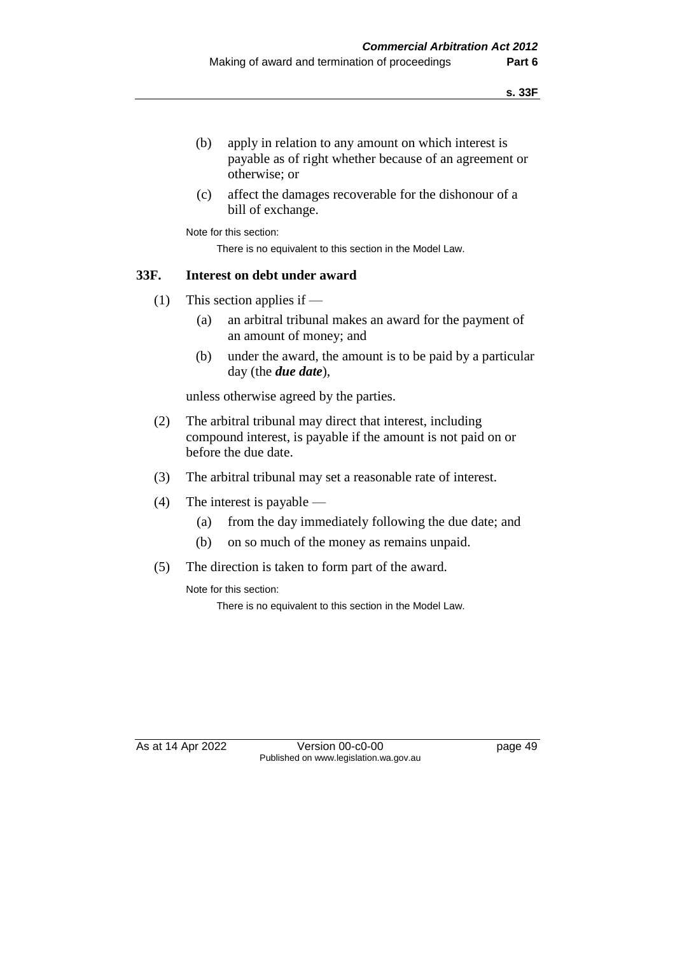- (b) apply in relation to any amount on which interest is payable as of right whether because of an agreement or otherwise; or
- (c) affect the damages recoverable for the dishonour of a bill of exchange.

Note for this section:

There is no equivalent to this section in the Model Law.

#### **33F. Interest on debt under award**

- (1) This section applies if
	- (a) an arbitral tribunal makes an award for the payment of an amount of money; and
	- (b) under the award, the amount is to be paid by a particular day (the *due date*),

unless otherwise agreed by the parties.

- (2) The arbitral tribunal may direct that interest, including compound interest, is payable if the amount is not paid on or before the due date.
- (3) The arbitral tribunal may set a reasonable rate of interest.
- (4) The interest is payable
	- (a) from the day immediately following the due date; and
	- (b) on so much of the money as remains unpaid.
- (5) The direction is taken to form part of the award.

Note for this section:

There is no equivalent to this section in the Model Law.

As at 14 Apr 2022 Version 00-c0-00 Published on www.legislation.wa.gov.au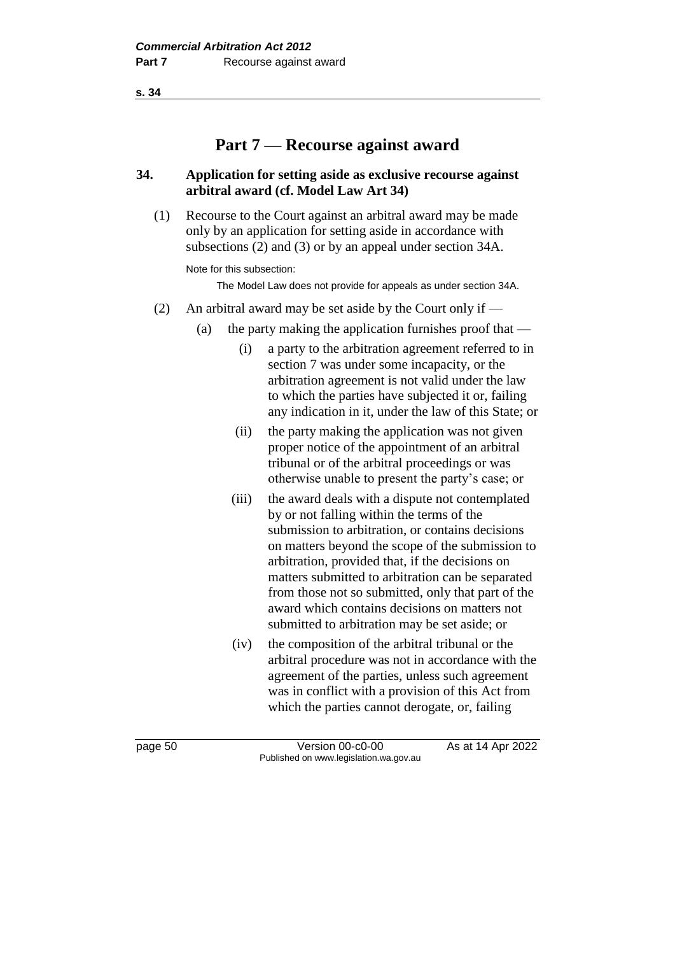**s. 34**

# **Part 7 — Recourse against award**

### **34. Application for setting aside as exclusive recourse against arbitral award (cf. Model Law Art 34)**

(1) Recourse to the Court against an arbitral award may be made only by an application for setting aside in accordance with subsections (2) and (3) or by an appeal under section 34A.

Note for this subsection:

The Model Law does not provide for appeals as under section 34A.

- (2) An arbitral award may be set aside by the Court only if  $-$ 
	- (a) the party making the application furnishes proof that  $-$ 
		- (i) a party to the arbitration agreement referred to in section 7 was under some incapacity, or the arbitration agreement is not valid under the law to which the parties have subjected it or, failing any indication in it, under the law of this State; or
		- (ii) the party making the application was not given proper notice of the appointment of an arbitral tribunal or of the arbitral proceedings or was otherwise unable to present the party's case; or
		- (iii) the award deals with a dispute not contemplated by or not falling within the terms of the submission to arbitration, or contains decisions on matters beyond the scope of the submission to arbitration, provided that, if the decisions on matters submitted to arbitration can be separated from those not so submitted, only that part of the award which contains decisions on matters not submitted to arbitration may be set aside; or
		- (iv) the composition of the arbitral tribunal or the arbitral procedure was not in accordance with the agreement of the parties, unless such agreement was in conflict with a provision of this Act from which the parties cannot derogate, or, failing

page 50 Version 00-c0-00 As at 14 Apr 2022 Published on www.legislation.wa.gov.au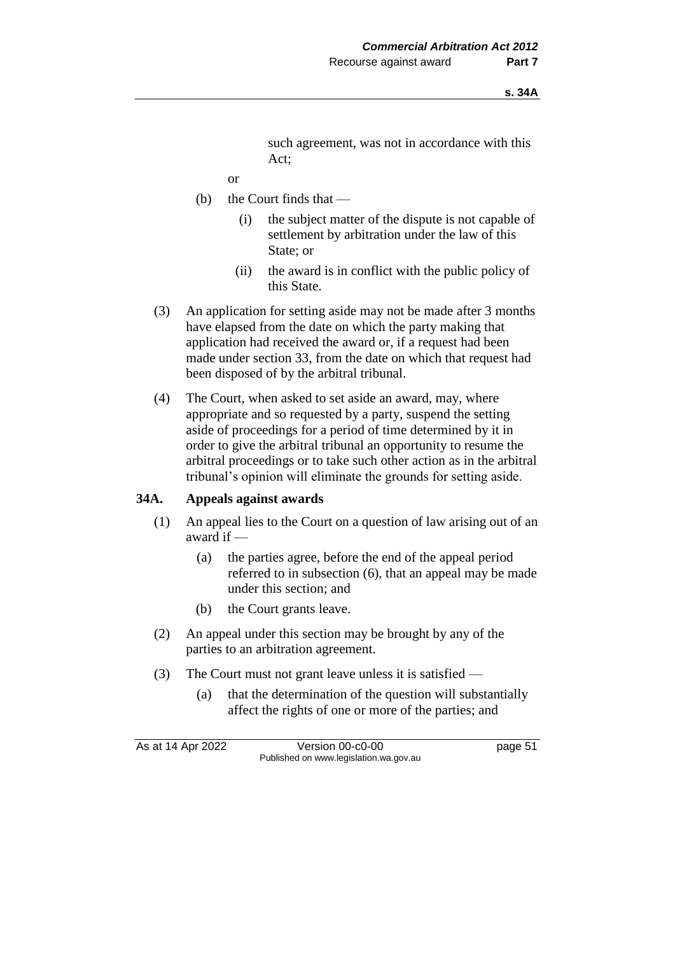such agreement, was not in accordance with this Act;

- or
- (b) the Court finds that
	- (i) the subject matter of the dispute is not capable of settlement by arbitration under the law of this State; or
	- (ii) the award is in conflict with the public policy of this State.
- (3) An application for setting aside may not be made after 3 months have elapsed from the date on which the party making that application had received the award or, if a request had been made under section 33, from the date on which that request had been disposed of by the arbitral tribunal.
- (4) The Court, when asked to set aside an award, may, where appropriate and so requested by a party, suspend the setting aside of proceedings for a period of time determined by it in order to give the arbitral tribunal an opportunity to resume the arbitral proceedings or to take such other action as in the arbitral tribunal's opinion will eliminate the grounds for setting aside.

#### **34A. Appeals against awards**

- (1) An appeal lies to the Court on a question of law arising out of an award if —
	- (a) the parties agree, before the end of the appeal period referred to in subsection (6), that an appeal may be made under this section; and
	- (b) the Court grants leave.
- (2) An appeal under this section may be brought by any of the parties to an arbitration agreement.
- (3) The Court must not grant leave unless it is satisfied
	- (a) that the determination of the question will substantially affect the rights of one or more of the parties; and

As at 14 Apr 2022 Version 00-c0-00 page 51 Published on www.legislation.wa.gov.au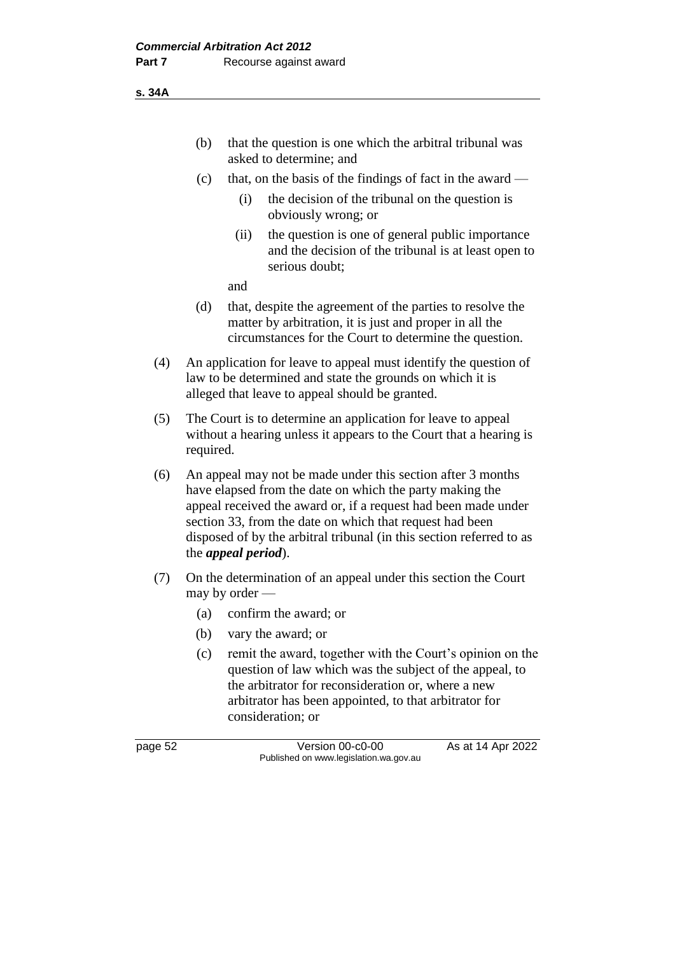**s. 34A**

- (b) that the question is one which the arbitral tribunal was asked to determine; and
- (c) that, on the basis of the findings of fact in the award
	- (i) the decision of the tribunal on the question is obviously wrong; or
	- (ii) the question is one of general public importance and the decision of the tribunal is at least open to serious doubt;

and

- (d) that, despite the agreement of the parties to resolve the matter by arbitration, it is just and proper in all the circumstances for the Court to determine the question.
- (4) An application for leave to appeal must identify the question of law to be determined and state the grounds on which it is alleged that leave to appeal should be granted.
- (5) The Court is to determine an application for leave to appeal without a hearing unless it appears to the Court that a hearing is required.
- (6) An appeal may not be made under this section after 3 months have elapsed from the date on which the party making the appeal received the award or, if a request had been made under section 33, from the date on which that request had been disposed of by the arbitral tribunal (in this section referred to as the *appeal period*).
- (7) On the determination of an appeal under this section the Court may by order —
	- (a) confirm the award; or
	- (b) vary the award; or
	- (c) remit the award, together with the Court's opinion on the question of law which was the subject of the appeal, to the arbitrator for reconsideration or, where a new arbitrator has been appointed, to that arbitrator for consideration; or

page 52 Version 00-c0-00 As at 14 Apr 2022 Published on www.legislation.wa.gov.au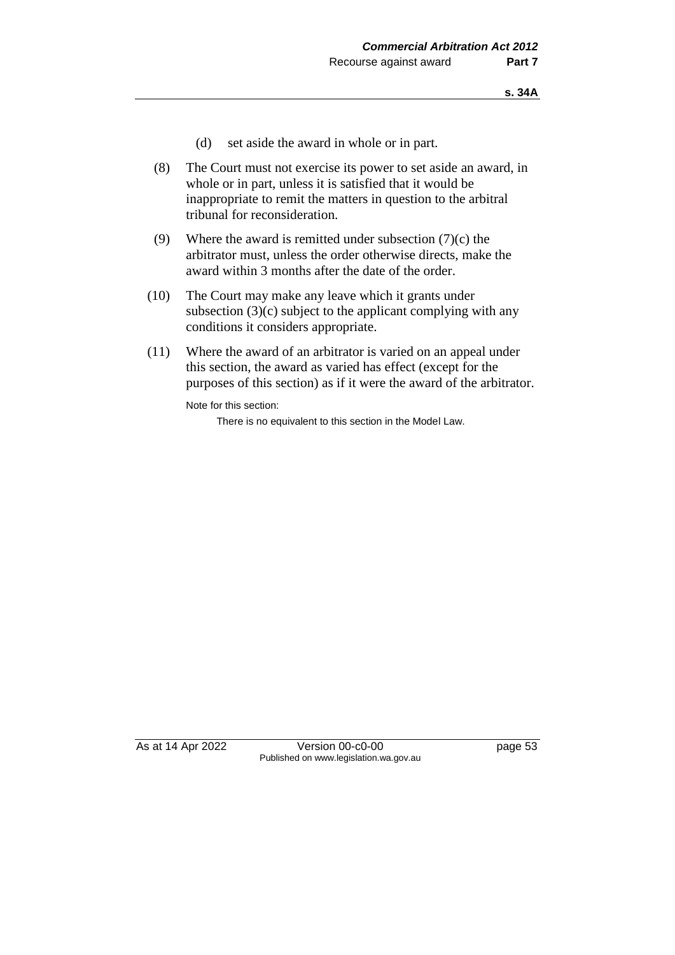- (d) set aside the award in whole or in part.
- (8) The Court must not exercise its power to set aside an award, in whole or in part, unless it is satisfied that it would be inappropriate to remit the matters in question to the arbitral tribunal for reconsideration.
- (9) Where the award is remitted under subsection  $(7)(c)$  the arbitrator must, unless the order otherwise directs, make the award within 3 months after the date of the order.
- (10) The Court may make any leave which it grants under subsection (3)(c) subject to the applicant complying with any conditions it considers appropriate.
- (11) Where the award of an arbitrator is varied on an appeal under this section, the award as varied has effect (except for the purposes of this section) as if it were the award of the arbitrator.

Note for this section:

There is no equivalent to this section in the Model Law.

As at 14 Apr 2022 Version 00-c0-00 page 53 Published on www.legislation.wa.gov.au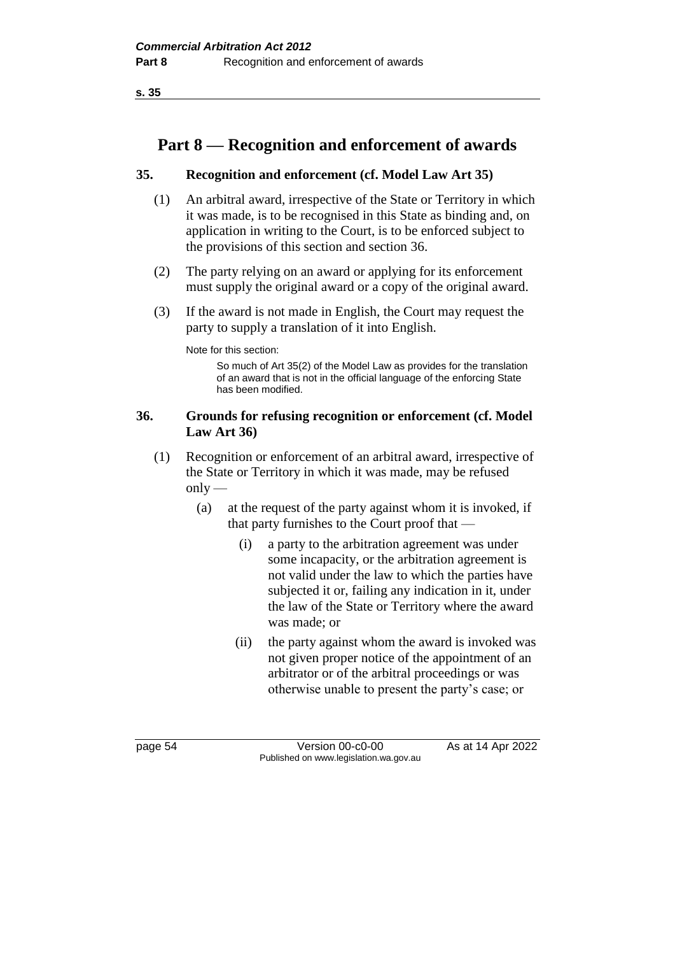**s. 35**

# **Part 8 — Recognition and enforcement of awards**

## **35. Recognition and enforcement (cf. Model Law Art 35)**

- (1) An arbitral award, irrespective of the State or Territory in which it was made, is to be recognised in this State as binding and, on application in writing to the Court, is to be enforced subject to the provisions of this section and section 36.
- (2) The party relying on an award or applying for its enforcement must supply the original award or a copy of the original award.
- (3) If the award is not made in English, the Court may request the party to supply a translation of it into English.

Note for this section:

So much of Art 35(2) of the Model Law as provides for the translation of an award that is not in the official language of the enforcing State has been modified.

## **36. Grounds for refusing recognition or enforcement (cf. Model Law Art 36)**

- (1) Recognition or enforcement of an arbitral award, irrespective of the State or Territory in which it was made, may be refused  $only$ —
	- (a) at the request of the party against whom it is invoked, if that party furnishes to the Court proof that —
		- (i) a party to the arbitration agreement was under some incapacity, or the arbitration agreement is not valid under the law to which the parties have subjected it or, failing any indication in it, under the law of the State or Territory where the award was made; or
		- (ii) the party against whom the award is invoked was not given proper notice of the appointment of an arbitrator or of the arbitral proceedings or was otherwise unable to present the party's case; or

page 54 Version 00-c0-00 As at 14 Apr 2022 Published on www.legislation.wa.gov.au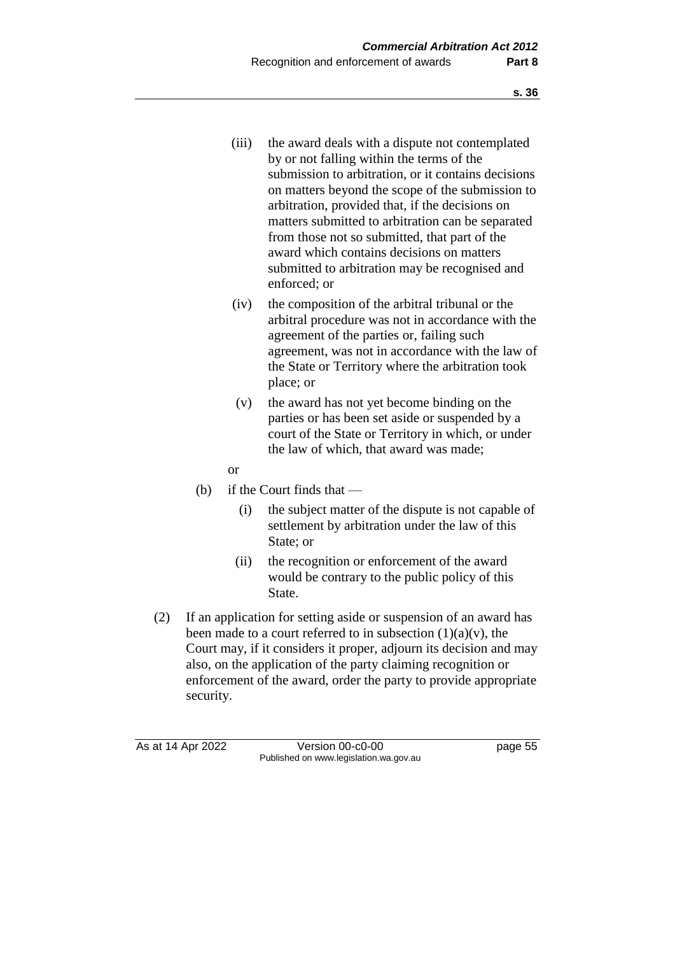- (iii) the award deals with a dispute not contemplated by or not falling within the terms of the submission to arbitration, or it contains decisions on matters beyond the scope of the submission to arbitration, provided that, if the decisions on matters submitted to arbitration can be separated from those not so submitted, that part of the award which contains decisions on matters submitted to arbitration may be recognised and enforced; or
- (iv) the composition of the arbitral tribunal or the arbitral procedure was not in accordance with the agreement of the parties or, failing such agreement, was not in accordance with the law of the State or Territory where the arbitration took place; or
- (v) the award has not yet become binding on the parties or has been set aside or suspended by a court of the State or Territory in which, or under the law of which, that award was made;
- or
- (b) if the Court finds that
	- (i) the subject matter of the dispute is not capable of settlement by arbitration under the law of this State; or
	- (ii) the recognition or enforcement of the award would be contrary to the public policy of this State.
- (2) If an application for setting aside or suspension of an award has been made to a court referred to in subsection  $(1)(a)(v)$ , the Court may, if it considers it proper, adjourn its decision and may also, on the application of the party claiming recognition or enforcement of the award, order the party to provide appropriate security.

As at 14 Apr 2022 Version 00-c0-00 page 55 Published on www.legislation.wa.gov.au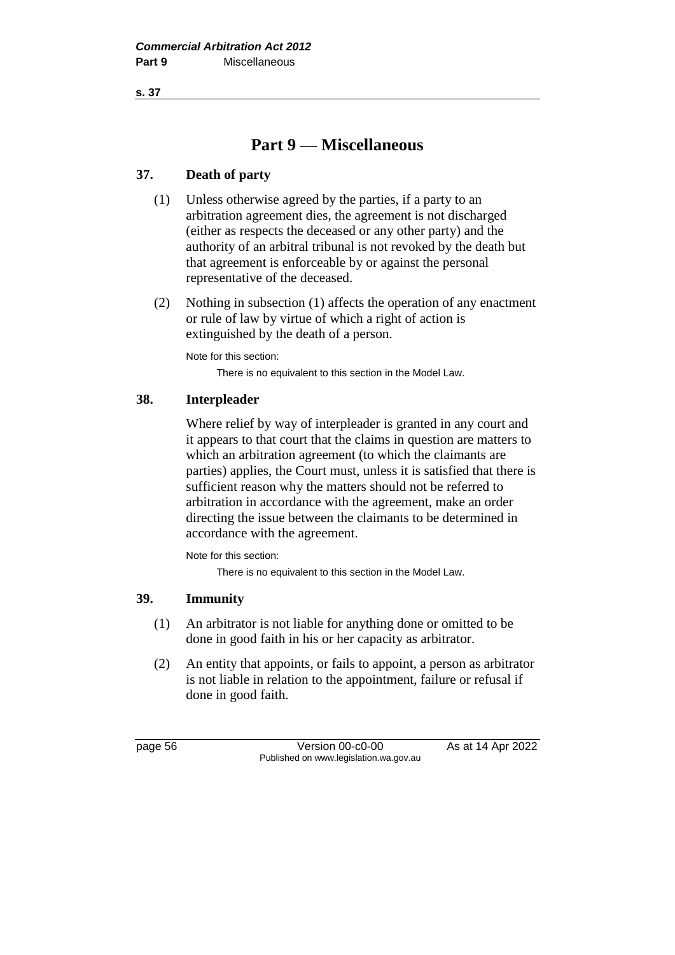**s. 37**

# **Part 9 — Miscellaneous**

## **37. Death of party**

- (1) Unless otherwise agreed by the parties, if a party to an arbitration agreement dies, the agreement is not discharged (either as respects the deceased or any other party) and the authority of an arbitral tribunal is not revoked by the death but that agreement is enforceable by or against the personal representative of the deceased.
- (2) Nothing in subsection (1) affects the operation of any enactment or rule of law by virtue of which a right of action is extinguished by the death of a person.

Note for this section: There is no equivalent to this section in the Model Law.

## **38. Interpleader**

Where relief by way of interpleader is granted in any court and it appears to that court that the claims in question are matters to which an arbitration agreement (to which the claimants are parties) applies, the Court must, unless it is satisfied that there is sufficient reason why the matters should not be referred to arbitration in accordance with the agreement, make an order directing the issue between the claimants to be determined in accordance with the agreement.

Note for this section:

There is no equivalent to this section in the Model Law.

## **39. Immunity**

- (1) An arbitrator is not liable for anything done or omitted to be done in good faith in his or her capacity as arbitrator.
- (2) An entity that appoints, or fails to appoint, a person as arbitrator is not liable in relation to the appointment, failure or refusal if done in good faith.

page 56 **Version 00-c0-00** As at 14 Apr 2022 Published on www.legislation.wa.gov.au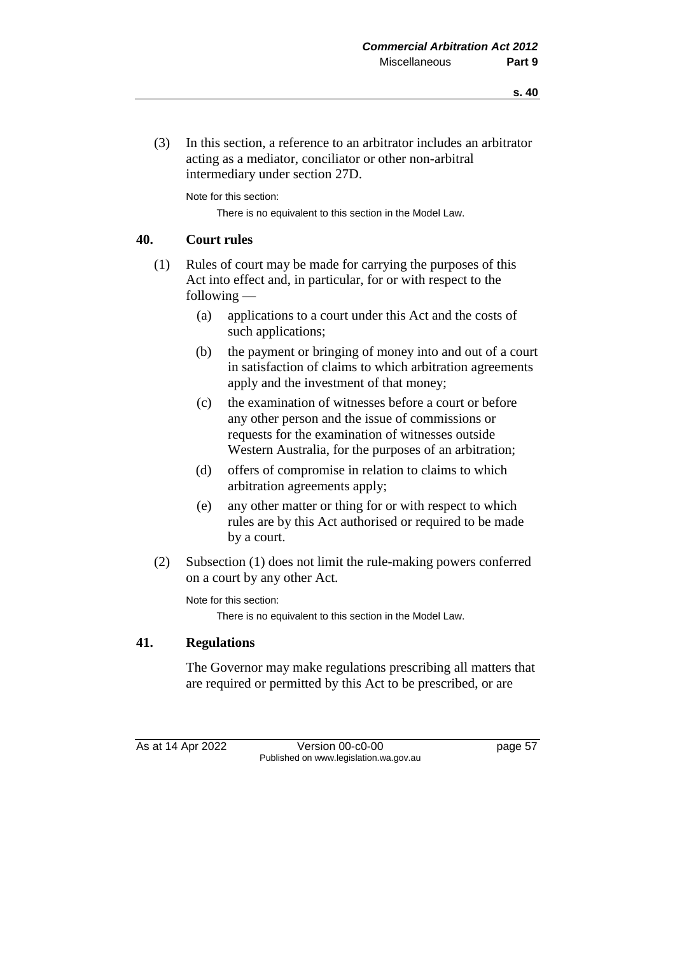- **s. 40**
- (3) In this section, a reference to an arbitrator includes an arbitrator acting as a mediator, conciliator or other non-arbitral intermediary under section 27D.

Note for this section:

There is no equivalent to this section in the Model Law.

#### **40. Court rules**

- (1) Rules of court may be made for carrying the purposes of this Act into effect and, in particular, for or with respect to the following —
	- (a) applications to a court under this Act and the costs of such applications;
	- (b) the payment or bringing of money into and out of a court in satisfaction of claims to which arbitration agreements apply and the investment of that money;
	- (c) the examination of witnesses before a court or before any other person and the issue of commissions or requests for the examination of witnesses outside Western Australia, for the purposes of an arbitration;
	- (d) offers of compromise in relation to claims to which arbitration agreements apply;
	- (e) any other matter or thing for or with respect to which rules are by this Act authorised or required to be made by a court.
- (2) Subsection (1) does not limit the rule-making powers conferred on a court by any other Act.

Note for this section:

There is no equivalent to this section in the Model Law.

## **41. Regulations**

The Governor may make regulations prescribing all matters that are required or permitted by this Act to be prescribed, or are

As at 14 Apr 2022 Version 00-c0-00 page 57 Published on www.legislation.wa.gov.au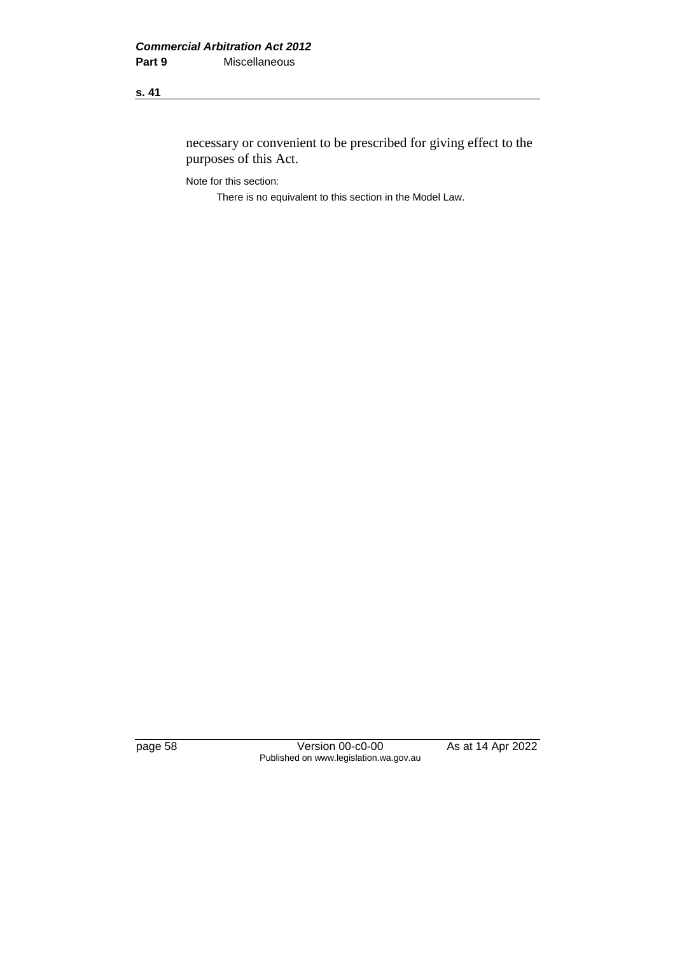## **s. 41**

necessary or convenient to be prescribed for giving effect to the purposes of this Act.

Note for this section:

There is no equivalent to this section in the Model Law.

page 58 Version 00-c0-00 As at 14 Apr 2022 Published on www.legislation.wa.gov.au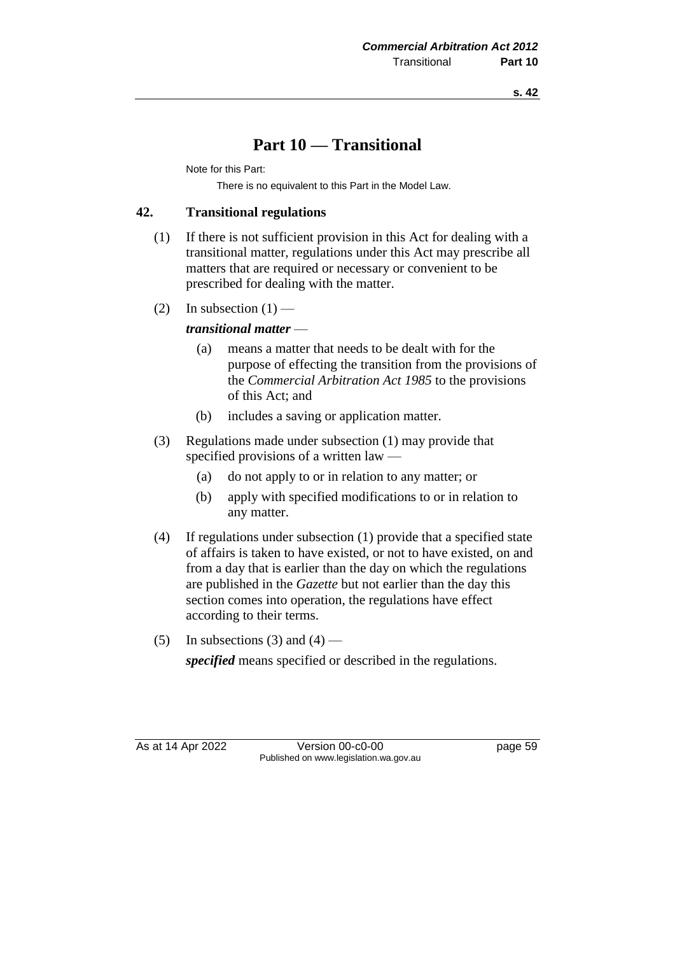# **Part 10 — Transitional**

Note for this Part:

There is no equivalent to this Part in the Model Law.

## **42. Transitional regulations**

- (1) If there is not sufficient provision in this Act for dealing with a transitional matter, regulations under this Act may prescribe all matters that are required or necessary or convenient to be prescribed for dealing with the matter.
- (2) In subsection  $(1)$  —

*transitional matter* —

- (a) means a matter that needs to be dealt with for the purpose of effecting the transition from the provisions of the *Commercial Arbitration Act 1985* to the provisions of this Act; and
- (b) includes a saving or application matter.
- (3) Regulations made under subsection (1) may provide that specified provisions of a written law —
	- (a) do not apply to or in relation to any matter; or
	- (b) apply with specified modifications to or in relation to any matter.
- (4) If regulations under subsection (1) provide that a specified state of affairs is taken to have existed, or not to have existed, on and from a day that is earlier than the day on which the regulations are published in the *Gazette* but not earlier than the day this section comes into operation, the regulations have effect according to their terms.
- (5) In subsections (3) and (4) —

*specified* means specified or described in the regulations.

As at 14 Apr 2022 Version 00-c0-00 page 59 Published on www.legislation.wa.gov.au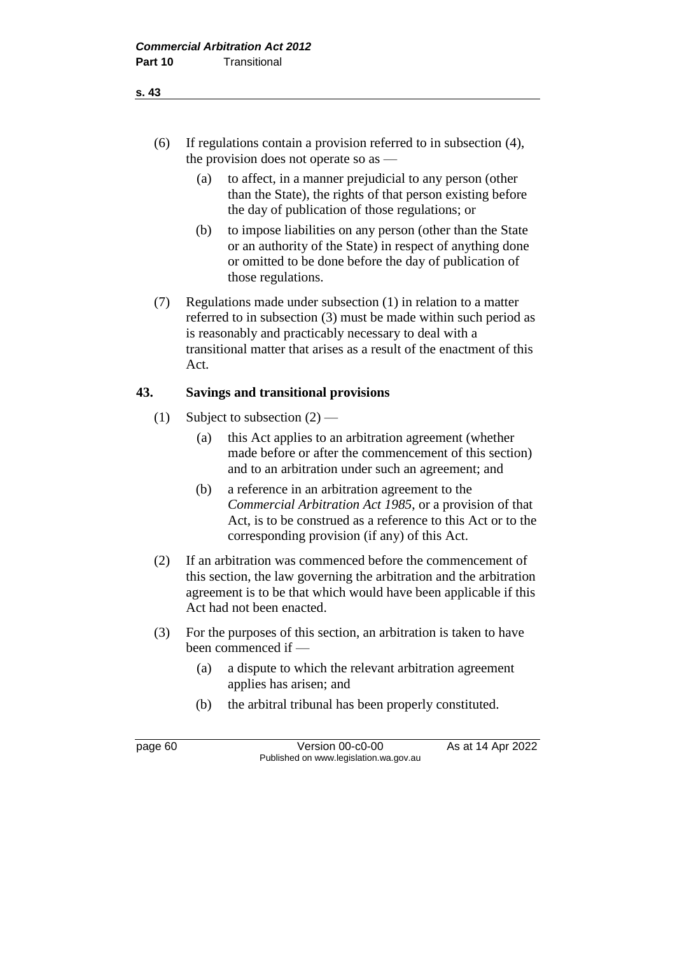- (6) If regulations contain a provision referred to in subsection (4), the provision does not operate so as —
	- (a) to affect, in a manner prejudicial to any person (other than the State), the rights of that person existing before the day of publication of those regulations; or
	- (b) to impose liabilities on any person (other than the State or an authority of the State) in respect of anything done or omitted to be done before the day of publication of those regulations.
- (7) Regulations made under subsection (1) in relation to a matter referred to in subsection (3) must be made within such period as is reasonably and practicably necessary to deal with a transitional matter that arises as a result of the enactment of this Act.

## **43. Savings and transitional provisions**

- (1) Subject to subsection  $(2)$ 
	- (a) this Act applies to an arbitration agreement (whether made before or after the commencement of this section) and to an arbitration under such an agreement; and
	- (b) a reference in an arbitration agreement to the *Commercial Arbitration Act 1985*, or a provision of that Act, is to be construed as a reference to this Act or to the corresponding provision (if any) of this Act.
- (2) If an arbitration was commenced before the commencement of this section, the law governing the arbitration and the arbitration agreement is to be that which would have been applicable if this Act had not been enacted.
- (3) For the purposes of this section, an arbitration is taken to have been commenced if —
	- (a) a dispute to which the relevant arbitration agreement applies has arisen; and
	- (b) the arbitral tribunal has been properly constituted.

page 60 **Version 00-c0-00** As at 14 Apr 2022 Published on www.legislation.wa.gov.au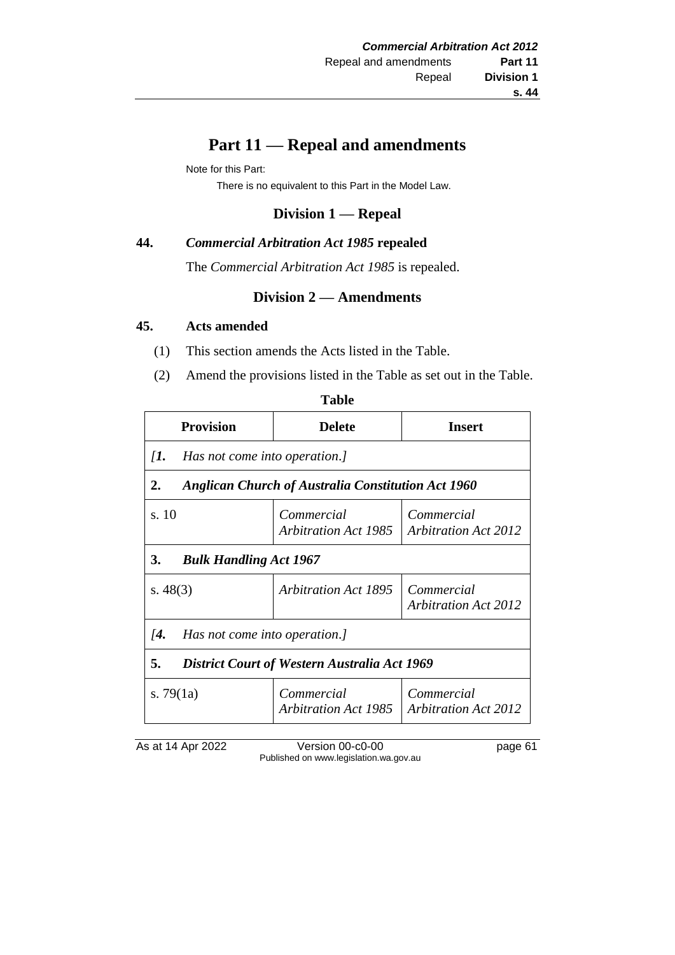# **Part 11 — Repeal and amendments**

Note for this Part:

There is no equivalent to this Part in the Model Law.

## **Division 1 — Repeal**

### **44.** *Commercial Arbitration Act 1985* **repealed**

The *Commercial Arbitration Act 1985* is repealed.

## **Division 2 — Amendments**

#### **45. Acts amended**

- (1) This section amends the Acts listed in the Table.
- (2) Amend the provisions listed in the Table as set out in the Table.

| ۰.<br>v<br>×<br>×<br>۰.<br>۰, |
|-------------------------------|
|-------------------------------|

| Provision                                                       | <b>Delete</b>                             | <b>Insert</b>                             |  |  |
|-----------------------------------------------------------------|-------------------------------------------|-------------------------------------------|--|--|
| $\mathcal{I}$ .<br>Has not come into operation.]                |                                           |                                           |  |  |
| <b>Anglican Church of Australia Constitution Act 1960</b><br>2. |                                           |                                           |  |  |
| s. 10                                                           | Commercial<br><b>Arbitration Act 1985</b> | Commercial<br><b>Arbitration Act 2012</b> |  |  |
| 3.<br><b>Bulk Handling Act 1967</b>                             |                                           |                                           |  |  |
| s. $48(3)$                                                      | <b>Arbitration Act 1895</b>               | Commercial<br><b>Arbitration Act 2012</b> |  |  |
| $\overline{A}$ .<br>Has not come into operation.]               |                                           |                                           |  |  |
| 5.<br><b>District Court of Western Australia Act 1969</b>       |                                           |                                           |  |  |
| s. $79(1a)$                                                     | Commercial<br>Arbitration Act 1985        | Commercial<br><b>Arbitration Act 2012</b> |  |  |

As at 14 Apr 2022 Version 00-c0-00 page 61 Published on www.legislation.wa.gov.au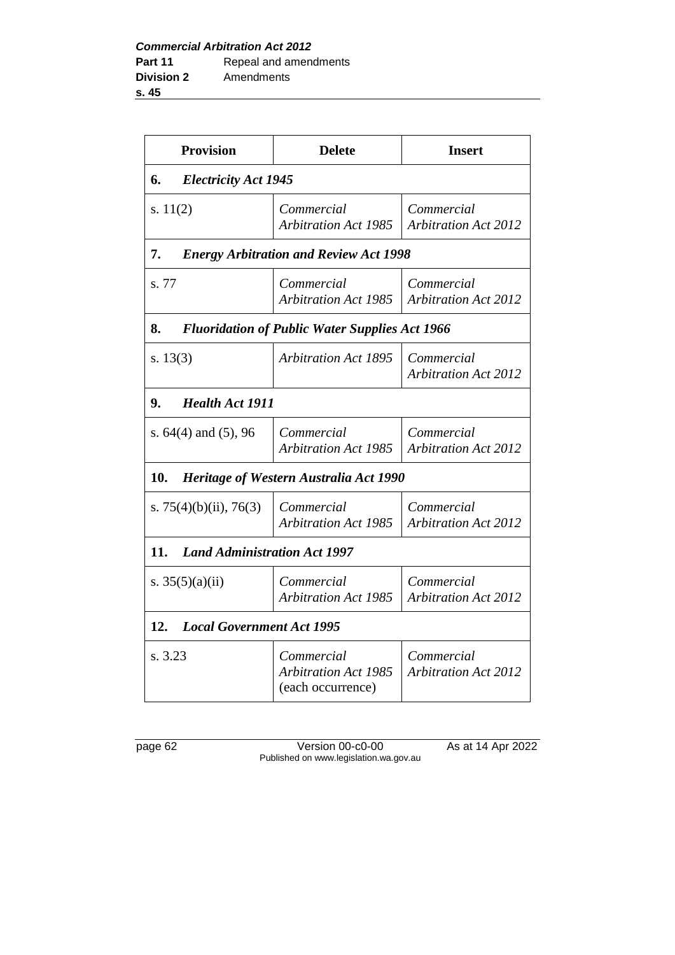**Provision Delete Insert 6.** *Electricity Act 1945* s. 11(2) *Commercial Arbitration Act 1985 Commercial Arbitration Act 2012* **7.** *Energy Arbitration and Review Act 1998* s. 77 *Commercial Arbitration Act 1985 Commercial Arbitration Act 2012* **8.** *Fluoridation of Public Water Supplies Act 1966* s. 13(3) *Arbitration Act 1895 Commercial Arbitration Act 2012* **9.** *Health Act 1911* s. 64(4) and (5), 96 *Commercial Arbitration Act 1985 Commercial Arbitration Act 2012* **10.** *Heritage of Western Australia Act 1990* s. 75(4)(b)(ii), 76(3) *Commercial Arbitration Act 1985 Commercial Arbitration Act 2012* **11.** *Land Administration Act 1997* s. 35(5)(a)(ii) *Commercial Arbitration Act 1985 Commercial Arbitration Act 2012* **12.** *Local Government Act 1995* s. 3.23 *Commercial Arbitration Act 1985* (each occurrence) *Commercial Arbitration Act 2012*

page 62 Version 00-c0-00 As at 14 Apr 2022 Published on www.legislation.wa.gov.au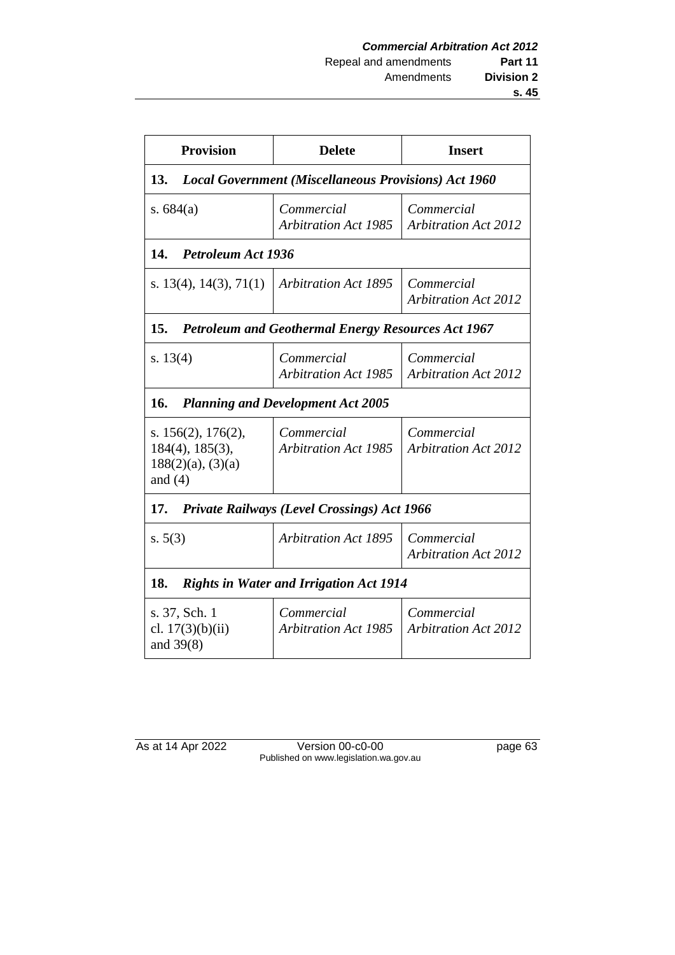| <b>Provision</b>                                                                         | <b>Delete</b>                             | <b>Insert</b>                             |  |  |
|------------------------------------------------------------------------------------------|-------------------------------------------|-------------------------------------------|--|--|
| 13.<br><b>Local Government (Miscellaneous Provisions) Act 1960</b>                       |                                           |                                           |  |  |
| s. $684(a)$                                                                              | Commercial<br><b>Arbitration Act 1985</b> | Commercial<br><b>Arbitration Act 2012</b> |  |  |
| 14.<br><b>Petroleum Act 1936</b>                                                         |                                           |                                           |  |  |
| s. $13(4)$ , $14(3)$ , $71(1)$                                                           | <b>Arbitration Act 1895</b>               | Commercial<br><b>Arbitration Act 2012</b> |  |  |
| 15.<br><b>Petroleum and Geothermal Energy Resources Act 1967</b>                         |                                           |                                           |  |  |
| s. $13(4)$                                                                               | Commercial<br><b>Arbitration Act 1985</b> | Commercial<br><b>Arbitration Act 2012</b> |  |  |
| 16.<br><b>Planning and Development Act 2005</b>                                          |                                           |                                           |  |  |
| s. $156(2)$ , $176(2)$ ,<br>$184(4)$ , $185(3)$ ,<br>$188(2)(a)$ , $(3)(a)$<br>and $(4)$ | Commercial<br><b>Arbitration Act 1985</b> | Commercial<br><b>Arbitration Act 2012</b> |  |  |
| <b>Private Railways (Level Crossings) Act 1966</b><br>17.                                |                                           |                                           |  |  |
| s. 5(3)                                                                                  | <b>Arbitration Act 1895</b>               | Commercial<br><b>Arbitration Act 2012</b> |  |  |
| 18.<br><b>Rights in Water and Irrigation Act 1914</b>                                    |                                           |                                           |  |  |
| s. 37, Sch. 1<br>cl. $17(3)(b)(ii)$<br>and $39(8)$                                       | Commercial<br><b>Arbitration Act 1985</b> | Commercial<br><b>Arbitration Act 2012</b> |  |  |

As at 14 Apr 2022 Version 00-c0-00 page 63 Published on www.legislation.wa.gov.au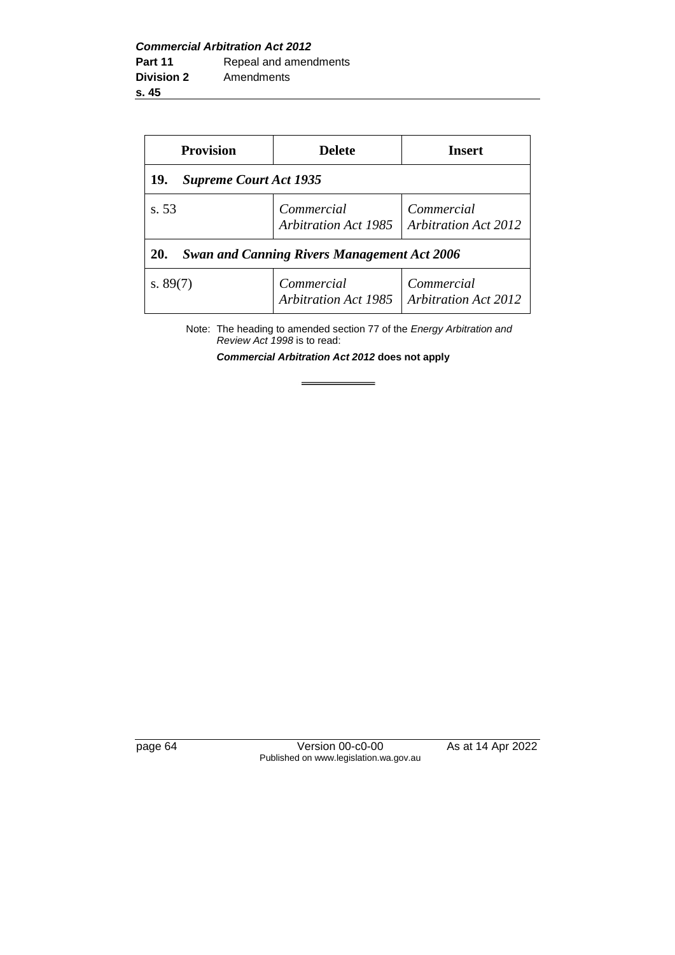| <b>Provision</b>                                                 | <b>Delete</b>                             | <b>Insert</b>                             |  |  |
|------------------------------------------------------------------|-------------------------------------------|-------------------------------------------|--|--|
| <b>Supreme Court Act 1935</b><br>19.                             |                                           |                                           |  |  |
| s. 53                                                            | Commercial<br>Arbitration Act 1985        | Commercial<br><b>Arbitration Act 2012</b> |  |  |
| <b>Swan and Canning Rivers Management Act 2006</b><br><b>20.</b> |                                           |                                           |  |  |
| s. $89(7)$                                                       | Commercial<br><b>Arbitration Act 1985</b> | Commercial<br><b>Arbitration Act 2012</b> |  |  |

Note: The heading to amended section 77 of the *Energy Arbitration and Review Act 1998* is to read:

*Commercial Arbitration Act 2012* **does not apply**

 $\equiv$ 

page 64 Version 00-c0-00 As at 14 Apr 2022 Published on www.legislation.wa.gov.au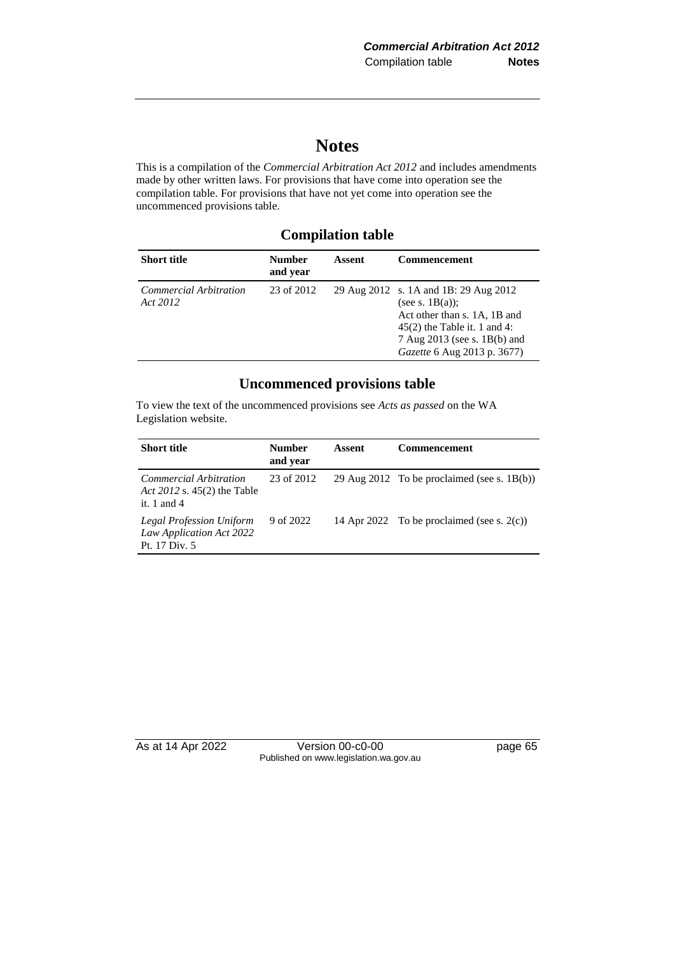# **Notes**

This is a compilation of the *Commercial Arbitration Act 2012* and includes amendments made by other written laws. For provisions that have come into operation see the compilation table. For provisions that have not yet come into operation see the uncommenced provisions table.

#### **Compilation table**

| <b>Short title</b>                 | <b>Number</b><br>and year | Assent | <b>Commencement</b>                                                                                                                                                                          |
|------------------------------------|---------------------------|--------|----------------------------------------------------------------------------------------------------------------------------------------------------------------------------------------------|
| Commercial Arbitration<br>Act 2012 | 23 of 2012                |        | 29 Aug 2012 s. 1A and 1B: 29 Aug 2012<br>(see s. $1B(a)$ ):<br>Act other than s. 1A, 1B and<br>$45(2)$ the Table it. 1 and 4:<br>7 Aug 2013 (see s. 1B(b) and<br>Gazette 6 Aug 2013 p. 3677) |

### **Uncommenced provisions table**

To view the text of the uncommenced provisions see *Acts as passed* on the WA Legislation website.

| <b>Short title</b>                                                           | <b>Number</b><br>and year | Assent | <b>Commencement</b>                            |
|------------------------------------------------------------------------------|---------------------------|--------|------------------------------------------------|
| Commercial Arbitration<br>Act 2012 s. 45(2) the Table<br>it. 1 and 4         | 23 of 2012                |        | 29 Aug 2012 To be proclaimed (see s. $1B(b)$ ) |
| <b>Legal Profession Uniform</b><br>Law Application Act 2022<br>Pt. 17 Div. 5 | 9 of 2022                 |        | 14 Apr 2022 To be proclaimed (see s. $2(c)$ )  |

As at 14 Apr 2022 Version 00-c0-00 page 65 Published on www.legislation.wa.gov.au